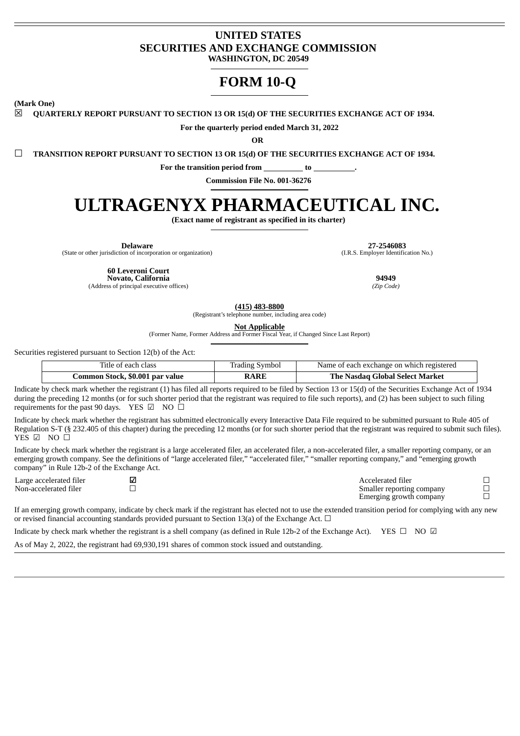## **UNITED STATES SECURITIES AND EXCHANGE COMMISSION WASHINGTON, DC 20549**

## **FORM 10-Q**

**(Mark One)**

☒ **QUARTERLY REPORT PURSUANT TO SECTION 13 OR 15(d) OF THE SECURITIES EXCHANGE ACT OF 1934.**

**For the quarterly period ended March 31, 2022**

**OR**

☐ **TRANSITION REPORT PURSUANT TO SECTION 13 OR 15(d) OF THE SECURITIES EXCHANGE ACT OF 1934.**

**For the transition period from to .**

**Commission File No. 001-36276**

# **ULTRAGENYX PHARMACEUTICAL INC.**

**(Exact name of registrant as specified in its charter)**

(State or other jurisdiction of incorporation or organization)

**Delaware 27-2546083**<br> **27-2546083** (I.R.S. Employer Identification No.)

**60 Leveroni Court**

**Novato, California 94949**<br> **194949**<br> **1949**<br> **1949**<br> **1949**<br> **1949**<br> **1949**<br> **1949** (Address of principal executive offices) *(Zip Code)*

**(415) 483-8800**

(Registrant's telephone number, including area code)

**Not Applicable**

(Former Name, Former Address and Former Fiscal Year, if Changed Since Last Report)

Securities registered pursuant to Section 12(b) of the Act:

| Title of each class             | <b>Trading Symbol</b> | Name of each exchange on which registered |
|---------------------------------|-----------------------|-------------------------------------------|
| Common Stock, \$0.001 par value | <b>RARE</b>           | The Nasdag Global Select Market           |

Indicate by check mark whether the registrant (1) has filed all reports required to be filed by Section 13 or 15(d) of the Securities Exchange Act of 1934 during the preceding 12 months (or for such shorter period that the registrant was required to file such reports), and (2) has been subject to such filing requirements for the past 90 days. YES  $\boxtimes$  NO  $\Box$ 

Indicate by check mark whether the registrant has submitted electronically every Interactive Data File required to be submitted pursuant to Rule 405 of Regulation S-T (§ 232.405 of this chapter) during the preceding 12 months (or for such shorter period that the registrant was required to submit such files). YES ☑ NO □

Indicate by check mark whether the registrant is a large accelerated filer, an accelerated filer, a non-accelerated filer, a smaller reporting company, or an emerging growth company. See the definitions of "large accelerated filer," "accelerated filer," "smaller reporting company," and "emerging growth company" in Rule 12b-2 of the Exchange Act.

| Large accelerated filer | ✔ | Accelerated filer         |  |
|-------------------------|---|---------------------------|--|
| Non-accelerated filer   |   | Smaller reporting company |  |
|                         |   | Emerging growth company   |  |

If an emerging growth company, indicate by check mark if the registrant has elected not to use the extended transition period for complying with any new or revised financial accounting standards provided pursuant to Section 13(a) of the Exchange Act.  $\Box$ 

Indicate by check mark whether the registrant is a shell company (as defined in Rule 12b-2 of the Exchange Act). YES ☐ NO ☑

As of May 2, 2022, the registrant had 69,930,191 shares of common stock issued and outstanding.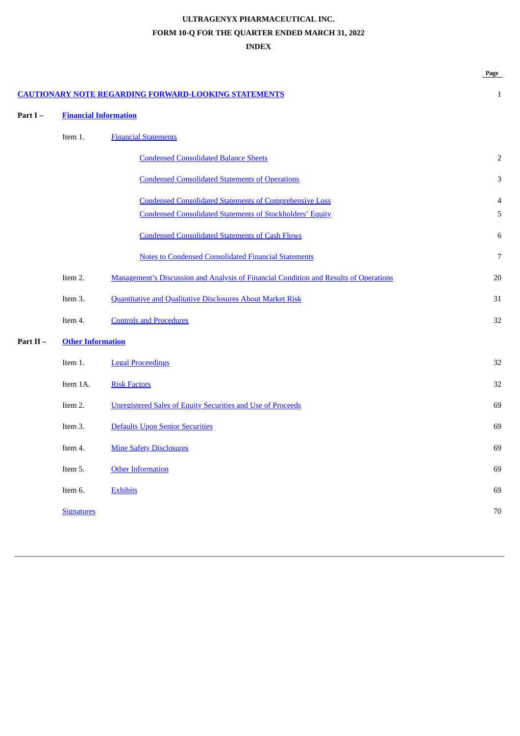## **ULTRAGENYX PHARMACEUTICAL INC. FORM 10-Q FOR THE QUARTER ENDED MARCH 31, 2022 INDEX**

|          |                              |                                                                                       | Page         |
|----------|------------------------------|---------------------------------------------------------------------------------------|--------------|
|          |                              | <b>CAUTIONARY NOTE REGARDING FORWARD-LOOKING STATEMENTS</b>                           | $\mathbf{1}$ |
| Part I-  | <b>Financial Information</b> |                                                                                       |              |
|          | Item 1.                      | <b>Financial Statements</b>                                                           |              |
|          |                              | <b>Condensed Consolidated Balance Sheets</b>                                          | 2            |
|          |                              | <b>Condensed Consolidated Statements of Operations</b>                                | 3            |
|          |                              | <b>Condensed Consolidated Statements of Comprehensive Loss</b>                        | 4            |
|          |                              | <b>Condensed Consolidated Statements of Stockholders' Equity</b>                      | 5            |
|          |                              | <b>Condensed Consolidated Statements of Cash Flows</b>                                | 6            |
|          |                              | <b>Notes to Condensed Consolidated Financial Statements</b>                           | 7            |
|          | Item 2.                      | Management's Discussion and Analysis of Financial Condition and Results of Operations | 20           |
|          | Item 3.                      | <b>Quantitative and Qualitative Disclosures About Market Risk</b>                     | 31           |
|          | Item 4.                      | <b>Controls and Procedures</b>                                                        | 32           |
| Part II- | <b>Other Information</b>     |                                                                                       |              |
|          | Item 1.                      | <b>Legal Proceedings</b>                                                              | 32           |
|          | Item 1A.                     | <b>Risk Factors</b>                                                                   | 32           |
|          | Item 2.                      | <b>Unregistered Sales of Equity Securities and Use of Proceeds</b>                    | 69           |
|          | Item 3.                      | Defaults Upon Senior Securities                                                       | 69           |
|          | Item 4.                      | <b>Mine Safety Disclosures</b>                                                        | 69           |
|          | Item 5.                      | <b>Other Information</b>                                                              | 69           |
|          | Item 6.                      | <b>Exhibits</b>                                                                       | 69           |
|          | <b>Signatures</b>            |                                                                                       | 70           |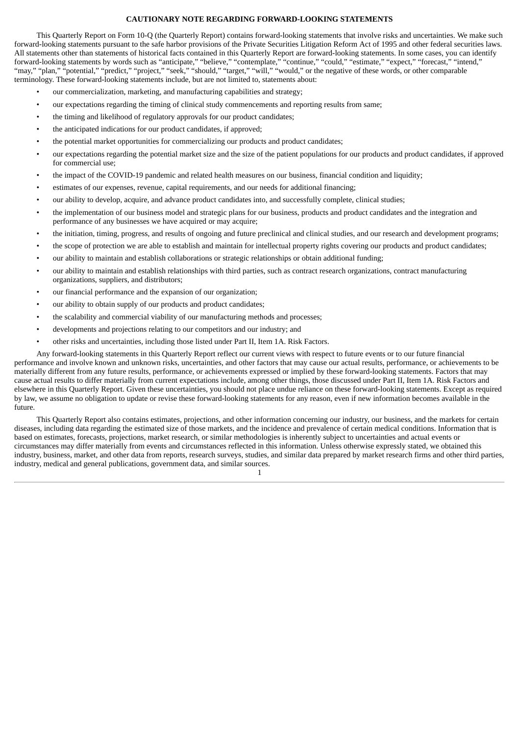## **CAUTIONARY NOTE REGARDING FORWARD-LOOKING STATEMENTS**

<span id="page-2-0"></span>This Quarterly Report on Form 10-Q (the Quarterly Report) contains forward-looking statements that involve risks and uncertainties. We make such forward-looking statements pursuant to the safe harbor provisions of the Private Securities Litigation Reform Act of 1995 and other federal securities laws. All statements other than statements of historical facts contained in this Quarterly Report are forward-looking statements. In some cases, you can identify forward-looking statements by words such as "anticipate," "believe," "contemplate," "continue," "could," "estimate," "expect," "forecast," "intend," "may," "plan," "potential," "predict," "project," "seek," "should," "target," "will," "would," or the negative of these words, or other comparable terminology. These forward-looking statements include, but are not limited to, statements about:

- our commercialization, marketing, and manufacturing capabilities and strategy;
- our expectations regarding the timing of clinical study commencements and reporting results from same;
- the timing and likelihood of regulatory approvals for our product candidates;
- the anticipated indications for our product candidates, if approved;
- the potential market opportunities for commercializing our products and product candidates;
- our expectations regarding the potential market size and the size of the patient populations for our products and product candidates, if approved for commercial use;
- the impact of the COVID-19 pandemic and related health measures on our business, financial condition and liquidity;
- estimates of our expenses, revenue, capital requirements, and our needs for additional financing;
- our ability to develop, acquire, and advance product candidates into, and successfully complete, clinical studies;
- the implementation of our business model and strategic plans for our business, products and product candidates and the integration and performance of any businesses we have acquired or may acquire;
- the initiation, timing, progress, and results of ongoing and future preclinical and clinical studies, and our research and development programs;
- the scope of protection we are able to establish and maintain for intellectual property rights covering our products and product candidates;
- our ability to maintain and establish collaborations or strategic relationships or obtain additional funding;
- our ability to maintain and establish relationships with third parties, such as contract research organizations, contract manufacturing organizations, suppliers, and distributors;
- our financial performance and the expansion of our organization;
- our ability to obtain supply of our products and product candidates;
- the scalability and commercial viability of our manufacturing methods and processes;
- developments and projections relating to our competitors and our industry; and
- other risks and uncertainties, including those listed under Part II, Item 1A. Risk Factors.

Any forward-looking statements in this Quarterly Report reflect our current views with respect to future events or to our future financial performance and involve known and unknown risks, uncertainties, and other factors that may cause our actual results, performance, or achievements to be materially different from any future results, performance, or achievements expressed or implied by these forward-looking statements. Factors that may cause actual results to differ materially from current expectations include, among other things, those discussed under Part II, Item 1A. Risk Factors and elsewhere in this Quarterly Report. Given these uncertainties, you should not place undue reliance on these forward-looking statements. Except as required by law, we assume no obligation to update or revise these forward-looking statements for any reason, even if new information becomes available in the future.

This Quarterly Report also contains estimates, projections, and other information concerning our industry, our business, and the markets for certain diseases, including data regarding the estimated size of those markets, and the incidence and prevalence of certain medical conditions. Information that is based on estimates, forecasts, projections, market research, or similar methodologies is inherently subject to uncertainties and actual events or circumstances may differ materially from events and circumstances reflected in this information. Unless otherwise expressly stated, we obtained this industry, business, market, and other data from reports, research surveys, studies, and similar data prepared by market research firms and other third parties, industry, medical and general publications, government data, and similar sources. 1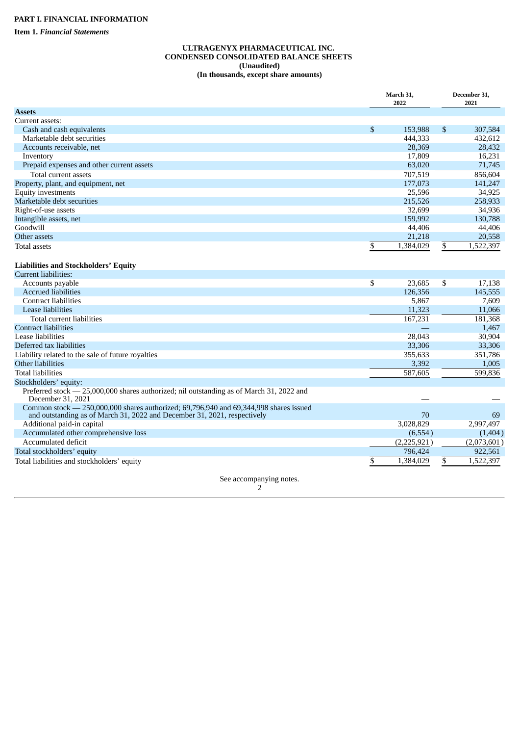<span id="page-3-2"></span><span id="page-3-1"></span><span id="page-3-0"></span>**Item 1.** *Financial Statements*

#### **ULTRAGENYX PHARMACEUTICAL INC. CONDENSED CONSOLIDATED BALANCE SHEETS (Unaudited) (In thousands, except share amounts)**

|                                                                                                               | March 31,<br>2022 |                 | December 31,<br>2021 |
|---------------------------------------------------------------------------------------------------------------|-------------------|-----------------|----------------------|
| <b>Assets</b>                                                                                                 |                   |                 |                      |
| Current assets:                                                                                               |                   |                 |                      |
| Cash and cash equivalents                                                                                     | \$<br>153,988     | $\mathfrak{s}$  | 307,584              |
| Marketable debt securities                                                                                    | 444,333           |                 | 432,612              |
| Accounts receivable, net                                                                                      | 28,369            |                 | 28,432               |
| Inventory                                                                                                     | 17,809            |                 | 16,231               |
| Prepaid expenses and other current assets                                                                     | 63,020            |                 | 71,745               |
| Total current assets                                                                                          | 707,519           |                 | 856,604              |
| Property, plant, and equipment, net                                                                           | 177,073           |                 | 141,247              |
| <b>Equity investments</b>                                                                                     | 25,596            |                 | 34,925               |
| Marketable debt securities                                                                                    | 215,526           |                 | 258,933              |
| Right-of-use assets                                                                                           | 32,699            |                 | 34,936               |
| Intangible assets, net                                                                                        | 159,992           |                 | 130,788              |
| Goodwill                                                                                                      | 44,406            |                 | 44,406               |
| Other assets                                                                                                  | 21,218            |                 | 20,558               |
| <b>Total assets</b>                                                                                           | \$<br>1,384,029   | \$              | 1,522,397            |
| <b>Liabilities and Stockholders' Equity</b>                                                                   |                   |                 |                      |
| <b>Current liabilities:</b>                                                                                   |                   |                 |                      |
| Accounts payable                                                                                              | \$<br>23,685      | \$              | 17,138               |
| <b>Accrued liabilities</b>                                                                                    | 126,356           |                 | 145,555              |
| <b>Contract liabilities</b>                                                                                   | 5,867             |                 | 7,609                |
| <b>Lease liabilities</b>                                                                                      | 11,323            |                 | 11,066               |
| Total current liabilities                                                                                     | 167,231           |                 | 181,368              |
| <b>Contract liabilities</b>                                                                                   |                   |                 | 1,467                |
| Lease liabilities                                                                                             | 28.043            |                 | 30,904               |
| Deferred tax liabilities                                                                                      | 33,306            |                 | 33,306               |
| Liability related to the sale of future royalties                                                             | 355,633           |                 | 351,786              |
| <b>Other liabilities</b>                                                                                      | 3,392             |                 | 1,005                |
| <b>Total liabilities</b>                                                                                      | 587,605           |                 | 599,836              |
| Stockholders' equity:                                                                                         |                   |                 |                      |
| Preferred stock - 25,000,000 shares authorized; nil outstanding as of March 31, 2022 and<br>December 31, 2021 |                   |                 |                      |
| Common stock - 250,000,000 shares authorized; 69,796,940 and 69,344,998 shares issued                         |                   |                 |                      |
| and outstanding as of March 31, 2022 and December 31, 2021, respectively                                      | 70                |                 | 69                   |
| Additional paid-in capital                                                                                    | 3,028,829         |                 | 2,997,497            |
| Accumulated other comprehensive loss                                                                          | (6,554)           |                 | (1,404)              |
| Accumulated deficit                                                                                           | (2,225,921)       |                 | (2,073,601)          |
| Total stockholders' equity                                                                                    | 796,424           |                 | 922,561              |
| Total liabilities and stockholders' equity                                                                    | \$<br>1,384,029   | $\overline{\$}$ | 1,522,397            |
| See accompanying notes.                                                                                       |                   |                 |                      |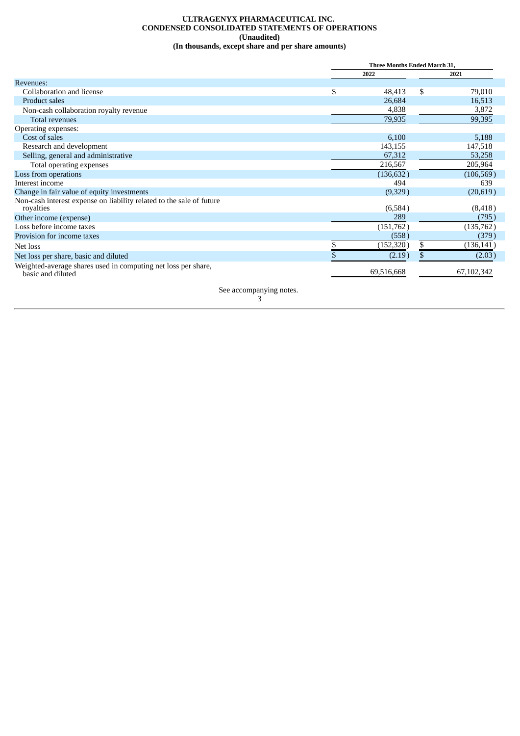#### **ULTRAGENYX PHARMACEUTICAL INC. CONDENSED CONSOLIDATED STATEMENTS OF OPERATIONS (Unaudited) (In thousands, except share and per share amounts)**

<span id="page-4-0"></span>

|                                                                                    | <b>Three Months Ended March 31.</b> |                  |
|------------------------------------------------------------------------------------|-------------------------------------|------------------|
|                                                                                    | 2022                                | 2021             |
| Revenues:                                                                          |                                     |                  |
| Collaboration and license                                                          | \$<br>48,413                        | \$<br>79,010     |
| Product sales                                                                      | 26,684                              | 16,513           |
| Non-cash collaboration royalty revenue                                             | 4,838                               | 3,872            |
| <b>Total revenues</b>                                                              | 79,935                              | 99,395           |
| Operating expenses:                                                                |                                     |                  |
| Cost of sales                                                                      | 6,100                               | 5,188            |
| Research and development                                                           | 143,155                             | 147,518          |
| Selling, general and administrative                                                | 67,312                              | 53,258           |
| Total operating expenses                                                           | 216,567                             | 205,964          |
| Loss from operations                                                               | (136, 632)                          | (106, 569)       |
| Interest income                                                                    | 494                                 | 639              |
| Change in fair value of equity investments                                         | (9,329)                             | (20,619)         |
| Non-cash interest expense on liability related to the sale of future               |                                     |                  |
| royalties                                                                          | (6,584)                             | (8, 418)         |
| Other income (expense)                                                             | 289                                 | (795)            |
| Loss before income taxes                                                           | (151,762)                           | (135,762)        |
| Provision for income taxes                                                         | (558)                               | (379)            |
| Net loss                                                                           | (152,320                            | \$<br>(136, 141) |
| Net loss per share, basic and diluted                                              | (2.19)                              | \$<br>(2.03)     |
| Weighted-average shares used in computing net loss per share,<br>basic and diluted | 69,516,668                          | 67,102,342       |
|                                                                                    |                                     |                  |

See accompanying notes.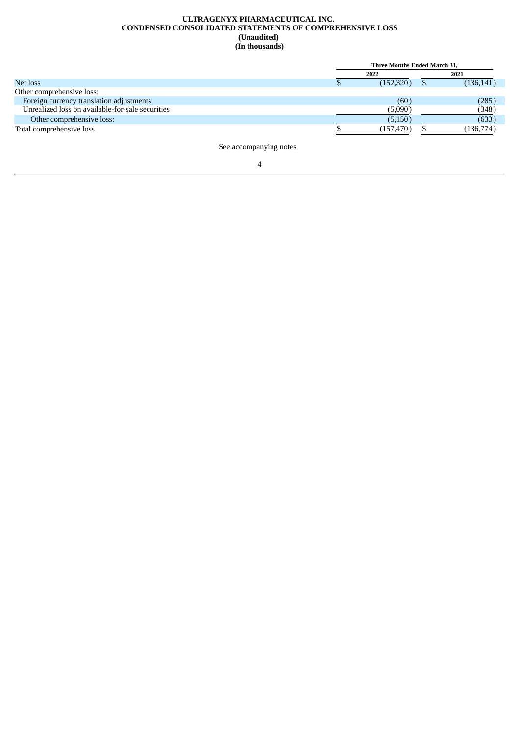#### **ULTRAGENYX PHARMACEUTICAL INC. CONDENSED CONSOLIDATED STATEMENTS OF COMPREHENSIVE LOSS (Unaudited) (In thousands)**

<span id="page-5-0"></span>

|                                                  | Three Months Ended March 31, |            |
|--------------------------------------------------|------------------------------|------------|
|                                                  | 2022                         | 2021       |
| Net loss                                         | (152,320)                    | (136, 141) |
| Other comprehensive loss:                        |                              |            |
| Foreign currency translation adjustments         | (60)                         | (285)      |
| Unrealized loss on available-for-sale securities | (5,090)                      | (348)      |
| Other comprehensive loss:                        | (5,150)                      | (633)      |
| Total comprehensive loss                         | (157, 470)                   | (136,774)  |

See accompanying notes.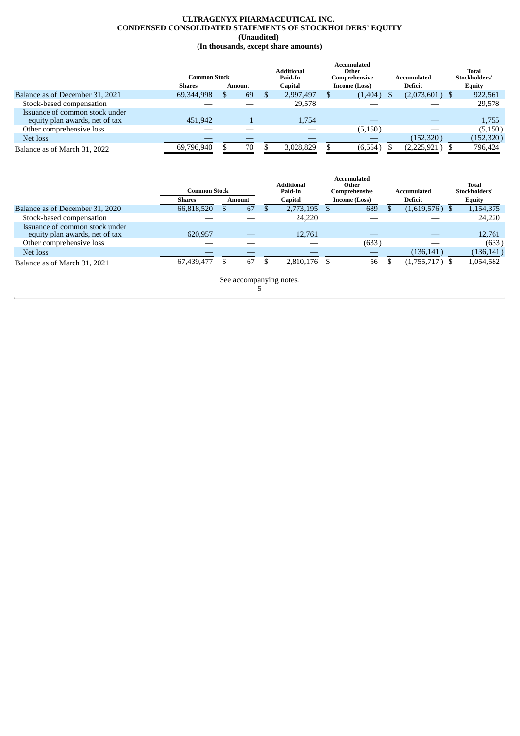#### **ULTRAGENYX PHARMACEUTICAL INC. CONDENSED CONSOLIDATED STATEMENTS OF STOCKHOLDERS' EQUITY (Unaudited) (In thousands, except share amounts)**

<span id="page-6-0"></span>

|                                                                  | <b>Common Stock</b> |        |         | <b>Additional</b><br>Paid-In |               | Accumulated<br>Other<br>Comprehensive |                | Accumulated      |               | Total<br>Stockholders' |
|------------------------------------------------------------------|---------------------|--------|---------|------------------------------|---------------|---------------------------------------|----------------|------------------|---------------|------------------------|
|                                                                  | <b>Shares</b>       | Amount | Capital |                              | Income (Loss) |                                       | <b>Deficit</b> |                  | <b>Equity</b> |                        |
| Balance as of December 31, 2021                                  | 69,344,998          | 69     |         | 2,997,497                    |               | (1,404)                               |                | $(2,073,601)$ \$ |               | 922,561                |
| Stock-based compensation                                         |                     |        |         | 29,578                       |               |                                       |                |                  |               | 29,578                 |
| Issuance of common stock under<br>equity plan awards, net of tax | 451,942             |        |         | 1,754                        |               |                                       |                |                  |               | 1,755                  |
| Other comprehensive loss                                         |                     |        |         |                              |               | (5, 150)                              |                |                  |               | (5,150)                |
| Net loss                                                         |                     |        |         |                              |               |                                       |                | (152, 320)       |               | (152, 320)             |
| Balance as of March 31, 2022                                     | 69,796,940          | 70     |         | 3,028,829                    |               | (6,554)                               |                | (2,225,921)      |               | 796,424                |

|                                                                  | <b>Common Stock</b> |  |        |  | Additional<br>Paid-In |  | Accumulated<br>Other<br>Comprehensive |  | Accumulated      |  | <b>Total</b><br>Stockholders' |
|------------------------------------------------------------------|---------------------|--|--------|--|-----------------------|--|---------------------------------------|--|------------------|--|-------------------------------|
|                                                                  | <b>Shares</b>       |  | Amount |  | Capital               |  | Income (Loss)                         |  | Deficit          |  | <b>Equity</b>                 |
| Balance as of December 31, 2020                                  | 66,818,520          |  | 67     |  | 2,773,195             |  | 689                                   |  | $(1,619,576)$ \$ |  | 1,154,375                     |
| Stock-based compensation                                         |                     |  |        |  | 24,220                |  |                                       |  |                  |  | 24,220                        |
| Issuance of common stock under<br>equity plan awards, net of tax | 620.957             |  |        |  | 12,761                |  |                                       |  |                  |  | 12,761                        |
| Other comprehensive loss                                         |                     |  |        |  |                       |  | (633)                                 |  |                  |  | (633)                         |
| Net loss                                                         |                     |  |        |  |                       |  |                                       |  | (136, 141)       |  | (136, 141)                    |
| Balance as of March 31, 2021                                     | 67,439,477          |  | 67     |  | 2,810,176             |  | 56                                    |  | (1,755,717)      |  | 1,054,582                     |

See accompanying notes. 5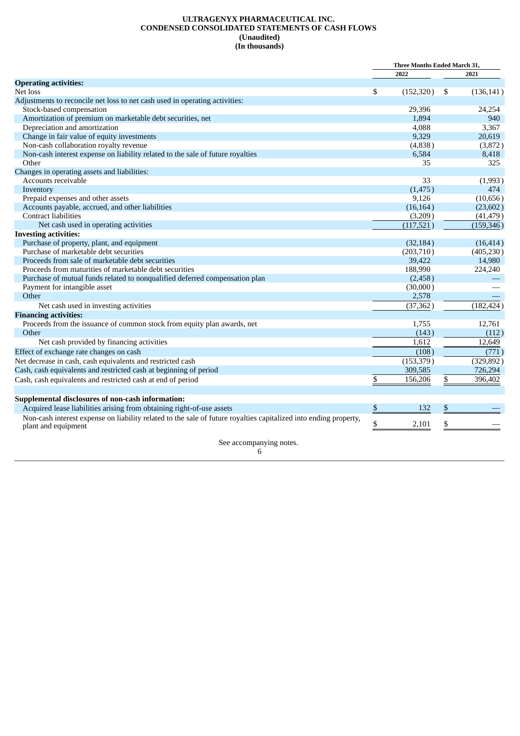#### **ULTRAGENYX PHARMACEUTICAL INC. CONDENSED CONSOLIDATED STATEMENTS OF CASH FLOWS (Unaudited) (In thousands)**

<span id="page-7-0"></span>

|                                                                                                                  | <b>Three Months Ended March 31,</b> |                  |
|------------------------------------------------------------------------------------------------------------------|-------------------------------------|------------------|
|                                                                                                                  | 2022                                | 2021             |
| <b>Operating activities:</b>                                                                                     |                                     |                  |
| Net loss                                                                                                         | \$<br>(152, 320)                    | \$<br>(136, 141) |
| Adjustments to reconcile net loss to net cash used in operating activities:                                      |                                     |                  |
| Stock-based compensation                                                                                         | 29,396                              | 24,254           |
| Amortization of premium on marketable debt securities, net                                                       | 1.894                               | 940              |
| Depreciation and amortization                                                                                    | 4,088                               | 3,367            |
| Change in fair value of equity investments                                                                       | 9,329                               | 20,619           |
| Non-cash collaboration royalty revenue                                                                           | (4,838)                             | (3,872)          |
| Non-cash interest expense on liability related to the sale of future royalties                                   | 6,584                               | 8,418            |
| Other                                                                                                            | 35                                  | 325              |
| Changes in operating assets and liabilities:                                                                     |                                     |                  |
| Accounts receivable                                                                                              | 33                                  | (1,993)          |
| Inventory                                                                                                        | (1, 475)                            | 474              |
| Prepaid expenses and other assets                                                                                | 9,126                               | (10,656)         |
| Accounts payable, accrued, and other liabilities                                                                 | (16, 164)                           | (23, 602)        |
| <b>Contract liabilities</b>                                                                                      | (3,209)                             | (41, 479)        |
| Net cash used in operating activities                                                                            | (117, 521)                          | (159, 346)       |
| <b>Investing activities:</b>                                                                                     |                                     |                  |
| Purchase of property, plant, and equipment                                                                       | (32, 184)                           | (16, 414)        |
| Purchase of marketable debt securities                                                                           | (203,710)                           | (405, 230)       |
| Proceeds from sale of marketable debt securities                                                                 | 39,422                              | 14,980           |
| Proceeds from maturities of marketable debt securities                                                           | 188,990                             | 224,240          |
| Purchase of mutual funds related to nonqualified deferred compensation plan                                      | (2,458)                             |                  |
| Payment for intangible asset                                                                                     | (30,000)                            |                  |
| Other                                                                                                            | 2,578                               |                  |
| Net cash used in investing activities                                                                            | (37, 362)                           | (182, 424)       |
| <b>Financing activities:</b>                                                                                     |                                     |                  |
| Proceeds from the issuance of common stock from equity plan awards, net                                          | 1,755                               | 12,761           |
| Other                                                                                                            | (143)                               | (112)            |
| Net cash provided by financing activities                                                                        | 1.612                               | 12.649           |
| Effect of exchange rate changes on cash                                                                          | (108)                               | (771)            |
| Net decrease in cash, cash equivalents and restricted cash                                                       | (153, 379)                          | (329, 892)       |
| Cash, cash equivalents and restricted cash at beginning of period                                                | 309,585                             | 726,294          |
| Cash, cash equivalents and restricted cash at end of period                                                      | \$<br>156,206                       | \$<br>396,402    |
|                                                                                                                  |                                     |                  |
| Supplemental disclosures of non-cash information:                                                                |                                     |                  |
| Acquired lease liabilities arising from obtaining right-of-use assets                                            | \$<br>132                           | \$               |
| Non-cash interest expense on liability related to the sale of future royalties capitalized into ending property, |                                     |                  |
| plant and equipment                                                                                              | \$<br>2,101                         | \$               |
| See accompanying notes.                                                                                          |                                     |                  |
| 6                                                                                                                |                                     |                  |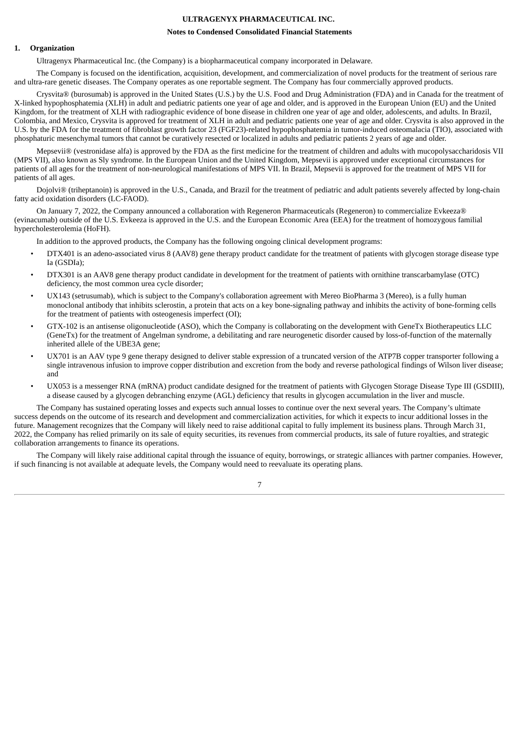## **ULTRAGENYX PHARMACEUTICAL INC.**

## **Notes to Condensed Consolidated Financial Statements**

#### <span id="page-8-0"></span>**1. Organization**

Ultragenyx Pharmaceutical Inc. (the Company) is a biopharmaceutical company incorporated in Delaware.

The Company is focused on the identification, acquisition, development, and commercialization of novel products for the treatment of serious rare and ultra-rare genetic diseases. The Company operates as one reportable segment. The Company has four commercially approved products.

Crysvita® (burosumab) is approved in the United States (U.S.) by the U.S. Food and Drug Administration (FDA) and in Canada for the treatment of X-linked hypophosphatemia (XLH) in adult and pediatric patients one year of age and older, and is approved in the European Union (EU) and the United Kingdom, for the treatment of XLH with radiographic evidence of bone disease in children one year of age and older, adolescents, and adults. In Brazil, Colombia, and Mexico, Crysvita is approved for treatment of XLH in adult and pediatric patients one year of age and older. Crysvita is also approved in the U.S. by the FDA for the treatment of fibroblast growth factor 23 (FGF23)-related hypophosphatemia in tumor-induced osteomalacia (TIO), associated with phosphaturic mesenchymal tumors that cannot be curatively resected or localized in adults and pediatric patients 2 years of age and older.

Mepsevii® (vestronidase alfa) is approved by the FDA as the first medicine for the treatment of children and adults with mucopolysaccharidosis VII (MPS VII), also known as Sly syndrome. In the European Union and the United Kingdom, Mepsevii is approved under exceptional circumstances for patients of all ages for the treatment of non-neurological manifestations of MPS VII. In Brazil, Mepsevii is approved for the treatment of MPS VII for patients of all ages.

Dojolvi® (triheptanoin) is approved in the U.S., Canada, and Brazil for the treatment of pediatric and adult patients severely affected by long-chain fatty acid oxidation disorders (LC-FAOD).

On January 7, 2022, the Company announced a collaboration with Regeneron Pharmaceuticals (Regeneron) to commercialize Evkeeza® (evinacumab) outside of the U.S. Evkeeza is approved in the U.S. and the European Economic Area (EEA) for the treatment of homozygous familial hypercholesterolemia (HoFH).

In addition to the approved products, the Company has the following ongoing clinical development programs:

- DTX401 is an adeno-associated virus 8 (AAV8) gene therapy product candidate for the treatment of patients with glycogen storage disease type Ia (GSDIa);
- DTX301 is an AAV8 gene therapy product candidate in development for the treatment of patients with ornithine transcarbamylase (OTC) deficiency, the most common urea cycle disorder;
- UX143 (setrusumab), which is subject to the Company's collaboration agreement with Mereo BioPharma 3 (Mereo), is a fully human monoclonal antibody that inhibits sclerostin, a protein that acts on a key bone-signaling pathway and inhibits the activity of bone-forming cells for the treatment of patients with osteogenesis imperfect (OI);
- GTX-102 is an antisense oligonucleotide (ASO), which the Company is collaborating on the development with GeneTx Biotherapeutics LLC (GeneTx) for the treatment of Angelman syndrome, a debilitating and rare neurogenetic disorder caused by loss-of-function of the maternally inherited allele of the UBE3A gene;
- UX701 is an AAV type 9 gene therapy designed to deliver stable expression of a truncated version of the ATP7B copper transporter following a single intravenous infusion to improve copper distribution and excretion from the body and reverse pathological findings of Wilson liver disease; and
- UX053 is a messenger RNA (mRNA) product candidate designed for the treatment of patients with Glycogen Storage Disease Type III (GSDIII), a disease caused by a glycogen debranching enzyme (AGL) deficiency that results in glycogen accumulation in the liver and muscle.

The Company has sustained operating losses and expects such annual losses to continue over the next several years. The Company's ultimate success depends on the outcome of its research and development and commercialization activities, for which it expects to incur additional losses in the future. Management recognizes that the Company will likely need to raise additional capital to fully implement its business plans. Through March 31, 2022, the Company has relied primarily on its sale of equity securities, its revenues from commercial products, its sale of future royalties, and strategic collaboration arrangements to finance its operations.

The Company will likely raise additional capital through the issuance of equity, borrowings, or strategic alliances with partner companies. However, if such financing is not available at adequate levels, the Company would need to reevaluate its operating plans.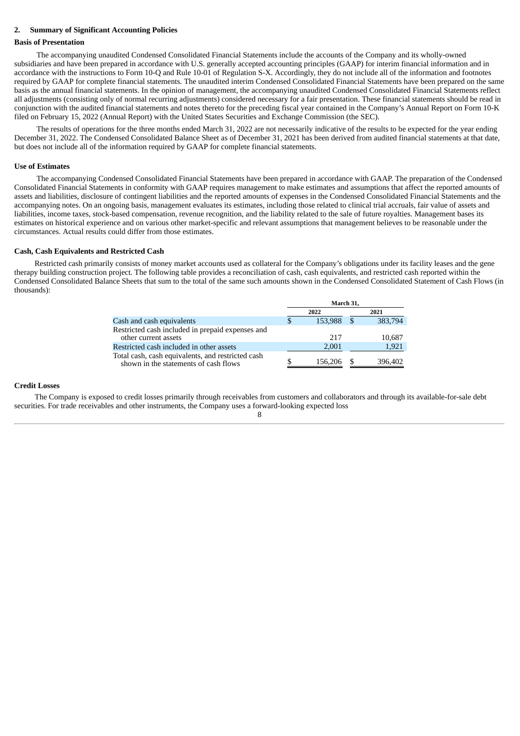## **2. Summary of Significant Accounting Policies**

#### **Basis of Presentation**

The accompanying unaudited Condensed Consolidated Financial Statements include the accounts of the Company and its wholly-owned subsidiaries and have been prepared in accordance with U.S. generally accepted accounting principles (GAAP) for interim financial information and in accordance with the instructions to Form 10-Q and Rule 10-01 of Regulation S-X. Accordingly, they do not include all of the information and footnotes required by GAAP for complete financial statements. The unaudited interim Condensed Consolidated Financial Statements have been prepared on the same basis as the annual financial statements. In the opinion of management, the accompanying unaudited Condensed Consolidated Financial Statements reflect all adjustments (consisting only of normal recurring adjustments) considered necessary for a fair presentation. These financial statements should be read in conjunction with the audited financial statements and notes thereto for the preceding fiscal year contained in the Company's Annual Report on Form 10-K filed on February 15, 2022 (Annual Report) with the United States Securities and Exchange Commission (the SEC).

The results of operations for the three months ended March 31, 2022 are not necessarily indicative of the results to be expected for the year ending December 31, 2022. The Condensed Consolidated Balance Sheet as of December 31, 2021 has been derived from audited financial statements at that date, but does not include all of the information required by GAAP for complete financial statements.

#### **Use of Estimates**

The accompanying Condensed Consolidated Financial Statements have been prepared in accordance with GAAP. The preparation of the Condensed Consolidated Financial Statements in conformity with GAAP requires management to make estimates and assumptions that affect the reported amounts of assets and liabilities, disclosure of contingent liabilities and the reported amounts of expenses in the Condensed Consolidated Financial Statements and the accompanying notes. On an ongoing basis, management evaluates its estimates, including those related to clinical trial accruals, fair value of assets and liabilities, income taxes, stock-based compensation, revenue recognition, and the liability related to the sale of future royalties. Management bases its estimates on historical experience and on various other market-specific and relevant assumptions that management believes to be reasonable under the circumstances. Actual results could differ from those estimates.

#### **Cash, Cash Equivalents and Restricted Cash**

Restricted cash primarily consists of money market accounts used as collateral for the Company's obligations under its facility leases and the gene therapy building construction project. The following table provides a reconciliation of cash, cash equivalents, and restricted cash reported within the Condensed Consolidated Balance Sheets that sum to the total of the same such amounts shown in the Condensed Consolidated Statement of Cash Flows (in thousands):

|                                                                                         | March 31. |      |         |
|-----------------------------------------------------------------------------------------|-----------|------|---------|
|                                                                                         | 2022      |      | 2021    |
| Cash and cash equivalents                                                               | 153,988   | - SS | 383,794 |
| Restricted cash included in prepaid expenses and<br>other current assets                | 217       |      | 10,687  |
| Restricted cash included in other assets                                                | 2,001     |      | 1,921   |
| Total cash, cash equivalents, and restricted cash shown in the statements of cash flows | 156,206   |      | 396,402 |

#### **Credit Losses**

The Company is exposed to credit losses primarily through receivables from customers and collaborators and through its available-for-sale debt securities. For trade receivables and other instruments, the Company uses a forward-looking expected loss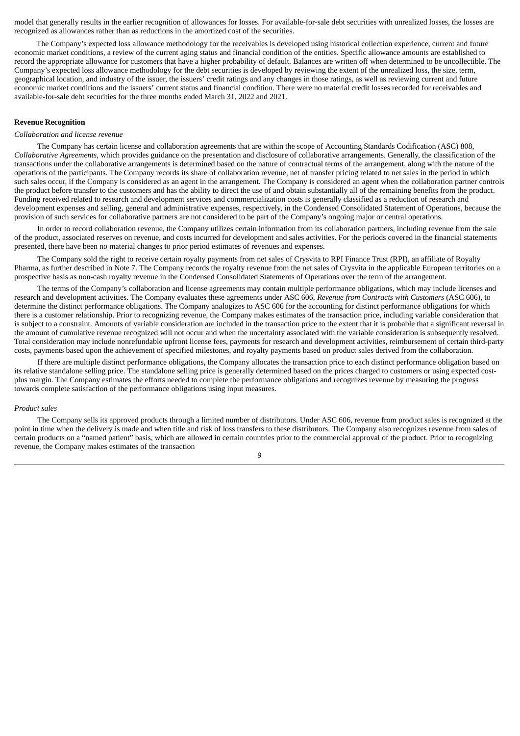model that generally results in the earlier recognition of allowances for losses. For available-for-sale debt securities with unrealized losses, the losses are recognized as allowances rather than as reductions in the amortized cost of the securities.

The Company's expected loss allowance methodology for the receivables is developed using historical collection experience, current and future economic market conditions, a review of the current aging status and financial condition of the entities. Specific allowance amounts are established to record the appropriate allowance for customers that have a higher probability of default. Balances are written off when determined to be uncollectible. The Company's expected loss allowance methodology for the debt securities is developed by reviewing the extent of the unrealized loss, the size, term, geographical location, and industry of the issuer, the issuers' credit ratings and any changes in those ratings, as well as reviewing current and future economic market conditions and the issuers' current status and financial condition. There were no material credit losses recorded for receivables and available-for-sale debt securities for the three months ended March 31, 2022 and 2021.

## **Revenue Recognition**

#### *Collaboration and license revenue*

The Company has certain license and collaboration agreements that are within the scope of Accounting Standards Codification (ASC) 808, *Collaborative Agreements*, which provides guidance on the presentation and disclosure of collaborative arrangements. Generally, the classification of the transactions under the collaborative arrangements is determined based on the nature of contractual terms of the arrangement, along with the nature of the operations of the participants. The Company records its share of collaboration revenue, net of transfer pricing related to net sales in the period in which such sales occur, if the Company is considered as an agent in the arrangement. The Company is considered an agent when the collaboration partner controls the product before transfer to the customers and has the ability to direct the use of and obtain substantially all of the remaining benefits from the product. Funding received related to research and development services and commercialization costs is generally classified as a reduction of research and development expenses and selling, general and administrative expenses, respectively, in the Condensed Consolidated Statement of Operations, because the provision of such services for collaborative partners are not considered to be part of the Company's ongoing major or central operations.

In order to record collaboration revenue, the Company utilizes certain information from its collaboration partners, including revenue from the sale of the product, associated reserves on revenue, and costs incurred for development and sales activities. For the periods covered in the financial statements presented, there have been no material changes to prior period estimates of revenues and expenses.

The Company sold the right to receive certain royalty payments from net sales of Crysvita to RPI Finance Trust (RPI), an affiliate of Royalty Pharma, as further described in Note 7. The Company records the royalty revenue from the net sales of Crysvita in the applicable European territories on a prospective basis as non-cash royalty revenue in the Condensed Consolidated Statements of Operations over the term of the arrangement.

The terms of the Company's collaboration and license agreements may contain multiple performance obligations, which may include licenses and research and development activities. The Company evaluates these agreements under ASC 606, *Revenue from Contracts with Customers* (ASC 606), to determine the distinct performance obligations. The Company analogizes to ASC 606 for the accounting for distinct performance obligations for which there is a customer relationship. Prior to recognizing revenue, the Company makes estimates of the transaction price, including variable consideration that is subject to a constraint. Amounts of variable consideration are included in the transaction price to the extent that it is probable that a significant reversal in the amount of cumulative revenue recognized will not occur and when the uncertainty associated with the variable consideration is subsequently resolved. Total consideration may include nonrefundable upfront license fees, payments for research and development activities, reimbursement of certain third-party costs, payments based upon the achievement of specified milestones, and royalty payments based on product sales derived from the collaboration.

If there are multiple distinct performance obligations, the Company allocates the transaction price to each distinct performance obligation based on its relative standalone selling price. The standalone selling price is generally determined based on the prices charged to customers or using expected costplus margin. The Company estimates the efforts needed to complete the performance obligations and recognizes revenue by measuring the progress towards complete satisfaction of the performance obligations using input measures.

#### *Product sales*

The Company sells its approved products through a limited number of distributors. Under ASC 606, revenue from product sales is recognized at the point in time when the delivery is made and when title and risk of loss transfers to these distributors. The Company also recognizes revenue from sales of certain products on a "named patient" basis, which are allowed in certain countries prior to the commercial approval of the product. Prior to recognizing revenue, the Company makes estimates of the transaction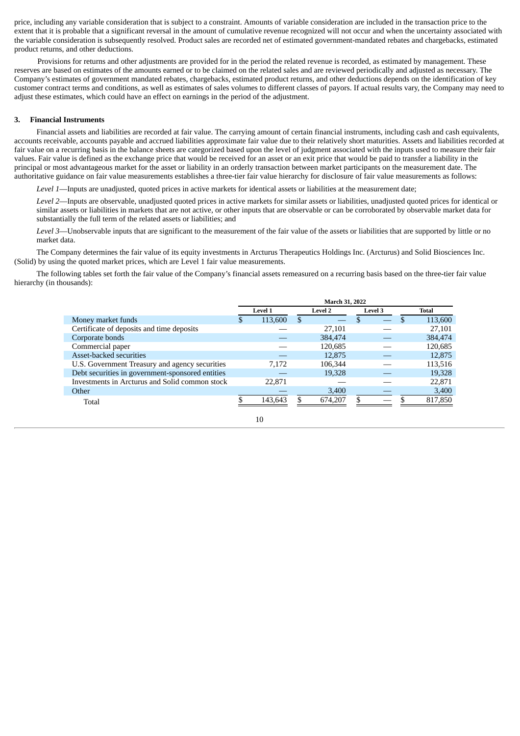price, including any variable consideration that is subject to a constraint. Amounts of variable consideration are included in the transaction price to the extent that it is probable that a significant reversal in the amount of cumulative revenue recognized will not occur and when the uncertainty associated with the variable consideration is subsequently resolved. Product sales are recorded net of estimated government-mandated rebates and chargebacks, estimated product returns, and other deductions.

Provisions for returns and other adjustments are provided for in the period the related revenue is recorded, as estimated by management. These reserves are based on estimates of the amounts earned or to be claimed on the related sales and are reviewed periodically and adjusted as necessary. The Company's estimates of government mandated rebates, chargebacks, estimated product returns, and other deductions depends on the identification of key customer contract terms and conditions, as well as estimates of sales volumes to different classes of payors. If actual results vary, the Company may need to adjust these estimates, which could have an effect on earnings in the period of the adjustment.

## **3. Financial Instruments**

Financial assets and liabilities are recorded at fair value. The carrying amount of certain financial instruments, including cash and cash equivalents, accounts receivable, accounts payable and accrued liabilities approximate fair value due to their relatively short maturities. Assets and liabilities recorded at fair value on a recurring basis in the balance sheets are categorized based upon the level of judgment associated with the inputs used to measure their fair values. Fair value is defined as the exchange price that would be received for an asset or an exit price that would be paid to transfer a liability in the principal or most advantageous market for the asset or liability in an orderly transaction between market participants on the measurement date. The authoritative guidance on fair value measurements establishes a three-tier fair value hierarchy for disclosure of fair value measurements as follows:

*Level 1*—Inputs are unadjusted, quoted prices in active markets for identical assets or liabilities at the measurement date;

*Level 2*—Inputs are observable, unadjusted quoted prices in active markets for similar assets or liabilities, unadjusted quoted prices for identical or similar assets or liabilities in markets that are not active, or other inputs that are observable or can be corroborated by observable market data for substantially the full term of the related assets or liabilities; and

*Level 3*—Unobservable inputs that are significant to the measurement of the fair value of the assets or liabilities that are supported by little or no market data.

The Company determines the fair value of its equity investments in Arcturus Therapeutics Holdings Inc. (Arcturus) and Solid Biosciences Inc. (Solid) by using the quoted market prices, which are Level 1 fair value measurements.

The following tables set forth the fair value of the Company's financial assets remeasured on a recurring basis based on the three-tier fair value hierarchy (in thousands):

| March 31, 2022 |         |    |         |    |  |                |         |  |  |
|----------------|---------|----|---------|----|--|----------------|---------|--|--|
|                | Level 1 |    | Level 2 |    |  | Total          |         |  |  |
| .n             | 113,600 | £. |         | S  |  | £.             | 113,600 |  |  |
|                |         |    | 27,101  |    |  |                | 27,101  |  |  |
|                |         |    | 384,474 |    |  |                | 384,474 |  |  |
|                |         |    | 120.685 |    |  |                | 120,685 |  |  |
|                |         |    | 12,875  |    |  |                | 12,875  |  |  |
|                | 7,172   |    | 106,344 |    |  |                | 113,516 |  |  |
|                |         |    | 19,328  |    |  |                | 19,328  |  |  |
|                | 22,871  |    |         |    |  |                | 22,871  |  |  |
|                |         |    | 3,400   |    |  |                | 3,400   |  |  |
|                | 143,643 |    | 674,207 | \$ |  |                | 817,850 |  |  |
|                |         |    |         |    |  | <b>Level 3</b> |         |  |  |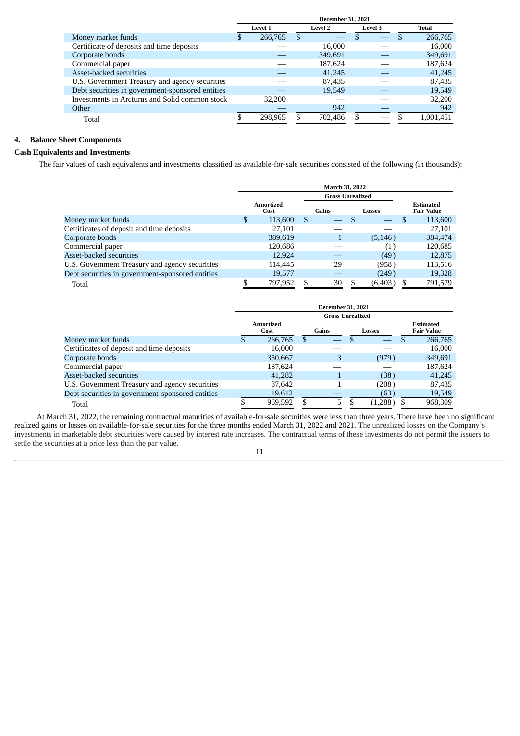|                                                  | <b>December 31, 2021</b> |         |   |                |   |         |              |           |  |  |
|--------------------------------------------------|--------------------------|---------|---|----------------|---|---------|--------------|-----------|--|--|
|                                                  |                          | Level 1 |   | <b>Level 2</b> |   | Level 3 | <b>Total</b> |           |  |  |
| Money market funds                               | S.                       | 266,765 | S |                |   |         | -S           | 266,765   |  |  |
| Certificate of deposits and time deposits        |                          |         |   | 16,000         |   |         |              | 16,000    |  |  |
| Corporate bonds                                  |                          |         |   | 349,691        |   |         |              | 349,691   |  |  |
| Commercial paper                                 |                          |         |   | 187,624        |   |         |              | 187,624   |  |  |
| Asset-backed securities                          |                          |         |   | 41,245         |   |         |              | 41,245    |  |  |
| U.S. Government Treasury and agency securities   |                          |         |   | 87,435         |   |         |              | 87,435    |  |  |
| Debt securities in government-sponsored entities |                          |         |   | 19,549         |   |         |              | 19,549    |  |  |
| Investments in Arcturus and Solid common stock   |                          | 32,200  |   |                |   |         |              | 32,200    |  |  |
| Other                                            |                          |         |   | 942            |   |         |              | 942       |  |  |
| Total                                            |                          | 298.965 |   | 702,486        | Я |         |              | 1,001,451 |  |  |

## **4. Balance Sheet Components**

## **Cash Equivalents and Investments**

The fair values of cash equivalents and investments classified as available-for-sale securities consisted of the following (in thousands):

|                                                  |   | March 31, 2022           |   |       |  |          |  |                                       |
|--------------------------------------------------|---|--------------------------|---|-------|--|----------|--|---------------------------------------|
|                                                  |   | <b>Gross Unrealized</b>  |   |       |  |          |  |                                       |
|                                                  |   | <b>Amortized</b><br>Cost |   | Gains |  | Losses   |  | <b>Estimated</b><br><b>Fair Value</b> |
| Money market funds                               | S | 113,600                  | S |       |  |          |  | 113,600                               |
| Certificates of deposit and time deposits        |   | 27,101                   |   |       |  |          |  | 27,101                                |
| Corporate bonds                                  |   | 389,619                  |   |       |  | (5, 146) |  | 384,474                               |
| Commercial paper                                 |   | 120,686                  |   |       |  | (1)      |  | 120,685                               |
| Asset-backed securities                          |   | 12.924                   |   |       |  | (49)     |  | 12,875                                |
| U.S. Government Treasury and agency securities   |   | 114,445                  |   | 29    |  | (958)    |  | 113,516                               |
| Debt securities in government-sponsored entities |   | 19,577                   |   |       |  | (249)    |  | 19,328                                |
| Total                                            |   | 797,952                  |   | 30    |  | (6, 403) |  | 791,579                               |

|                                                  | <b>December 31, 2021</b> |                   |    |                         |  |         |  |                                       |
|--------------------------------------------------|--------------------------|-------------------|----|-------------------------|--|---------|--|---------------------------------------|
|                                                  |                          |                   |    | <b>Gross Unrealized</b> |  |         |  |                                       |
|                                                  |                          | Amortized<br>Cost |    | Gains                   |  | Losses  |  | <b>Estimated</b><br><b>Fair Value</b> |
| Money market funds                               | S.                       | 266,765           | \$ |                         |  |         |  | 266,765                               |
| Certificates of deposit and time deposits        |                          | 16.000            |    |                         |  |         |  | 16,000                                |
| Corporate bonds                                  |                          | 350,667           |    | 3                       |  | (979)   |  | 349,691                               |
| Commercial paper                                 |                          | 187,624           |    |                         |  |         |  | 187,624                               |
| Asset-backed securities                          |                          | 41,282            |    |                         |  | (38)    |  | 41,245                                |
| U.S. Government Treasury and agency securities   |                          | 87,642            |    |                         |  | (208)   |  | 87,435                                |
| Debt securities in government-sponsored entities |                          | 19,612            |    |                         |  | (63)    |  | 19,549                                |
| Total                                            |                          | 969,592           |    | 5                       |  | (1,288) |  | 968,309                               |

At March 31, 2022, the remaining contractual maturities of available-for-sale securities were less than three years. There have been no significant realized gains or losses on available-for-sale securities for the three months ended March 31, 2022 and 2021. The unrealized losses on the Company's investments in marketable debt securities were caused by interest rate increases. The contractual terms of these investments do not permit the issuers to settle the securities at a price less than the par value.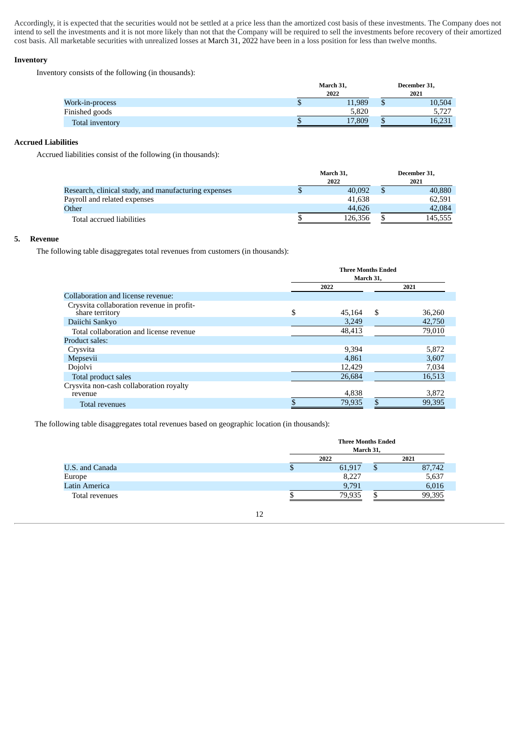Accordingly, it is expected that the securities would not be settled at a price less than the amortized cost basis of these investments. The Company does not intend to sell the investments and it is not more likely than not that the Company will be required to sell the investments before recovery of their amortized cost basis. All marketable securities with unrealized losses at March 31, 2022 have been in a loss position for less than twelve months.

## **Inventory**

Inventory consists of the following (in thousands):

|                 | March 31, |    | December 31, |  |
|-----------------|-----------|----|--------------|--|
|                 | 2022      |    | 2021         |  |
| Work-in-process | 11,989    |    | 10,504       |  |
| Finished goods  | 5,820     |    | 5,727        |  |
| Total inventory | 17,809    | ۰D | 16,231       |  |

## **Accrued Liabilities**

Accrued liabilities consist of the following (in thousands):

|                                                      | March 31, |  | December 31, |
|------------------------------------------------------|-----------|--|--------------|
|                                                      | 2022      |  | 2021         |
| Research, clinical study, and manufacturing expenses | 40,092    |  | 40,880       |
| Payroll and related expenses                         | 41.638    |  | 62.591       |
| Other                                                | 44,626    |  | 42,084       |
| Total accrued liabilities                            | 126.356   |  | 145.555      |

## **5. Revenue**

The following table disaggregates total revenues from customers (in thousands):

|                                                              | <b>Three Months Ended</b><br>March 31, |    |        |  |  |
|--------------------------------------------------------------|----------------------------------------|----|--------|--|--|
|                                                              | 2022                                   |    | 2021   |  |  |
| Collaboration and license revenue:                           |                                        |    |        |  |  |
| Crysvita collaboration revenue in profit-<br>share territory | \$<br>45,164                           | S  | 36,260 |  |  |
| Daiichi Sankyo                                               | 3,249                                  |    | 42,750 |  |  |
| Total collaboration and license revenue                      | 48,413                                 |    | 79,010 |  |  |
| Product sales:                                               |                                        |    |        |  |  |
| Crysvita                                                     | 9,394                                  |    | 5,872  |  |  |
| Mepsevii                                                     | 4,861                                  |    | 3,607  |  |  |
| Dojolvi                                                      | 12,429                                 |    | 7,034  |  |  |
| Total product sales                                          | 26,684                                 |    | 16,513 |  |  |
| Crysvita non-cash collaboration royalty<br>revenue           | 4,838                                  |    | 3,872  |  |  |
| Total revenues                                               | 79,935                                 | \$ | 99,395 |  |  |

The following table disaggregates total revenues based on geographic location (in thousands):

|                      |   | <b>Three Months Ended</b><br>March 31, |    |        |  |  |  |
|----------------------|---|----------------------------------------|----|--------|--|--|--|
|                      |   | 2022                                   |    | 2021   |  |  |  |
| U.S. and Canada      | Φ | 61,917                                 | ۰D | 87,742 |  |  |  |
| Europe               |   | 8,227                                  |    | 5,637  |  |  |  |
| <b>Latin America</b> |   | 9,791                                  |    | 6,016  |  |  |  |
| Total revenues       |   | 79,935                                 |    | 99,395 |  |  |  |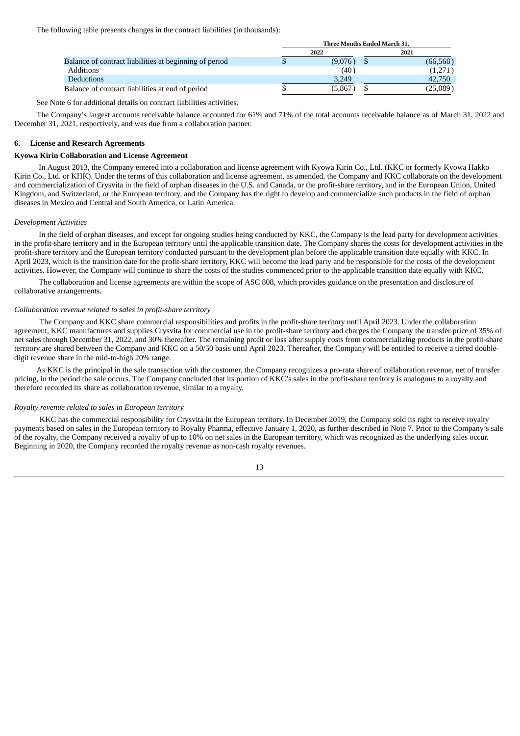The following table presents changes in the contract liabilities (in thousands):

|                                                        | Three Months Ended March 31, |         |  |           |  |
|--------------------------------------------------------|------------------------------|---------|--|-----------|--|
|                                                        |                              | 2022    |  | 2021      |  |
| Balance of contract liabilities at beginning of period |                              | (9,076) |  | (66, 568) |  |
| <b>Additions</b>                                       |                              | (40)    |  | (1,271)   |  |
| <b>Deductions</b>                                      |                              | 3.249   |  | 42,750    |  |
| Balance of contract liabilities at end of period       |                              | (5,867  |  | 25,089    |  |

See Note 6 for additional details on contract liabilities activities.

The Company's largest accounts receivable balance accounted for 61% and 71% of the total accounts receivable balance as of March 31, 2022 and December 31, 2021, respectively, and was due from a collaboration partner.

#### **6. License and Research Agreements**

#### **Kyowa Kirin Collaboration and License Agreement**

In August 2013, the Company entered into a collaboration and license agreement with Kyowa Kirin Co., Ltd. (KKC or formerly Kyowa Hakko Kirin Co., Ltd. or KHK). Under the terms of this collaboration and license agreement, as amended, the Company and KKC collaborate on the development and commercialization of Crysvita in the field of orphan diseases in the U.S. and Canada, or the profit-share territory, and in the European Union, United Kingdom, and Switzerland, or the European territory, and the Company has the right to develop and commercialize such products in the field of orphan diseases in Mexico and Central and South America, or Latin America.

#### *Development Activities*

In the field of orphan diseases, and except for ongoing studies being conducted by KKC, the Company is the lead party for development activities in the profit-share territory and in the European territory until the applicable transition date. The Company shares the costs for development activities in the profit-share territory and the European territory conducted pursuant to the development plan before the applicable transition date equally with KKC. In April 2023, which is the transition date for the profit-share territory, KKC will become the lead party and be responsible for the costs of the development activities. However, the Company will continue to share the costs of the studies commenced prior to the applicable transition date equally with KKC.

The collaboration and license agreements are within the scope of ASC 808, which provides guidance on the presentation and disclosure of collaborative arrangements.

#### *Collaboration revenue related to sales in profit-share territory*

The Company and KKC share commercial responsibilities and profits in the profit-share territory until April 2023. Under the collaboration agreement, KKC manufactures and supplies Crysvita for commercial use in the profit-share territory and charges the Company the transfer price of 35% of net sales through December 31, 2022, and 30% thereafter. The remaining profit or loss after supply costs from commercializing products in the profit-share territory are shared between the Company and KKC on a 50/50 basis until April 2023. Thereafter, the Company will be entitled to receive a tiered doubledigit revenue share in the mid-to-high 20% range.

As KKC is the principal in the sale transaction with the customer, the Company recognizes a pro-rata share of collaboration revenue, net of transfer pricing, in the period the sale occurs. The Company concluded that its portion of KKC's sales in the profit-share territory is analogous to a royalty and therefore recorded its share as collaboration revenue, similar to a royalty.

#### *Royalty revenue related to sales in European territory*

KKC has the commercial responsibility for Crysvita in the European territory. In December 2019, the Company sold its right to receive royalty payments based on sales in the European territory to Royalty Pharma, effective January 1, 2020, as further described in Note 7. Prior to the Company's sale of the royalty, the Company received a royalty of up to 10% on net sales in the European territory, which was recognized as the underlying sales occur. Beginning in 2020, the Company recorded the royalty revenue as non-cash royalty revenues.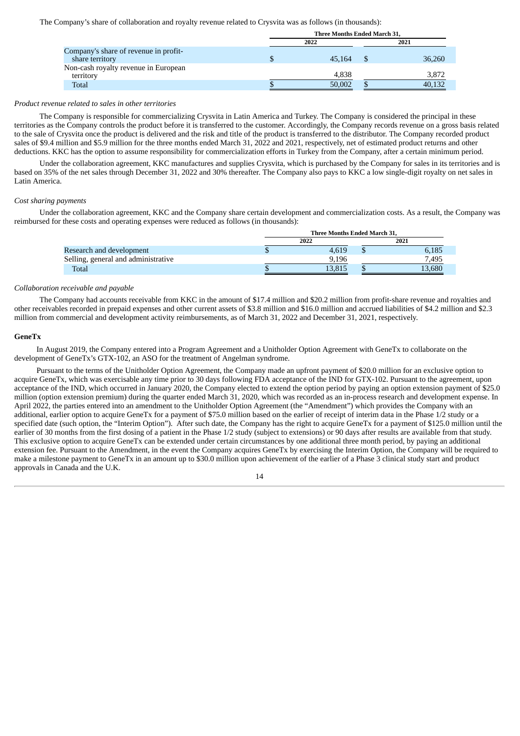The Company's share of collaboration and royalty revenue related to Crysvita was as follows (in thousands):

|                                                          |   | Three Months Ended March 31, |  |        |  |  |  |
|----------------------------------------------------------|---|------------------------------|--|--------|--|--|--|
|                                                          |   | 2022                         |  | 2021   |  |  |  |
| Company's share of revenue in profit-<br>share territory | ъ | 45.164                       |  | 36,260 |  |  |  |
| Non-cash royalty revenue in European<br>territory        |   | 4,838                        |  | 3,872  |  |  |  |
| <b>Total</b>                                             |   | 50,002                       |  | 40,132 |  |  |  |

## *Product revenue related to sales in other territories*

The Company is responsible for commercializing Crysvita in Latin America and Turkey. The Company is considered the principal in these territories as the Company controls the product before it is transferred to the customer. Accordingly, the Company records revenue on a gross basis related to the sale of Crysvita once the product is delivered and the risk and title of the product is transferred to the distributor. The Company recorded product sales of \$9.4 million and \$5.9 million for the three months ended March 31, 2022 and 2021, respectively, net of estimated product returns and other deductions. KKC has the option to assume responsibility for commercialization efforts in Turkey from the Company, after a certain minimum period.

Under the collaboration agreement, KKC manufactures and supplies Crysvita, which is purchased by the Company for sales in its territories and is based on 35% of the net sales through December 31, 2022 and 30% thereafter. The Company also pays to KKC a low single-digit royalty on net sales in Latin America.

## *Cost sharing payments*

Under the collaboration agreement, KKC and the Company share certain development and commercialization costs. As a result, the Company was reimbursed for these costs and operating expenses were reduced as follows (in thousands):

|                                     | <b>Three Months Ended March 31.</b> |        |  |        |  |  |
|-------------------------------------|-------------------------------------|--------|--|--------|--|--|
|                                     |                                     | 2022   |  | 2021   |  |  |
| Research and development            |                                     | 4.619  |  | 6.185  |  |  |
| Selling, general and administrative |                                     | 9.196  |  | 7.495  |  |  |
| Total                               |                                     | 13.815 |  | 13,680 |  |  |
|                                     |                                     |        |  |        |  |  |

#### *Collaboration receivable and payable*

The Company had accounts receivable from KKC in the amount of \$17.4 million and \$20.2 million from profit-share revenue and royalties and other receivables recorded in prepaid expenses and other current assets of \$3.8 million and \$16.0 million and accrued liabilities of \$4.2 million and \$2.3 million from commercial and development activity reimbursements, as of March 31, 2022 and December 31, 2021, respectively.

## **GeneTx**

In August 2019, the Company entered into a Program Agreement and a Unitholder Option Agreement with GeneTx to collaborate on the development of GeneTx's GTX-102, an ASO for the treatment of Angelman syndrome.

Pursuant to the terms of the Unitholder Option Agreement, the Company made an upfront payment of \$20.0 million for an exclusive option to acquire GeneTx, which was exercisable any time prior to 30 days following FDA acceptance of the IND for GTX-102. Pursuant to the agreement, upon acceptance of the IND, which occurred in January 2020, the Company elected to extend the option period by paying an option extension payment of \$25.0 million (option extension premium) during the quarter ended March 31, 2020, which was recorded as an in-process research and development expense. In April 2022, the parties entered into an amendment to the Unitholder Option Agreement (the "Amendment") which provides the Company with an additional, earlier option to acquire GeneTx for a payment of \$75.0 million based on the earlier of receipt of interim data in the Phase 1/2 study or a specified date (such option, the "Interim Option"). After such date, the Company has the right to acquire GeneTx for a payment of \$125.0 million until the earlier of 30 months from the first dosing of a patient in the Phase 1/2 study (subject to extensions) or 90 days after results are available from that study. This exclusive option to acquire GeneTx can be extended under certain circumstances by one additional three month period, by paying an additional extension fee. Pursuant to the Amendment, in the event the Company acquires GeneTx by exercising the Interim Option, the Company will be required to make a milestone payment to GeneTx in an amount up to \$30.0 million upon achievement of the earlier of a Phase 3 clinical study start and product approvals in Canada and the U.K.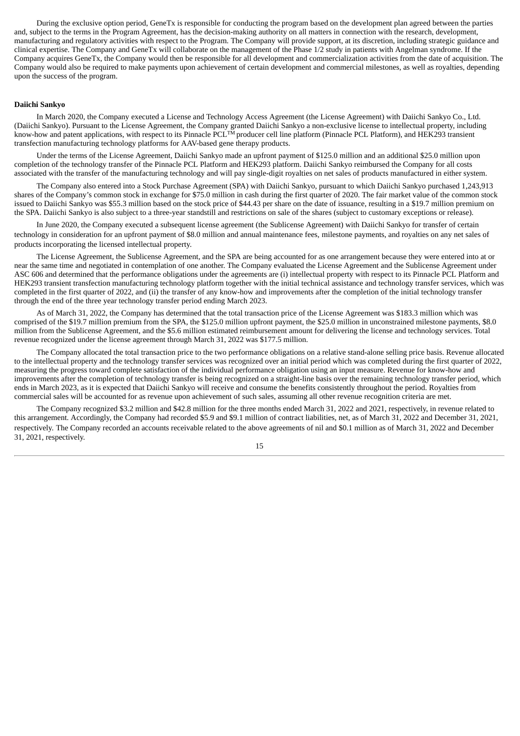During the exclusive option period, GeneTx is responsible for conducting the program based on the development plan agreed between the parties and, subject to the terms in the Program Agreement, has the decision-making authority on all matters in connection with the research, development, manufacturing and regulatory activities with respect to the Program. The Company will provide support, at its discretion, including strategic guidance and clinical expertise. The Company and GeneTx will collaborate on the management of the Phase 1/2 study in patients with Angelman syndrome. If the Company acquires GeneTx, the Company would then be responsible for all development and commercialization activities from the date of acquisition. The Company would also be required to make payments upon achievement of certain development and commercial milestones, as well as royalties, depending upon the success of the program.

#### **Daiichi Sankyo**

In March 2020, the Company executed a License and Technology Access Agreement (the License Agreement) with Daiichi Sankyo Co., Ltd. (Daiichi Sankyo). Pursuant to the License Agreement, the Company granted Daiichi Sankyo a non-exclusive license to intellectual property, including know-how and patent applications, with respect to its Pinnacle PCL<sup>TM</sup> producer cell line platform (Pinnacle PCL Platform), and HEK293 transient transfection manufacturing technology platforms for AAV-based gene therapy products.

Under the terms of the License Agreement, Daiichi Sankyo made an upfront payment of \$125.0 million and an additional \$25.0 million upon completion of the technology transfer of the Pinnacle PCL Platform and HEK293 platform. Daiichi Sankyo reimbursed the Company for all costs associated with the transfer of the manufacturing technology and will pay single-digit royalties on net sales of products manufactured in either system.

The Company also entered into a Stock Purchase Agreement (SPA) with Daiichi Sankyo, pursuant to which Daiichi Sankyo purchased 1,243,913 shares of the Company's common stock in exchange for \$75.0 million in cash during the first quarter of 2020. The fair market value of the common stock issued to Daiichi Sankyo was \$55.3 million based on the stock price of \$44.43 per share on the date of issuance, resulting in a \$19.7 million premium on the SPA. Daiichi Sankyo is also subject to a three-year standstill and restrictions on sale of the shares (subject to customary exceptions or release).

In June 2020, the Company executed a subsequent license agreement (the Sublicense Agreement) with Daiichi Sankyo for transfer of certain technology in consideration for an upfront payment of \$8.0 million and annual maintenance fees, milestone payments, and royalties on any net sales of products incorporating the licensed intellectual property.

The License Agreement, the Sublicense Agreement, and the SPA are being accounted for as one arrangement because they were entered into at or near the same time and negotiated in contemplation of one another. The Company evaluated the License Agreement and the Sublicense Agreement under ASC 606 and determined that the performance obligations under the agreements are (i) intellectual property with respect to its Pinnacle PCL Platform and HEK293 transient transfection manufacturing technology platform together with the initial technical assistance and technology transfer services, which was completed in the first quarter of 2022, and (ii) the transfer of any know-how and improvements after the completion of the initial technology transfer through the end of the three year technology transfer period ending March 2023.

As of March 31, 2022, the Company has determined that the total transaction price of the License Agreement was \$183.3 million which was comprised of the \$19.7 million premium from the SPA, the \$125.0 million upfront payment, the \$25.0 million in unconstrained milestone payments, \$8.0 million from the Sublicense Agreement, and the \$5.6 million estimated reimbursement amount for delivering the license and technology services. Total revenue recognized under the license agreement through March 31, 2022 was \$177.5 million.

The Company allocated the total transaction price to the two performance obligations on a relative stand-alone selling price basis. Revenue allocated to the intellectual property and the technology transfer services was recognized over an initial period which was completed during the first quarter of 2022, measuring the progress toward complete satisfaction of the individual performance obligation using an input measure. Revenue for know-how and improvements after the completion of technology transfer is being recognized on a straight-line basis over the remaining technology transfer period, which ends in March 2023, as it is expected that Daiichi Sankyo will receive and consume the benefits consistently throughout the period. Royalties from commercial sales will be accounted for as revenue upon achievement of such sales, assuming all other revenue recognition criteria are met.

The Company recognized \$3.2 million and \$42.8 million for the three months ended March 31, 2022 and 2021, respectively, in revenue related to this arrangement. Accordingly, the Company had recorded \$5.9 and \$9.1 million of contract liabilities, net, as of March 31, 2022 and December 31, 2021, respectively. The Company recorded an accounts receivable related to the above agreements of nil and \$0.1 million as of March 31, 2022 and December 31, 2021, respectively.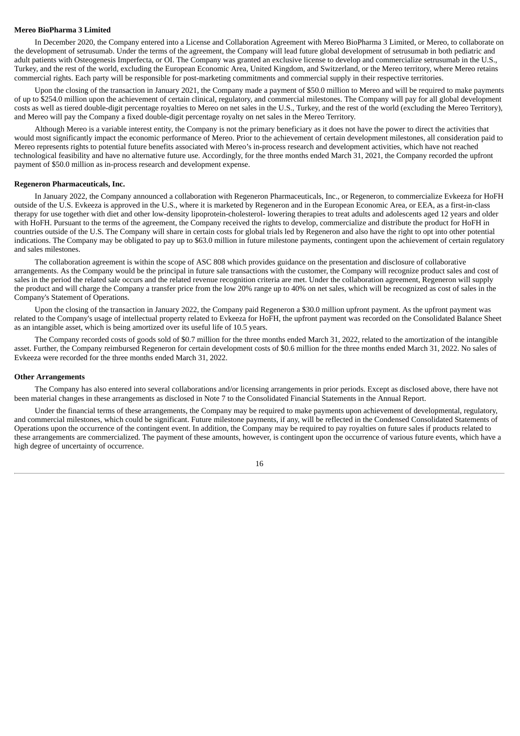#### **Mereo BioPharma 3 Limited**

In December 2020, the Company entered into a License and Collaboration Agreement with Mereo BioPharma 3 Limited, or Mereo, to collaborate on the development of setrusumab. Under the terms of the agreement, the Company will lead future global development of setrusumab in both pediatric and adult patients with Osteogenesis Imperfecta, or OI. The Company was granted an exclusive license to develop and commercialize setrusumab in the U.S., Turkey, and the rest of the world, excluding the European Economic Area, United Kingdom, and Switzerland, or the Mereo territory, where Mereo retains commercial rights. Each party will be responsible for post-marketing commitments and commercial supply in their respective territories.

Upon the closing of the transaction in January 2021, the Company made a payment of \$50.0 million to Mereo and will be required to make payments of up to \$254.0 million upon the achievement of certain clinical, regulatory, and commercial milestones. The Company will pay for all global development costs as well as tiered double-digit percentage royalties to Mereo on net sales in the U.S., Turkey, and the rest of the world (excluding the Mereo Territory), and Mereo will pay the Company a fixed double-digit percentage royalty on net sales in the Mereo Territory.

Although Mereo is a variable interest entity, the Company is not the primary beneficiary as it does not have the power to direct the activities that would most significantly impact the economic performance of Mereo. Prior to the achievement of certain development milestones, all consideration paid to Mereo represents rights to potential future benefits associated with Mereo's in-process research and development activities, which have not reached technological feasibility and have no alternative future use. Accordingly, for the three months ended March 31, 2021, the Company recorded the upfront payment of \$50.0 million as in-process research and development expense.

#### **Regeneron Pharmaceuticals, Inc.**

In January 2022, the Company announced a collaboration with Regeneron Pharmaceuticals, Inc., or Regeneron, to commercialize Evkeeza for HoFH outside of the U.S. Evkeeza is approved in the U.S., where it is marketed by Regeneron and in the European Economic Area, or EEA, as a first-in-class therapy for use together with diet and other low-density lipoprotein-cholesterol- lowering therapies to treat adults and adolescents aged 12 years and older with HoFH. Pursuant to the terms of the agreement, the Company received the rights to develop, commercialize and distribute the product for HoFH in countries outside of the U.S. The Company will share in certain costs for global trials led by Regeneron and also have the right to opt into other potential indications. The Company may be obligated to pay up to \$63.0 million in future milestone payments, contingent upon the achievement of certain regulatory and sales milestones.

The collaboration agreement is within the scope of ASC 808 which provides guidance on the presentation and disclosure of collaborative arrangements. As the Company would be the principal in future sale transactions with the customer, the Company will recognize product sales and cost of sales in the period the related sale occurs and the related revenue recognition criteria are met. Under the collaboration agreement, Regeneron will supply the product and will charge the Company a transfer price from the low 20% range up to 40% on net sales, which will be recognized as cost of sales in the Company's Statement of Operations.

Upon the closing of the transaction in January 2022, the Company paid Regeneron a \$30.0 million upfront payment. As the upfront payment was related to the Company's usage of intellectual property related to Evkeeza for HoFH, the upfront payment was recorded on the Consolidated Balance Sheet as an intangible asset, which is being amortized over its useful life of 10.5 years.

The Company recorded costs of goods sold of \$0.7 million for the three months ended March 31, 2022, related to the amortization of the intangible asset. Further, the Company reimbursed Regeneron for certain development costs of \$0.6 million for the three months ended March 31, 2022. No sales of Evkeeza were recorded for the three months ended March 31, 2022.

#### **Other Arrangements**

The Company has also entered into several collaborations and/or licensing arrangements in prior periods. Except as disclosed above, there have not been material changes in these arrangements as disclosed in Note 7 to the Consolidated Financial Statements in the Annual Report.

Under the financial terms of these arrangements, the Company may be required to make payments upon achievement of developmental, regulatory, and commercial milestones, which could be significant. Future milestone payments, if any, will be reflected in the Condensed Consolidated Statements of Operations upon the occurrence of the contingent event. In addition, the Company may be required to pay royalties on future sales if products related to these arrangements are commercialized. The payment of these amounts, however, is contingent upon the occurrence of various future events, which have a high degree of uncertainty of occurrence.

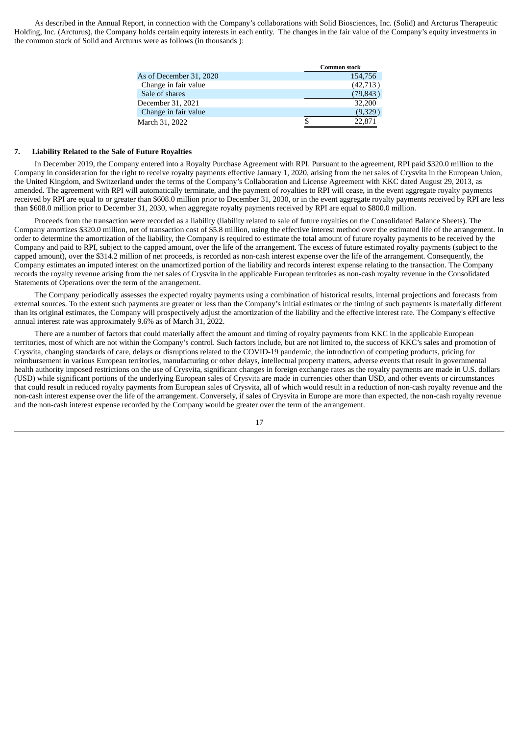As described in the Annual Report, in connection with the Company's collaborations with Solid Biosciences, Inc. (Solid) and Arcturus Therapeutic Holding, Inc. (Arcturus), the Company holds certain equity interests in each entity. The changes in the fair value of the Company's equity investments in the common stock of Solid and Arcturus were as follows (in thousands ):

|                         | <b>Common stock</b> |
|-------------------------|---------------------|
| As of December 31, 2020 | 154,756             |
| Change in fair value    | (42,713)            |
| Sale of shares          | (79, 843)           |
| December 31, 2021       | 32,200              |
| Change in fair value    | (9,329)             |
| March 31, 2022          | 22,871              |

#### **7. Liability Related to the Sale of Future Royalties**

In December 2019, the Company entered into a Royalty Purchase Agreement with RPI. Pursuant to the agreement, RPI paid \$320.0 million to the Company in consideration for the right to receive royalty payments effective January 1, 2020, arising from the net sales of Crysvita in the European Union, the United Kingdom, and Switzerland under the terms of the Company's Collaboration and License Agreement with KKC dated August 29, 2013, as amended. The agreement with RPI will automatically terminate, and the payment of royalties to RPI will cease, in the event aggregate royalty payments received by RPI are equal to or greater than \$608.0 million prior to December 31, 2030, or in the event aggregate royalty payments received by RPI are less than \$608.0 million prior to December 31, 2030, when aggregate royalty payments received by RPI are equal to \$800.0 million.

Proceeds from the transaction were recorded as a liability (liability related to sale of future royalties on the Consolidated Balance Sheets). The Company amortizes \$320.0 million, net of transaction cost of \$5.8 million, using the effective interest method over the estimated life of the arrangement. In order to determine the amortization of the liability, the Company is required to estimate the total amount of future royalty payments to be received by the Company and paid to RPI, subject to the capped amount, over the life of the arrangement. The excess of future estimated royalty payments (subject to the capped amount), over the \$314.2 million of net proceeds, is recorded as non-cash interest expense over the life of the arrangement. Consequently, the Company estimates an imputed interest on the unamortized portion of the liability and records interest expense relating to the transaction. The Company records the royalty revenue arising from the net sales of Crysvita in the applicable European territories as non-cash royalty revenue in the Consolidated Statements of Operations over the term of the arrangement.

The Company periodically assesses the expected royalty payments using a combination of historical results, internal projections and forecasts from external sources. To the extent such payments are greater or less than the Company's initial estimates or the timing of such payments is materially different than its original estimates, the Company will prospectively adjust the amortization of the liability and the effective interest rate. The Company's effective annual interest rate was approximately 9.6% as of March 31, 2022.

There are a number of factors that could materially affect the amount and timing of royalty payments from KKC in the applicable European territories, most of which are not within the Company's control. Such factors include, but are not limited to, the success of KKC's sales and promotion of Crysvita, changing standards of care, delays or disruptions related to the COVID-19 pandemic, the introduction of competing products, pricing for reimbursement in various European territories, manufacturing or other delays, intellectual property matters, adverse events that result in governmental health authority imposed restrictions on the use of Crysvita, significant changes in foreign exchange rates as the royalty payments are made in U.S. dollars (USD) while significant portions of the underlying European sales of Crysvita are made in currencies other than USD, and other events or circumstances that could result in reduced royalty payments from European sales of Crysvita, all of which would result in a reduction of non-cash royalty revenue and the non-cash interest expense over the life of the arrangement. Conversely, if sales of Crysvita in Europe are more than expected, the non-cash royalty revenue and the non-cash interest expense recorded by the Company would be greater over the term of the arrangement.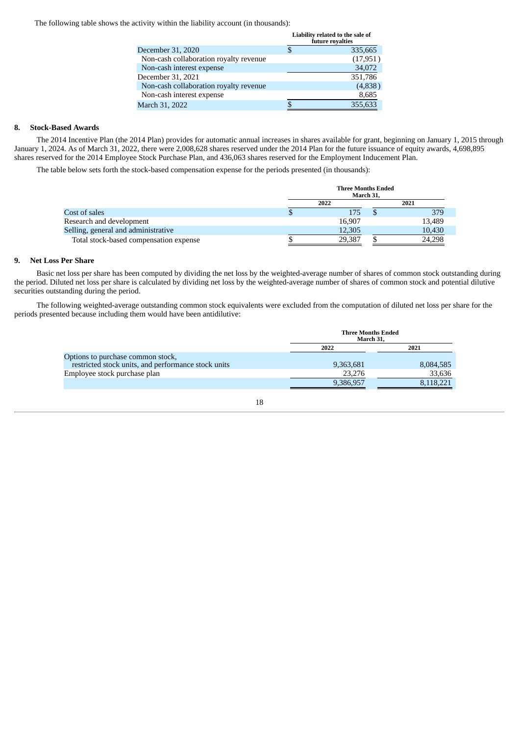The following table shows the activity within the liability account (in thousands):

|                                        |   | Liability related to the sale of<br>future royalties |
|----------------------------------------|---|------------------------------------------------------|
| December 31, 2020                      | S | 335,665                                              |
| Non-cash collaboration royalty revenue |   | (17, 951)                                            |
| Non-cash interest expense              |   | 34,072                                               |
| December 31, 2021                      |   | 351,786                                              |
| Non-cash collaboration royalty revenue |   | (4,838)                                              |
| Non-cash interest expense              |   | 8,685                                                |
| March 31, 2022                         |   | 355,633                                              |
|                                        |   |                                                      |

## **8. Stock-Based Awards**

The 2014 Incentive Plan (the 2014 Plan) provides for automatic annual increases in shares available for grant, beginning on January 1, 2015 through January 1, 2024. As of March 31, 2022, there were 2,008,628 shares reserved under the 2014 Plan for the future issuance of equity awards, 4,698,895 shares reserved for the 2014 Employee Stock Purchase Plan, and 436,063 shares reserved for the Employment Inducement Plan.

The table below sets forth the stock-based compensation expense for the periods presented (in thousands):

|                                        | <b>Three Months Ended</b><br>March 31, |  |        |  |  |  |
|----------------------------------------|----------------------------------------|--|--------|--|--|--|
|                                        | 2022                                   |  | 2021   |  |  |  |
| Cost of sales                          | 175                                    |  | 379    |  |  |  |
| Research and development               | 16,907                                 |  | 13,489 |  |  |  |
| Selling, general and administrative    | 12,305                                 |  | 10,430 |  |  |  |
| Total stock-based compensation expense | 29,387                                 |  | 24.298 |  |  |  |

#### **9. Net Loss Per Share**

Basic net loss per share has been computed by dividing the net loss by the weighted-average number of shares of common stock outstanding during the period. Diluted net loss per share is calculated by dividing net loss by the weighted-average number of shares of common stock and potential dilutive securities outstanding during the period.

The following weighted-average outstanding common stock equivalents were excluded from the computation of diluted net loss per share for the periods presented because including them would have been antidilutive:

|                                                                                          |           | <b>Three Months Ended</b><br>March 31. |  |  |  |  |  |
|------------------------------------------------------------------------------------------|-----------|----------------------------------------|--|--|--|--|--|
|                                                                                          | 2022      | 2021                                   |  |  |  |  |  |
| Options to purchase common stock,<br>restricted stock units, and performance stock units | 9,363,681 | 8,084,585                              |  |  |  |  |  |
| Employee stock purchase plan                                                             | 23,276    | 33,636                                 |  |  |  |  |  |
|                                                                                          | 9,386,957 | 8.118.221                              |  |  |  |  |  |

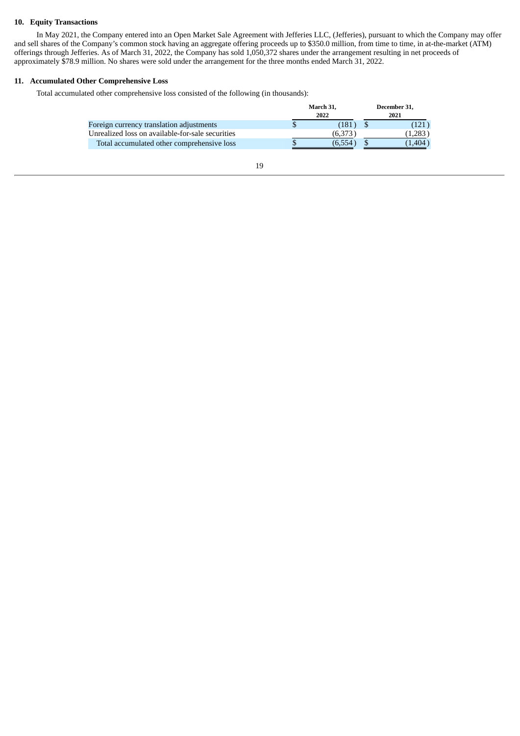## **10. Equity Transactions**

In May 2021, the Company entered into an Open Market Sale Agreement with Jefferies LLC, (Jefferies), pursuant to which the Company may offer and sell shares of the Company's common stock having an aggregate offering proceeds up to \$350.0 million, from time to time, in at-the-market (ATM) offerings through Jefferies. As of March 31, 2022, the Company has sold 1,050,372 shares under the arrangement resulting in net proceeds of approximately \$78.9 million. No shares were sold under the arrangement for the three months ended March 31, 2022.

## **11. Accumulated Other Comprehensive Loss**

Total accumulated other comprehensive loss consisted of the following (in thousands):

|         |                   | December 31, |  |
|---------|-------------------|--------------|--|
|         | 2021              |              |  |
| 181     |                   |              |  |
| (6,373) |                   | (1.283)      |  |
| (6,554  |                   | 1.404        |  |
|         | March 31.<br>2022 |              |  |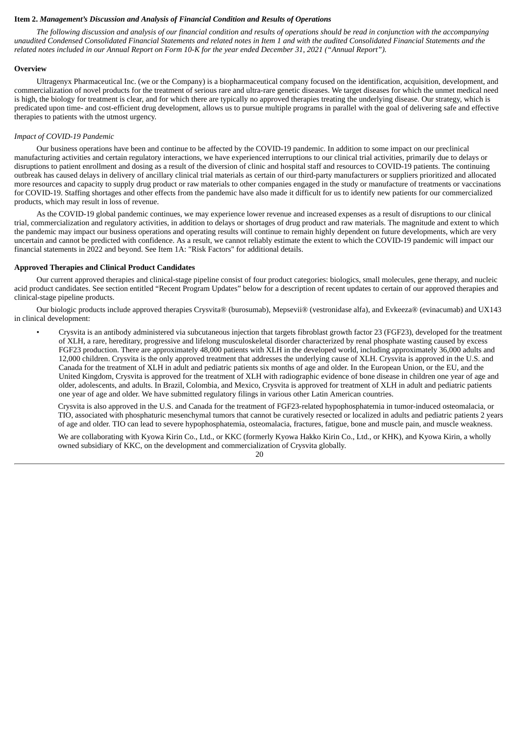#### <span id="page-21-0"></span>**Item 2.** *Management's Discussion and Analysis of Financial Condition and Results of Operations*

The following discussion and analysis of our financial condition and results of operations should be read in conjunction with the accompanying unaudited Condensed Consolidated Financial Statements and related notes in Item 1 and with the audited Consolidated Financial Statements and the related notes included in our Annual Report on Form 10-K for the year ended December 31, 2021 ("Annual Report").

#### **Overview**

Ultragenyx Pharmaceutical Inc. (we or the Company) is a biopharmaceutical company focused on the identification, acquisition, development, and commercialization of novel products for the treatment of serious rare and ultra-rare genetic diseases. We target diseases for which the unmet medical need is high, the biology for treatment is clear, and for which there are typically no approved therapies treating the underlying disease. Our strategy, which is predicated upon time- and cost-efficient drug development, allows us to pursue multiple programs in parallel with the goal of delivering safe and effective therapies to patients with the utmost urgency.

#### *Impact of COVID-19 Pandemic*

Our business operations have been and continue to be affected by the COVID-19 pandemic. In addition to some impact on our preclinical manufacturing activities and certain regulatory interactions, we have experienced interruptions to our clinical trial activities, primarily due to delays or disruptions to patient enrollment and dosing as a result of the diversion of clinic and hospital staff and resources to COVID-19 patients. The continuing outbreak has caused delays in delivery of ancillary clinical trial materials as certain of our third-party manufacturers or suppliers prioritized and allocated more resources and capacity to supply drug product or raw materials to other companies engaged in the study or manufacture of treatments or vaccinations for COVID-19. Staffing shortages and other effects from the pandemic have also made it difficult for us to identify new patients for our commercialized products, which may result in loss of revenue.

As the COVID-19 global pandemic continues, we may experience lower revenue and increased expenses as a result of disruptions to our clinical trial, commercialization and regulatory activities, in addition to delays or shortages of drug product and raw materials. The magnitude and extent to which the pandemic may impact our business operations and operating results will continue to remain highly dependent on future developments, which are very uncertain and cannot be predicted with confidence. As a result, we cannot reliably estimate the extent to which the COVID-19 pandemic will impact our financial statements in 2022 and beyond. See Item 1A: "Risk Factors" for additional details.

#### **Approved Therapies and Clinical Product Candidates**

Our current approved therapies and clinical-stage pipeline consist of four product categories: biologics, small molecules, gene therapy, and nucleic acid product candidates. See section entitled "Recent Program Updates" below for a description of recent updates to certain of our approved therapies and clinical-stage pipeline products.

Our biologic products include approved therapies Crysvita® (burosumab), Mepsevii® (vestronidase alfa), and Evkeeza® (evinacumab) and UX143 in clinical development:

• Crysvita is an antibody administered via subcutaneous injection that targets fibroblast growth factor 23 (FGF23), developed for the treatment of XLH, a rare, hereditary, progressive and lifelong musculoskeletal disorder characterized by renal phosphate wasting caused by excess FGF23 production. There are approximately 48,000 patients with XLH in the developed world, including approximately 36,000 adults and 12,000 children. Crysvita is the only approved treatment that addresses the underlying cause of XLH. Crysvita is approved in the U.S. and Canada for the treatment of XLH in adult and pediatric patients six months of age and older. In the European Union, or the EU, and the United Kingdom, Crysvita is approved for the treatment of XLH with radiographic evidence of bone disease in children one year of age and older, adolescents, and adults. In Brazil, Colombia, and Mexico, Crysvita is approved for treatment of XLH in adult and pediatric patients one year of age and older. We have submitted regulatory filings in various other Latin American countries.

Crysvita is also approved in the U.S. and Canada for the treatment of FGF23-related hypophosphatemia in tumor-induced osteomalacia, or TIO, associated with phosphaturic mesenchymal tumors that cannot be curatively resected or localized in adults and pediatric patients 2 years of age and older. TIO can lead to severe hypophosphatemia, osteomalacia, fractures, fatigue, bone and muscle pain, and muscle weakness.

We are collaborating with Kyowa Kirin Co., Ltd., or KKC (formerly Kyowa Hakko Kirin Co., Ltd., or KHK), and Kyowa Kirin, a wholly owned subsidiary of KKC, on the development and commercialization of Crysvita globally.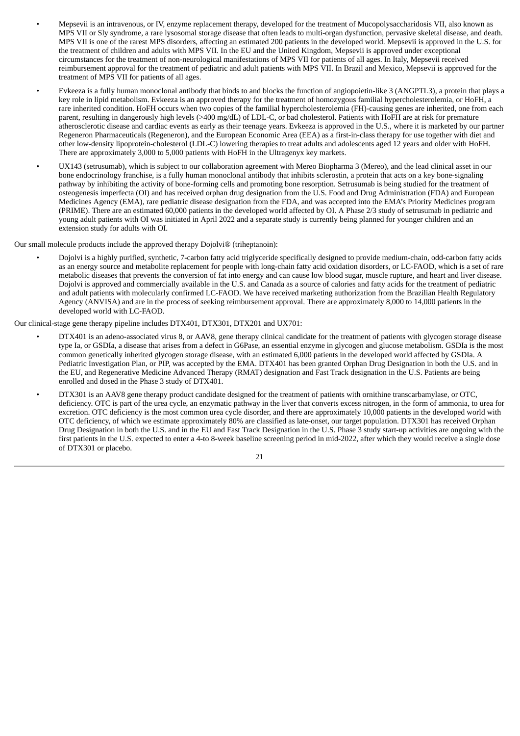- Mepsevii is an intravenous, or IV, enzyme replacement therapy, developed for the treatment of Mucopolysaccharidosis VII, also known as MPS VII or Sly syndrome, a rare lysosomal storage disease that often leads to multi-organ dysfunction, pervasive skeletal disease, and death. MPS VII is one of the rarest MPS disorders, affecting an estimated 200 patients in the developed world. Mepsevii is approved in the U.S. for the treatment of children and adults with MPS VII. In the EU and the United Kingdom, Mepsevii is approved under exceptional circumstances for the treatment of non-neurological manifestations of MPS VII for patients of all ages. In Italy, Mepsevii received reimbursement approval for the treatment of pediatric and adult patients with MPS VII. In Brazil and Mexico, Mepsevii is approved for the treatment of MPS VII for patients of all ages.
- Evkeeza is a fully human monoclonal antibody that binds to and blocks the function of angiopoietin-like 3 (ANGPTL3), a protein that plays a key role in lipid metabolism. Evkeeza is an approved therapy for the treatment of homozygous familial hypercholesterolemia, or HoFH, a rare inherited condition. HoFH occurs when two copies of the familial hypercholesterolemia (FH)-causing genes are inherited, one from each parent, resulting in dangerously high levels (>400 mg/dL) of LDL-C, or bad cholesterol. Patients with HoFH are at risk for premature atherosclerotic disease and cardiac events as early as their teenage years. Evkeeza is approved in the U.S., where it is marketed by our partner Regeneron Pharmaceuticals (Regeneron), and the European Economic Area (EEA) as a first-in-class therapy for use together with diet and other low-density lipoprotein-cholesterol (LDL-C) lowering therapies to treat adults and adolescents aged 12 years and older with HoFH. There are approximately 3,000 to 5,000 patients with HoFH in the Ultragenyx key markets.
- UX143 (setrusumab), which is subject to our collaboration agreement with Mereo Biopharma 3 (Mereo), and the lead clinical asset in our bone endocrinology franchise, is a fully human monoclonal antibody that inhibits sclerostin, a protein that acts on a key bone-signaling pathway by inhibiting the activity of bone-forming cells and promoting bone resorption. Setrusumab is being studied for the treatment of osteogenesis imperfecta (OI) and has received orphan drug designation from the U.S. Food and Drug Administration (FDA) and European Medicines Agency (EMA), rare pediatric disease designation from the FDA, and was accepted into the EMA's Priority Medicines program (PRIME). There are an estimated 60,000 patients in the developed world affected by OI. A Phase 2/3 study of setrusumab in pediatric and young adult patients with OI was initiated in April 2022 and a separate study is currently being planned for younger children and an extension study for adults with OI.

Our small molecule products include the approved therapy Dojolvi® (triheptanoin):

• Dojolvi is a highly purified, synthetic, 7-carbon fatty acid triglyceride specifically designed to provide medium-chain, odd-carbon fatty acids as an energy source and metabolite replacement for people with long-chain fatty acid oxidation disorders, or LC-FAOD, which is a set of rare metabolic diseases that prevents the conversion of fat into energy and can cause low blood sugar, muscle rupture, and heart and liver disease. Dojolvi is approved and commercially available in the U.S. and Canada as a source of calories and fatty acids for the treatment of pediatric and adult patients with molecularly confirmed LC-FAOD. We have received marketing authorization from the Brazilian Health Regulatory Agency (ANVISA) and are in the process of seeking reimbursement approval. There are approximately 8,000 to 14,000 patients in the developed world with LC-FAOD.

Our clinical-stage gene therapy pipeline includes DTX401, DTX301, DTX201 and UX701:

- DTX401 is an adeno-associated virus 8, or AAV8, gene therapy clinical candidate for the treatment of patients with glycogen storage disease type Ia, or GSDIa, a disease that arises from a defect in G6Pase, an essential enzyme in glycogen and glucose metabolism. GSDIa is the most common genetically inherited glycogen storage disease, with an estimated 6,000 patients in the developed world affected by GSDIa. A Pediatric Investigation Plan, or PIP, was accepted by the EMA. DTX401 has been granted Orphan Drug Designation in both the U.S. and in the EU, and Regenerative Medicine Advanced Therapy (RMAT) designation and Fast Track designation in the U.S. Patients are being enrolled and dosed in the Phase 3 study of DTX401.
- DTX301 is an AAV8 gene therapy product candidate designed for the treatment of patients with ornithine transcarbamylase, or OTC, deficiency. OTC is part of the urea cycle, an enzymatic pathway in the liver that converts excess nitrogen, in the form of ammonia, to urea for excretion. OTC deficiency is the most common urea cycle disorder, and there are approximately 10,000 patients in the developed world with OTC deficiency, of which we estimate approximately 80% are classified as late-onset, our target population. DTX301 has received Orphan Drug Designation in both the U.S. and in the EU and Fast Track Designation in the U.S. Phase 3 study start-up activities are ongoing with the first patients in the U.S. expected to enter a 4-to 8-week baseline screening period in mid-2022, after which they would receive a single dose of DTX301 or placebo.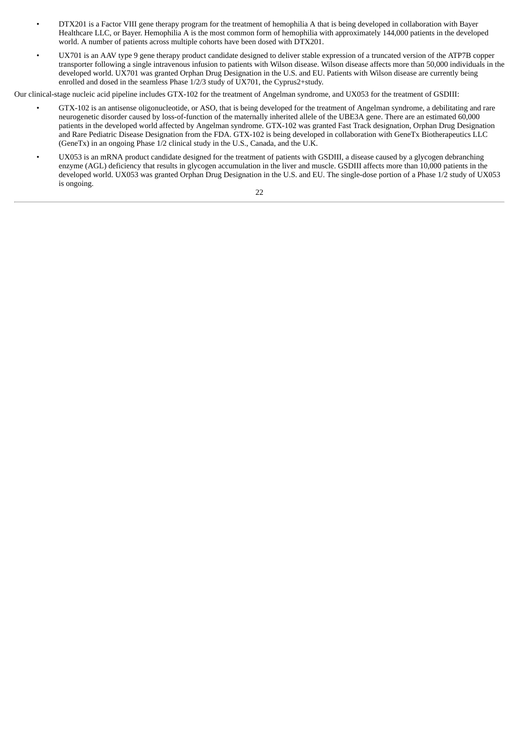- DTX201 is a Factor VIII gene therapy program for the treatment of hemophilia A that is being developed in collaboration with Bayer Healthcare LLC, or Bayer. Hemophilia A is the most common form of hemophilia with approximately 144,000 patients in the developed world. A number of patients across multiple cohorts have been dosed with DTX201.
- UX701 is an AAV type 9 gene therapy product candidate designed to deliver stable expression of a truncated version of the ATP7B copper transporter following a single intravenous infusion to patients with Wilson disease. Wilson disease affects more than 50,000 individuals in the developed world. UX701 was granted Orphan Drug Designation in the U.S. and EU. Patients with Wilson disease are currently being enrolled and dosed in the seamless Phase 1/2/3 study of UX701, the Cyprus2+study.

Our clinical-stage nucleic acid pipeline includes GTX-102 for the treatment of Angelman syndrome, and UX053 for the treatment of GSDIII:

- GTX-102 is an antisense oligonucleotide, or ASO, that is being developed for the treatment of Angelman syndrome, a debilitating and rare neurogenetic disorder caused by loss-of-function of the maternally inherited allele of the UBE3A gene. There are an estimated 60,000 patients in the developed world affected by Angelman syndrome. GTX-102 was granted Fast Track designation, Orphan Drug Designation and Rare Pediatric Disease Designation from the FDA. GTX-102 is being developed in collaboration with GeneTx Biotherapeutics LLC (GeneTx) in an ongoing Phase 1/2 clinical study in the U.S., Canada, and the U.K.
- UX053 is an mRNA product candidate designed for the treatment of patients with GSDIII, a disease caused by a glycogen debranching enzyme (AGL) deficiency that results in glycogen accumulation in the liver and muscle. GSDIII affects more than 10,000 patients in the developed world. UX053 was granted Orphan Drug Designation in the U.S. and EU. The single-dose portion of a Phase 1/2 study of UX053 is ongoing.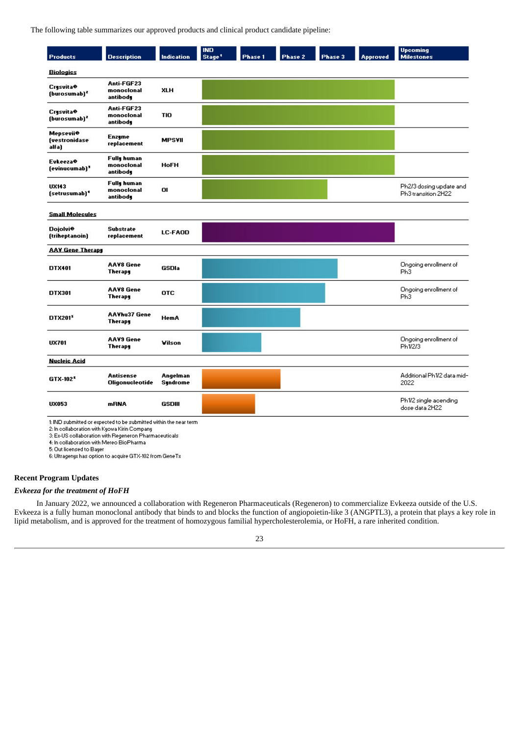The following table summarizes our approved products and clinical product candidate pipeline:

| <b>Products</b>                                 | <b>Description</b>                           | <b>Indication</b>           | <b>IND</b><br>Stage <sup>1</sup> | <b>Phase 1</b> | Phase 2 | Phase 3 | <b>Approved</b> | <b>Upcoming</b><br><b>Milestones</b>           |
|-------------------------------------------------|----------------------------------------------|-----------------------------|----------------------------------|----------------|---------|---------|-----------------|------------------------------------------------|
| <b>Biologics</b>                                |                                              |                             |                                  |                |         |         |                 |                                                |
| <b>Crysvita®</b><br>(burosumab) <sup>2</sup>    | Anti-FGF23<br>monoclonal<br>antibody         | <b>XLH</b>                  |                                  |                |         |         |                 |                                                |
| Crysvita⊕<br>(burosumab) <sup>2</sup>           | Anti-FGF23<br>monoclonal<br>antibody         | <b>TIO</b>                  |                                  |                |         |         |                 |                                                |
| Mepsevii <sup>o</sup><br>(vestronidase<br>alfa) | <b>Enzyme</b><br>replacement                 | <b>MPSVII</b>               |                                  |                |         |         |                 |                                                |
| <b>Evkeeza</b> <sup>⊕</sup><br>(evinucumab)'    | <b>Fully human</b><br>monoclonal<br>antibody | <b>HoFH</b>                 |                                  |                |         |         |                 |                                                |
| UX143<br>(setrusumab) <sup>4</sup>              | <b>Fully human</b><br>monoclonal<br>antibody | OI                          |                                  |                |         |         |                 | Ph2/3 dosing update and<br>Ph3 transition 2H22 |
| <b>Small Molecules</b>                          |                                              |                             |                                  |                |         |         |                 |                                                |
| <b>Dojolvi<sup>®</sup></b><br>(triheptanoin)    | <b>Substrate</b><br>replacement              | LC-FAOD                     |                                  |                |         |         |                 |                                                |
| <b>AAY Gene Therapy</b>                         |                                              |                             |                                  |                |         |         |                 |                                                |
| DTX401                                          | <b>AAV8 Gene</b><br><b>Therapy</b>           | GSDIa                       |                                  |                |         |         |                 | Ongoing enrollment of<br>Ph <sub>3</sub>       |
| DTX301                                          | <b>AAV8 Gene</b><br>Therapy                  | <b>OTC</b>                  |                                  |                |         |         |                 | Ongoing enrollment of<br>Ph <sub>3</sub>       |
| DTX2015                                         | <b>AAVhu37 Gene</b><br>Therapy               | <b>HemA</b>                 |                                  |                |         |         |                 |                                                |
| <b>UX701</b>                                    | <b>AAV9</b> Gene<br>Therapy                  | Vilson                      |                                  |                |         |         |                 | Ongoing enrollment of<br>Ph1/2/3               |
| <b>Nucleic Acid</b>                             |                                              |                             |                                  |                |         |         |                 |                                                |
| GTX-102 <sup>5</sup>                            | <b>Antisense</b><br><b>Oligonucleotide</b>   | Angelman<br><b>Syndrome</b> |                                  |                |         |         |                 | Additional Ph1/2 data mid-<br>2022             |
| <b>UX053</b>                                    | mRNA                                         | <b>GSDIII</b>               |                                  |                |         |         |                 | Ph1/2 single acending<br>dose data 2H22        |

1: IND submitted or expected to be submitted within the near term

Final summer of experience to be summitted in<br>2: In collaboration with Kyowa Kirin Company<br>3: Ex-US collaboration with Regeneron Pharmaceuticals<br>4: In collaboration with Mereo BioPharma<br>5: Out licensed to Bayer

6: Ultragenys has option to acquire GTX-102 from GeneTs

## **Recent Program Updates**

## *Evkeeza for the treatment of HoFH*

In January 2022, we announced a collaboration with Regeneron Pharmaceuticals (Regeneron) to commercialize Evkeeza outside of the U.S. Evkeeza is a fully human monoclonal antibody that binds to and blocks the function of angiopoietin-like 3 (ANGPTL3), a protein that plays a key role in lipid metabolism, and is approved for the treatment of homozygous familial hypercholesterolemia, or HoFH, a rare inherited condition.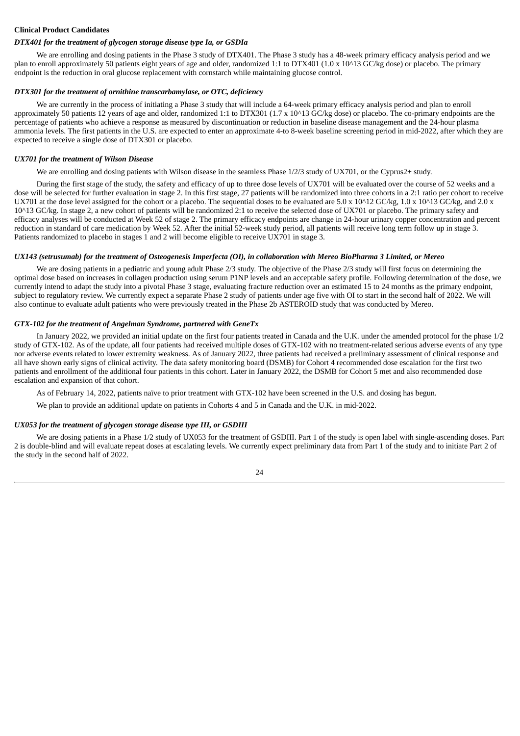## **Clinical Product Candidates**

#### *DTX401 for the treatment of glycogen storage disease type Ia, or GSDIa*

We are enrolling and dosing patients in the Phase 3 study of DTX401. The Phase 3 study has a 48-week primary efficacy analysis period and we plan to enroll approximately 50 patients eight years of age and older, randomized 1:1 to DTX401 (1.0 x 10^13 GC/kg dose) or placebo. The primary endpoint is the reduction in oral glucose replacement with cornstarch while maintaining glucose control.

## *DTX301 for the treatment of ornithine transcarbamylase, or OTC, deficiency*

We are currently in the process of initiating a Phase 3 study that will include a 64-week primary efficacy analysis period and plan to enroll approximately 50 patients 12 years of age and older, randomized 1:1 to DTX301 (1.7 x 10^13 GC/kg dose) or placebo. The co-primary endpoints are the percentage of patients who achieve a response as measured by discontinuation or reduction in baseline disease management and the 24-hour plasma ammonia levels. The first patients in the U.S. are expected to enter an approximate 4-to 8-week baseline screening period in mid-2022, after which they are expected to receive a single dose of DTX301 or placebo.

#### *UX701 for the treatment of Wilson Disease*

We are enrolling and dosing patients with Wilson disease in the seamless Phase 1/2/3 study of UX701, or the Cyprus2+ study.

During the first stage of the study, the safety and efficacy of up to three dose levels of UX701 will be evaluated over the course of 52 weeks and a dose will be selected for further evaluation in stage 2. In this first stage, 27 patients will be randomized into three cohorts in a 2:1 ratio per cohort to receive UX701 at the dose level assigned for the cohort or a placebo. The sequential doses to be evaluated are 5.0 x 10^12 GC/kg, 1.0 x 10^13 GC/kg, and 2.0 x 10^13 GC/kg. In stage 2, a new cohort of patients will be randomized 2:1 to receive the selected dose of UX701 or placebo. The primary safety and efficacy analyses will be conducted at Week 52 of stage 2. The primary efficacy endpoints are change in 24-hour urinary copper concentration and percent reduction in standard of care medication by Week 52. After the initial 52-week study period, all patients will receive long term follow up in stage 3. Patients randomized to placebo in stages 1 and 2 will become eligible to receive UX701 in stage 3.

#### UX143 (setrusumab) for the treatment of Osteogenesis Imperfecta (OI), in collaboration with Mereo BioPharma 3 Limited, or Mereo

We are dosing patients in a pediatric and young adult Phase 2/3 study. The objective of the Phase 2/3 study will first focus on determining the optimal dose based on increases in collagen production using serum P1NP levels and an acceptable safety profile. Following determination of the dose, we currently intend to adapt the study into a pivotal Phase 3 stage, evaluating fracture reduction over an estimated 15 to 24 months as the primary endpoint, subject to regulatory review. We currently expect a separate Phase 2 study of patients under age five with OI to start in the second half of 2022. We will also continue to evaluate adult patients who were previously treated in the Phase 2b ASTEROID study that was conducted by Mereo.

## *GTX-102 for the treatment of Angelman Syndrome, partnered with GeneTx*

In January 2022, we provided an initial update on the first four patients treated in Canada and the U.K. under the amended protocol for the phase 1/2 study of GTX-102. As of the update, all four patients had received multiple doses of GTX-102 with no treatment-related serious adverse events of any type nor adverse events related to lower extremity weakness. As of January 2022, three patients had received a preliminary assessment of clinical response and all have shown early signs of clinical activity. The data safety monitoring board (DSMB) for Cohort 4 recommended dose escalation for the first two patients and enrollment of the additional four patients in this cohort. Later in January 2022, the DSMB for Cohort 5 met and also recommended dose escalation and expansion of that cohort.

As of February 14, 2022, patients naïve to prior treatment with GTX-102 have been screened in the U.S. and dosing has begun.

We plan to provide an additional update on patients in Cohorts 4 and 5 in Canada and the U.K. in mid-2022.

## *UX053 for the treatment of glycogen storage disease type III, or GSDIII*

We are dosing patients in a Phase 1/2 study of UX053 for the treatment of GSDIII. Part 1 of the study is open label with single-ascending doses. Part 2 is double-blind and will evaluate repeat doses at escalating levels. We currently expect preliminary data from Part 1 of the study and to initiate Part 2 of the study in the second half of 2022.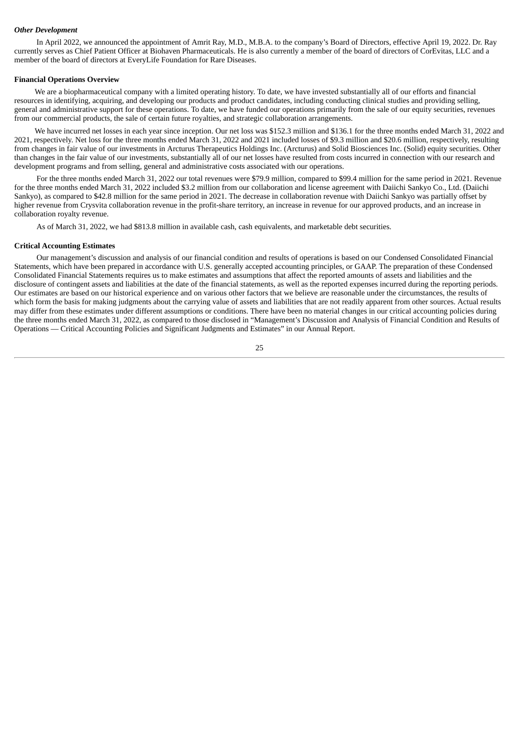#### *Other Development*

In April 2022, we announced the appointment of Amrit Ray, M.D., M.B.A. to the company's Board of Directors, effective April 19, 2022. Dr. Ray currently serves as Chief Patient Officer at Biohaven Pharmaceuticals. He is also currently a member of the board of directors of CorEvitas, LLC and a member of the board of directors at EveryLife Foundation for Rare Diseases.

#### **Financial Operations Overview**

We are a biopharmaceutical company with a limited operating history. To date, we have invested substantially all of our efforts and financial resources in identifying, acquiring, and developing our products and product candidates, including conducting clinical studies and providing selling, general and administrative support for these operations. To date, we have funded our operations primarily from the sale of our equity securities, revenues from our commercial products, the sale of certain future royalties, and strategic collaboration arrangements.

We have incurred net losses in each year since inception. Our net loss was \$152.3 million and \$136.1 for the three months ended March 31, 2022 and 2021, respectively. Net loss for the three months ended March 31, 2022 and 2021 included losses of \$9.3 million and \$20.6 million, respectively, resulting from changes in fair value of our investments in Arcturus Therapeutics Holdings Inc. (Arcturus) and Solid Biosciences Inc. (Solid) equity securities. Other than changes in the fair value of our investments, substantially all of our net losses have resulted from costs incurred in connection with our research and development programs and from selling, general and administrative costs associated with our operations.

For the three months ended March 31, 2022 our total revenues were \$79.9 million, compared to \$99.4 million for the same period in 2021. Revenue for the three months ended March 31, 2022 included \$3.2 million from our collaboration and license agreement with Daiichi Sankyo Co., Ltd. (Daiichi Sankyo), as compared to \$42.8 million for the same period in 2021. The decrease in collaboration revenue with Daiichi Sankyo was partially offset by higher revenue from Crysvita collaboration revenue in the profit-share territory, an increase in revenue for our approved products, and an increase in collaboration royalty revenue.

As of March 31, 2022, we had \$813.8 million in available cash, cash equivalents, and marketable debt securities.

#### **Critical Accounting Estimates**

Our management's discussion and analysis of our financial condition and results of operations is based on our Condensed Consolidated Financial Statements, which have been prepared in accordance with U.S. generally accepted accounting principles, or GAAP. The preparation of these Condensed Consolidated Financial Statements requires us to make estimates and assumptions that affect the reported amounts of assets and liabilities and the disclosure of contingent assets and liabilities at the date of the financial statements, as well as the reported expenses incurred during the reporting periods. Our estimates are based on our historical experience and on various other factors that we believe are reasonable under the circumstances, the results of which form the basis for making judgments about the carrying value of assets and liabilities that are not readily apparent from other sources. Actual results may differ from these estimates under different assumptions or conditions. There have been no material changes in our critical accounting policies during the three months ended March 31, 2022, as compared to those disclosed in "Management's Discussion and Analysis of Financial Condition and Results of Operations — Critical Accounting Policies and Significant Judgments and Estimates" in our Annual Report.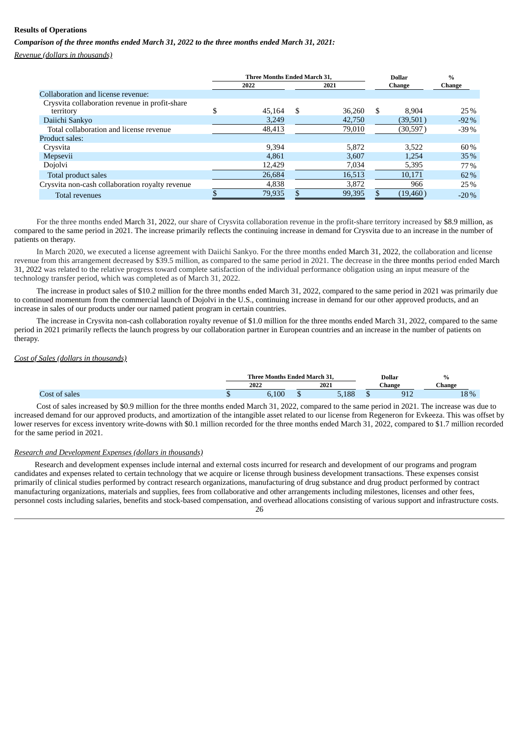## **Results of Operations**

*Comparison of the three months ended March 31, 2022 to the three months ended March 31, 2021:*

*Revenue (dollars in thousands)*

|                                                             |     | <b>Three Months Ended March 31.</b> |     |        |     | <b>Dollar</b> | $\%$   |
|-------------------------------------------------------------|-----|-------------------------------------|-----|--------|-----|---------------|--------|
|                                                             |     | 2022                                |     | 2021   |     | <b>Change</b> | Change |
| Collaboration and license revenue:                          |     |                                     |     |        |     |               |        |
| Crysvita collaboration revenue in profit-share<br>territory | ۰D. | 45.164                              | \$. | 36,260 | \$. | 8.904         | 25%    |
| Daiichi Sankyo                                              |     | 3,249                               |     | 42,750 |     | (39,501)      | $-92%$ |
| Total collaboration and license revenue                     |     | 48,413                              |     | 79,010 |     | (30, 597)     | $-39%$ |
| Product sales:                                              |     |                                     |     |        |     |               |        |
| Crysvita                                                    |     | 9.394                               |     | 5.872  |     | 3.522         | 60%    |
| Mepsevii                                                    |     | 4.861                               |     | 3.607  |     | 1.254         | 35%    |
| Dojolvi                                                     |     | 12,429                              |     | 7,034  |     | 5,395         | 77%    |
| Total product sales                                         |     | 26,684                              |     | 16,513 |     | 10,171        | 62%    |
| Crysvita non-cash collaboration royalty revenue             |     | 4,838                               |     | 3,872  |     | 966           | 25%    |
| <b>Total revenues</b>                                       |     | 79,935                              |     | 99,395 |     | (19, 460)     | $-20%$ |

For the three months ended March 31, 2022, our share of Crysvita collaboration revenue in the profit-share territory increased by \$8.9 million, as compared to the same period in 2021. The increase primarily reflects the continuing increase in demand for Crysvita due to an increase in the number of patients on therapy.

In March 2020, we executed a license agreement with Daiichi Sankyo. For the three months ended March 31, 2022, the collaboration and license revenue from this arrangement decreased by \$39.5 million, as compared to the same period in 2021. The decrease in the three months period ended March 31, 2022 was related to the relative progress toward complete satisfaction of the individual performance obligation using an input measure of the technology transfer period, which was completed as of March 31, 2022.

The increase in product sales of \$10.2 million for the three months ended March 31, 2022, compared to the same period in 2021 was primarily due to continued momentum from the commercial launch of Dojolvi in the U.S., continuing increase in demand for our other approved products, and an increase in sales of our products under our named patient program in certain countries.

The increase in Crysvita non-cash collaboration royalty revenue of \$1.0 million for the three months ended March 31, 2022, compared to the same period in 2021 primarily reflects the launch progress by our collaboration partner in European countries and an increase in the number of patients on therapy.

## *Cost of Sales (dollars in thousands)*

|              | $\sim$ $\sim$<br>Three Months Ended March 31. |  |        |  | <b>Dollar</b> | $\%$ |
|--------------|-----------------------------------------------|--|--------|--|---------------|------|
|              | 2022<br>2021                                  |  | Change |  | $Change$      |      |
| nc1<br>sales | 100<br>0.IUU                                  |  | 5,188  |  | ด1ว<br>ے د    | 18%  |

Cost of sales increased by \$0.9 million for the three months ended March 31, 2022, compared to the same period in 2021. The increase was due to increased demand for our approved products, and amortization of the intangible asset related to our license from Regeneron for Evkeeza. This was offset by lower reserves for excess inventory write-downs with \$0.1 million recorded for the three months ended March 31, 2022, compared to \$1.7 million recorded for the same period in 2021.

#### *Research and Development Expenses (dollars in thousands)*

Research and development expenses include internal and external costs incurred for research and development of our programs and program candidates and expenses related to certain technology that we acquire or license through business development transactions. These expenses consist primarily of clinical studies performed by contract research organizations, manufacturing of drug substance and drug product performed by contract manufacturing organizations, materials and supplies, fees from collaborative and other arrangements including milestones, licenses and other fees, personnel costs including salaries, benefits and stock-based compensation, and overhead allocations consisting of various support and infrastructure costs. 26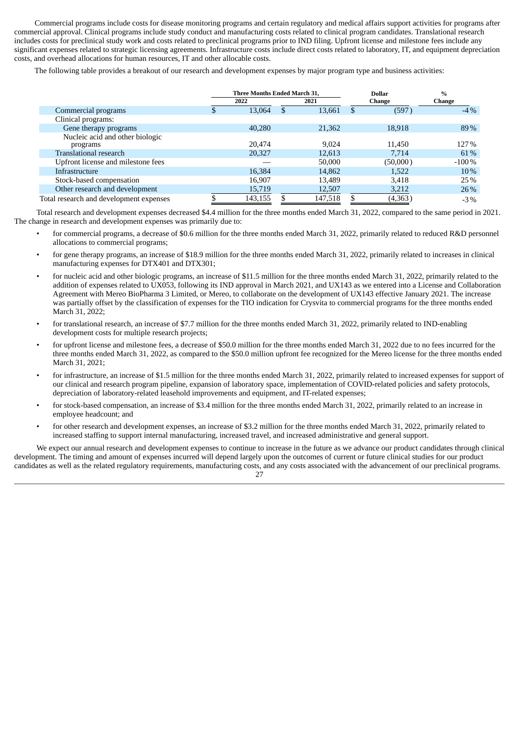Commercial programs include costs for disease monitoring programs and certain regulatory and medical affairs support activities for programs after commercial approval. Clinical programs include study conduct and manufacturing costs related to clinical program candidates. Translational research includes costs for preclinical study work and costs related to preclinical programs prior to IND filing. Upfront license and milestone fees include any significant expenses related to strategic licensing agreements. Infrastructure costs include direct costs related to laboratory, IT, and equipment depreciation costs, and overhead allocations for human resources, IT and other allocable costs.

The following table provides a breakout of our research and development expenses by major program type and business activities:

|                                         | <b>Three Months Ended March 31.</b> |              | <b>Dollar</b> | $\frac{0}{0}$ |
|-----------------------------------------|-------------------------------------|--------------|---------------|---------------|
|                                         | 2022                                | 2021         | Change        | Change        |
| Commercial programs                     | 13,064                              | \$<br>13,661 | \$<br>(597)   | $-4\%$        |
| Clinical programs:                      |                                     |              |               |               |
| Gene therapy programs                   | 40,280                              | 21,362       | 18,918        | 89%           |
| Nucleic acid and other biologic         |                                     |              |               |               |
| programs                                | 20.474                              | 9.024        | 11.450        | 127%          |
| Translational research                  | 20,327                              | 12,613       | 7.714         | 61%           |
| Upfront license and milestone fees      |                                     | 50,000       | (50,000)      | $-100%$       |
| Infrastructure                          | 16,384                              | 14,862       | 1,522         | 10%           |
| Stock-based compensation                | 16,907                              | 13,489       | 3,418         | 25%           |
| Other research and development          | 15,719                              | 12,507       | 3,212         | 26%           |
| Total research and development expenses | 143,155                             | 147,518      | (4,363)       | $-3%$         |

Total research and development expenses decreased \$4.4 million for the three months ended March 31, 2022, compared to the same period in 2021. The change in research and development expenses was primarily due to:

- for commercial programs, a decrease of \$0.6 million for the three months ended March 31, 2022, primarily related to reduced R&D personnel allocations to commercial programs;
- for gene therapy programs, an increase of \$18.9 million for the three months ended March 31, 2022, primarily related to increases in clinical manufacturing expenses for DTX401 and DTX301;
- for nucleic acid and other biologic programs, an increase of \$11.5 million for the three months ended March 31, 2022, primarily related to the addition of expenses related to UX053, following its IND approval in March 2021, and UX143 as we entered into a License and Collaboration Agreement with Mereo BioPharma 3 Limited, or Mereo, to collaborate on the development of UX143 effective January 2021. The increase was partially offset by the classification of expenses for the TIO indication for Crysvita to commercial programs for the three months ended March 31, 2022;
- for translational research, an increase of \$7.7 million for the three months ended March 31, 2022, primarily related to IND-enabling development costs for multiple research projects;
- for upfront license and milestone fees, a decrease of \$50.0 million for the three months ended March 31, 2022 due to no fees incurred for the three months ended March 31, 2022, as compared to the \$50.0 million upfront fee recognized for the Mereo license for the three months ended March 31, 2021;
- for infrastructure, an increase of \$1.5 million for the three months ended March 31, 2022, primarily related to increased expenses for support of our clinical and research program pipeline, expansion of laboratory space, implementation of COVID-related policies and safety protocols, depreciation of laboratory-related leasehold improvements and equipment, and IT-related expenses;
- for stock-based compensation, an increase of \$3.4 million for the three months ended March 31, 2022, primarily related to an increase in employee headcount; and
- for other research and development expenses, an increase of \$3.2 million for the three months ended March 31, 2022, primarily related to increased staffing to support internal manufacturing, increased travel, and increased administrative and general support.

We expect our annual research and development expenses to continue to increase in the future as we advance our product candidates through clinical development. The timing and amount of expenses incurred will depend largely upon the outcomes of current or future clinical studies for our product candidates as well as the related regulatory requirements, manufacturing costs, and any costs associated with the advancement of our preclinical programs.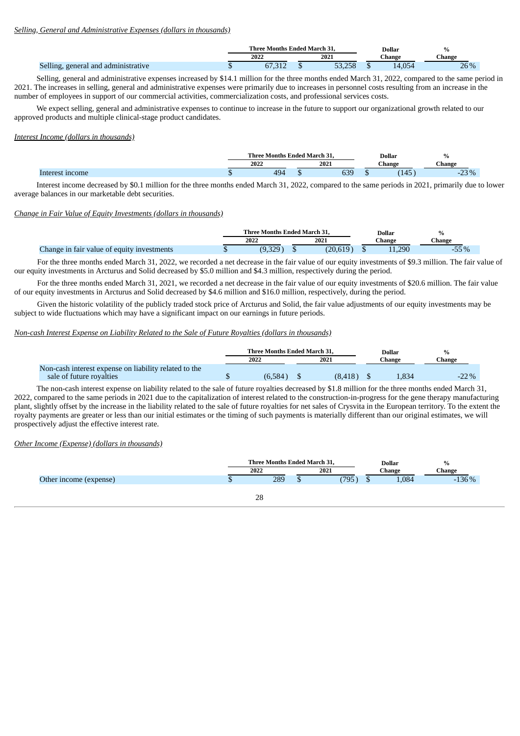#### *Selling, General and Administrative Expenses (dollars in thousands)*

|                                           | <b>Three Months Ended March 31.</b> |  |      | Dollar<br>hange |  | $\mathbf{0}$    |
|-------------------------------------------|-------------------------------------|--|------|-----------------|--|-----------------|
|                                           | 2022                                |  | 2021 |                 |  | :hange          |
| . general and administrative<br>ہ در ایم، | $CD-21$<br>ن. رن                    |  |      |                 |  | ገር በ/<br>$20\%$ |

Selling, general and administrative expenses increased by \$14.1 million for the three months ended March 31, 2022, compared to the same period in 2021. The increases in selling, general and administrative expenses were primarily due to increases in personnel costs resulting from an increase in the number of employees in support of our commercial activities, commercialization costs, and professional services costs.

We expect selling, general and administrative expenses to continue to increase in the future to support our organizational growth related to our approved products and multiple clinical-stage product candidates.

#### *Interest Income (dollars in thousands)*

|        | <b>Three Months Ended March 31.</b> |            | <b>Dollar</b><br>----- | $\%$                  |
|--------|-------------------------------------|------------|------------------------|-----------------------|
|        | 2022                                | 2021       | ∵hange                 | Change                |
| income | 19/<br>τυ                           | חכי<br>ບວະ | (115)<br>ᅶᆃᇦ           | ∕ח כיר<br>-70<br>-د∠- |

Interest income decreased by \$0.1 million for the three months ended March 31, 2022, compared to the same periods in 2021, primarily due to lower average balances in our marketable debt securities.

## *Change in Fair Value of Equity Investments (dollars in thousands)*

|                                            | Three Months Ended March 31. |  |                |  | Dollar   |        |
|--------------------------------------------|------------------------------|--|----------------|--|----------|--------|
|                                            | 2022                         |  | 2021<br>`hange |  |          | ∋hange |
| Change in fair value of equity investments | ےں,ں                         |  | 20,019         |  | $-1,290$ | -00 עכ |

For the three months ended March 31, 2022, we recorded a net decrease in the fair value of our equity investments of \$9.3 million. The fair value of our equity investments in Arcturus and Solid decreased by \$5.0 million and \$4.3 million, respectively during the period.

For the three months ended March 31, 2021, we recorded a net decrease in the fair value of our equity investments of \$20.6 million. The fair value of our equity investments in Arcturus and Solid decreased by \$4.6 million and \$16.0 million, respectively, during the period.

Given the historic volatility of the publicly traded stock price of Arcturus and Solid, the fair value adjustments of our equity investments may be subject to wide fluctuations which may have a significant impact on our earnings in future periods.

## *Non-cash Interest Expense on Liability Related to the Sale of Future Royalties (dollars in thousands)*

|                                                                                   | <b>Three Months Ended March 31.</b> |  |          |        | Dollar | %        |  |
|-----------------------------------------------------------------------------------|-------------------------------------|--|----------|--------|--------|----------|--|
|                                                                                   | 2022                                |  | 2021     | ∵hange |        | $Change$ |  |
| Non-cash interest expense on liability related to the<br>sale of future royalties | (6,584)                             |  | (8, 418) |        | 1,834  | $-22\%$  |  |

The non-cash interest expense on liability related to the sale of future royalties decreased by \$1.8 million for the three months ended March 31, 2022, compared to the same periods in 2021 due to the capitalization of interest related to the construction-in-progress for the gene therapy manufacturing plant, slightly offset by the increase in the liability related to the sale of future royalties for net sales of Crysvita in the European territory. To the extent the royalty payments are greater or less than our initial estimates or the timing of such payments is materially different than our original estimates, we will prospectively adjust the effective interest rate.

*Other Income (Expense) (dollars in thousands)*

|                        |      | Three Months Ended March 31, |      |   | <b>Dollar</b> | $\%$    |
|------------------------|------|------------------------------|------|---|---------------|---------|
|                        | 2022 |                              | 2021 |   | Change        | Change  |
| Other income (expense) |      | 289                          | (795 | ω | 1,084         | $-136%$ |
|                        |      |                              |      |   |               |         |
|                        |      | ററ                           |      |   |               |         |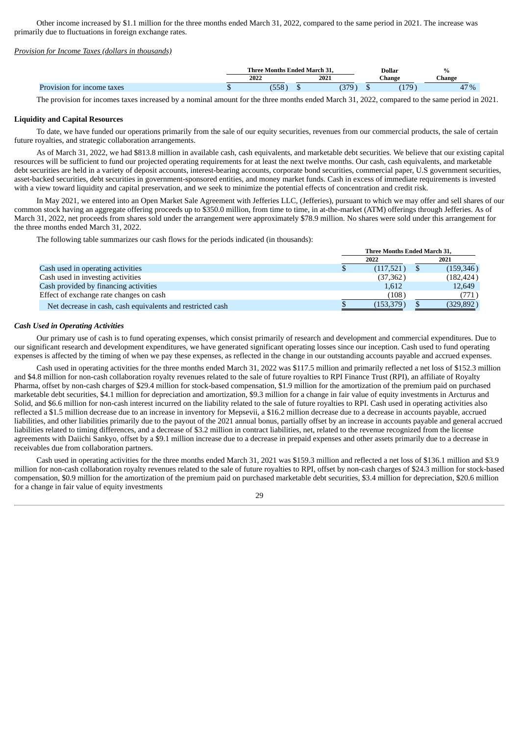Other income increased by \$1.1 million for the three months ended March 31, 2022, compared to the same period in 2021. The increase was primarily due to fluctuations in foreign exchange rates.

## *Provision for Income Taxes (dollars in thousands)*

|                            | <b>Three Months Ended March 5</b><br>$\sim$ |      |             |  | <b>Dollar</b> | $\%$                  |
|----------------------------|---------------------------------------------|------|-------------|--|---------------|-----------------------|
|                            | 2022                                        | 2021 |             |  | ∴hange        | :hange                |
| Provision for income taxes |                                             |      | חדרי<br>، ب |  | 170<br>$\pm$  | 17%<br>4 <sub>1</sub> |

The provision for incomes taxes increased by a nominal amount for the three months ended March 31, 2022, compared to the same period in 2021.

#### **Liquidity and Capital Resources**

To date, we have funded our operations primarily from the sale of our equity securities, revenues from our commercial products, the sale of certain future royalties, and strategic collaboration arrangements.

As of March 31, 2022, we had \$813.8 million in available cash, cash equivalents, and marketable debt securities. We believe that our existing capital resources will be sufficient to fund our projected operating requirements for at least the next twelve months. Our cash, cash equivalents, and marketable debt securities are held in a variety of deposit accounts, interest-bearing accounts, corporate bond securities, commercial paper, U.S government securities, asset-backed securities, debt securities in government-sponsored entities, and money market funds. Cash in excess of immediate requirements is invested with a view toward liquidity and capital preservation, and we seek to minimize the potential effects of concentration and credit risk.

In May 2021, we entered into an Open Market Sale Agreement with Jefferies LLC, (Jefferies), pursuant to which we may offer and sell shares of our common stock having an aggregate offering proceeds up to \$350.0 million, from time to time, in at-the-market (ATM) offerings through Jefferies. As of March 31, 2022, net proceeds from shares sold under the arrangement were approximately \$78.9 million. No shares were sold under this arrangement for the three months ended March 31, 2022.

The following table summarizes our cash flows for the periods indicated (in thousands):

|                                                            | Three Months Ended March 31. |            |  |            |
|------------------------------------------------------------|------------------------------|------------|--|------------|
|                                                            |                              | 2022       |  | 2021       |
| Cash used in operating activities                          | Φ                            | (117,521)  |  | (159,346)  |
| Cash used in investing activities                          |                              | (37,362)   |  | (182, 424) |
| Cash provided by financing activities                      |                              | 1,612      |  | 12,649     |
| Effect of exchange rate changes on cash                    |                              | (108)      |  | (771)      |
| Net decrease in cash, cash equivalents and restricted cash |                              | (153, 379) |  | (329, 892) |

**Three Months Ended March 31,**

#### *Cash Used in Operating Activities*

Our primary use of cash is to fund operating expenses, which consist primarily of research and development and commercial expenditures. Due to our significant research and development expenditures, we have generated significant operating losses since our inception. Cash used to fund operating expenses is affected by the timing of when we pay these expenses, as reflected in the change in our outstanding accounts payable and accrued expenses.

Cash used in operating activities for the three months ended March 31, 2022 was \$117.5 million and primarily reflected a net loss of \$152.3 million and \$4.8 million for non-cash collaboration royalty revenues related to the sale of future royalties to RPI Finance Trust (RPI), an affiliate of Royalty Pharma, offset by non-cash charges of \$29.4 million for stock-based compensation, \$1.9 million for the amortization of the premium paid on purchased marketable debt securities, \$4.1 million for depreciation and amortization, \$9.3 million for a change in fair value of equity investments in Arcturus and Solid, and \$6.6 million for non-cash interest incurred on the liability related to the sale of future royalties to RPI. Cash used in operating activities also reflected a \$1.5 million decrease due to an increase in inventory for Mepsevii, a \$16.2 million decrease due to a decrease in accounts payable, accrued liabilities, and other liabilities primarily due to the payout of the 2021 annual bonus, partially offset by an increase in accounts payable and general accrued liabilities related to timing differences, and a decrease of \$3.2 million in contract liabilities, net, related to the revenue recognized from the license agreements with Daiichi Sankyo, offset by a \$9.1 million increase due to a decrease in prepaid expenses and other assets primarily due to a decrease in receivables due from collaboration partners.

Cash used in operating activities for the three months ended March 31, 2021 was \$159.3 million and reflected a net loss of \$136.1 million and \$3.9 million for non-cash collaboration royalty revenues related to the sale of future royalties to RPI, offset by non-cash charges of \$24.3 million for stock-based compensation, \$0.9 million for the amortization of the premium paid on purchased marketable debt securities, \$3.4 million for depreciation, \$20.6 million for a change in fair value of equity investments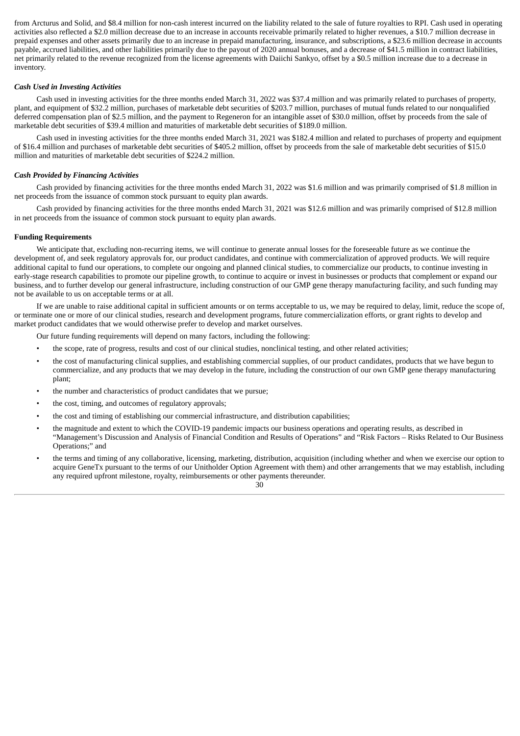from Arcturus and Solid, and \$8.4 million for non-cash interest incurred on the liability related to the sale of future royalties to RPI. Cash used in operating activities also reflected a \$2.0 million decrease due to an increase in accounts receivable primarily related to higher revenues, a \$10.7 million decrease in prepaid expenses and other assets primarily due to an increase in prepaid manufacturing, insurance, and subscriptions, a \$23.6 million decrease in accounts payable, accrued liabilities, and other liabilities primarily due to the payout of 2020 annual bonuses, and a decrease of \$41.5 million in contract liabilities, net primarily related to the revenue recognized from the license agreements with Daiichi Sankyo, offset by a \$0.5 million increase due to a decrease in inventory.

#### *Cash Used in Investing Activities*

Cash used in investing activities for the three months ended March 31, 2022 was \$37.4 million and was primarily related to purchases of property, plant, and equipment of \$32.2 million, purchases of marketable debt securities of \$203.7 million, purchases of mutual funds related to our nonqualified deferred compensation plan of \$2.5 million, and the payment to Regeneron for an intangible asset of \$30.0 million, offset by proceeds from the sale of marketable debt securities of \$39.4 million and maturities of marketable debt securities of \$189.0 million.

Cash used in investing activities for the three months ended March 31, 2021 was \$182.4 million and related to purchases of property and equipment of \$16.4 million and purchases of marketable debt securities of \$405.2 million, offset by proceeds from the sale of marketable debt securities of \$15.0 million and maturities of marketable debt securities of \$224.2 million.

#### *Cash Provided by Financing Activities*

Cash provided by financing activities for the three months ended March 31, 2022 was \$1.6 million and was primarily comprised of \$1.8 million in net proceeds from the issuance of common stock pursuant to equity plan awards.

Cash provided by financing activities for the three months ended March 31, 2021 was \$12.6 million and was primarily comprised of \$12.8 million in net proceeds from the issuance of common stock pursuant to equity plan awards.

#### **Funding Requirements**

We anticipate that, excluding non-recurring items, we will continue to generate annual losses for the foreseeable future as we continue the development of, and seek regulatory approvals for, our product candidates, and continue with commercialization of approved products. We will require additional capital to fund our operations, to complete our ongoing and planned clinical studies, to commercialize our products, to continue investing in early-stage research capabilities to promote our pipeline growth, to continue to acquire or invest in businesses or products that complement or expand our business, and to further develop our general infrastructure, including construction of our GMP gene therapy manufacturing facility, and such funding may not be available to us on acceptable terms or at all.

If we are unable to raise additional capital in sufficient amounts or on terms acceptable to us, we may be required to delay, limit, reduce the scope of, or terminate one or more of our clinical studies, research and development programs, future commercialization efforts, or grant rights to develop and market product candidates that we would otherwise prefer to develop and market ourselves.

Our future funding requirements will depend on many factors, including the following:

- the scope, rate of progress, results and cost of our clinical studies, nonclinical testing, and other related activities;
- the cost of manufacturing clinical supplies, and establishing commercial supplies, of our product candidates, products that we have begun to commercialize, and any products that we may develop in the future, including the construction of our own GMP gene therapy manufacturing plant;
- the number and characteristics of product candidates that we pursue;
- the cost, timing, and outcomes of regulatory approvals;
- the cost and timing of establishing our commercial infrastructure, and distribution capabilities;
- the magnitude and extent to which the COVID-19 pandemic impacts our business operations and operating results, as described in "Management's Discussion and Analysis of Financial Condition and Results of Operations" and "Risk Factors – Risks Related to Our Business Operations;" and
- the terms and timing of any collaborative, licensing, marketing, distribution, acquisition (including whether and when we exercise our option to acquire GeneTx pursuant to the terms of our Unitholder Option Agreement with them) and other arrangements that we may establish, including any required upfront milestone, royalty, reimbursements or other payments thereunder. 30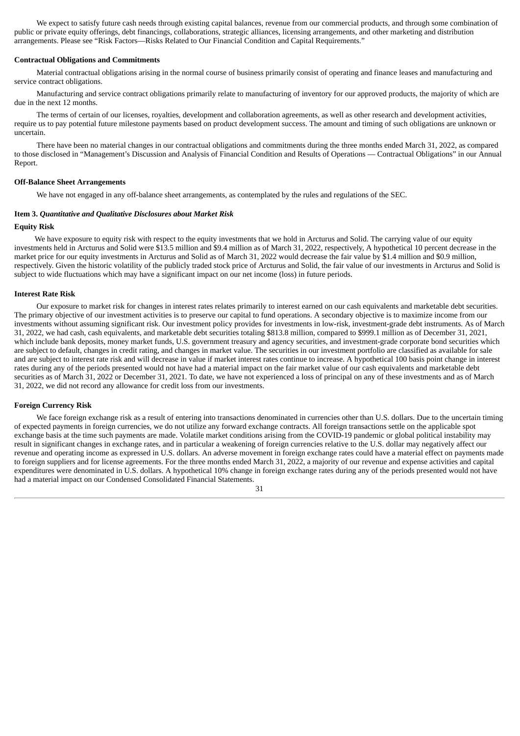We expect to satisfy future cash needs through existing capital balances, revenue from our commercial products, and through some combination of public or private equity offerings, debt financings, collaborations, strategic alliances, licensing arrangements, and other marketing and distribution arrangements. Please see "Risk Factors—Risks Related to Our Financial Condition and Capital Requirements."

## **Contractual Obligations and Commitments**

Material contractual obligations arising in the normal course of business primarily consist of operating and finance leases and manufacturing and service contract obligations.

Manufacturing and service contract obligations primarily relate to manufacturing of inventory for our approved products, the majority of which are due in the next 12 months.

The terms of certain of our licenses, royalties, development and collaboration agreements, as well as other research and development activities, require us to pay potential future milestone payments based on product development success. The amount and timing of such obligations are unknown or uncertain.

There have been no material changes in our contractual obligations and commitments during the three months ended March 31, 2022, as compared to those disclosed in "Management's Discussion and Analysis of Financial Condition and Results of Operations — Contractual Obligations" in our Annual Report.

## **Off-Balance Sheet Arrangements**

We have not engaged in any off-balance sheet arrangements, as contemplated by the rules and regulations of the SEC.

## <span id="page-32-0"></span>**Item 3.** *Quantitative and Qualitative Disclosures about Market Risk*

## **Equity Risk**

We have exposure to equity risk with respect to the equity investments that we hold in Arcturus and Solid. The carrying value of our equity investments held in Arcturus and Solid were \$13.5 million and \$9.4 million as of March 31, 2022, respectively, A hypothetical 10 percent decrease in the market price for our equity investments in Arcturus and Solid as of March 31, 2022 would decrease the fair value by \$1.4 million and \$0.9 million, respectively. Given the historic volatility of the publicly traded stock price of Arcturus and Solid, the fair value of our investments in Arcturus and Solid is subject to wide fluctuations which may have a significant impact on our net income (loss) in future periods.

## **Interest Rate Risk**

Our exposure to market risk for changes in interest rates relates primarily to interest earned on our cash equivalents and marketable debt securities. The primary objective of our investment activities is to preserve our capital to fund operations. A secondary objective is to maximize income from our investments without assuming significant risk. Our investment policy provides for investments in low-risk, investment-grade debt instruments. As of March 31, 2022, we had cash, cash equivalents, and marketable debt securities totaling \$813.8 million, compared to \$999.1 million as of December 31, 2021, which include bank deposits, money market funds, U.S. government treasury and agency securities, and investment-grade corporate bond securities which are subject to default, changes in credit rating, and changes in market value. The securities in our investment portfolio are classified as available for sale and are subject to interest rate risk and will decrease in value if market interest rates continue to increase. A hypothetical 100 basis point change in interest rates during any of the periods presented would not have had a material impact on the fair market value of our cash equivalents and marketable debt securities as of March 31, 2022 or December 31, 2021. To date, we have not experienced a loss of principal on any of these investments and as of March 31, 2022, we did not record any allowance for credit loss from our investments.

#### **Foreign Currency Risk**

We face foreign exchange risk as a result of entering into transactions denominated in currencies other than U.S. dollars. Due to the uncertain timing of expected payments in foreign currencies, we do not utilize any forward exchange contracts. All foreign transactions settle on the applicable spot exchange basis at the time such payments are made. Volatile market conditions arising from the COVID-19 pandemic or global political instability may result in significant changes in exchange rates, and in particular a weakening of foreign currencies relative to the U.S. dollar may negatively affect our revenue and operating income as expressed in U.S. dollars. An adverse movement in foreign exchange rates could have a material effect on payments made to foreign suppliers and for license agreements. For the three months ended March 31, 2022, a majority of our revenue and expense activities and capital expenditures were denominated in U.S. dollars. A hypothetical 10% change in foreign exchange rates during any of the periods presented would not have had a material impact on our Condensed Consolidated Financial Statements.

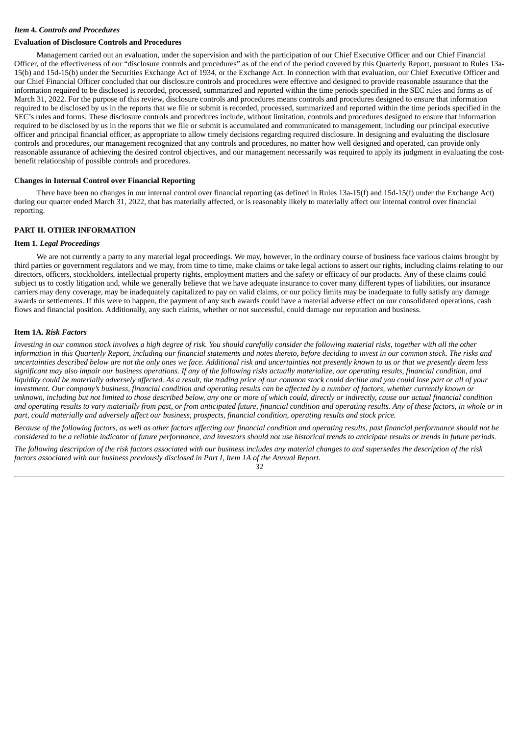## <span id="page-33-0"></span>*Item* **4.** *Controls and Procedures*

#### **Evaluation of Disclosure Controls and Procedures**

Management carried out an evaluation, under the supervision and with the participation of our Chief Executive Officer and our Chief Financial Officer, of the effectiveness of our "disclosure controls and procedures" as of the end of the period covered by this Quarterly Report, pursuant to Rules 13a-15(b) and 15d-15(b) under the Securities Exchange Act of 1934, or the Exchange Act. In connection with that evaluation, our Chief Executive Officer and our Chief Financial Officer concluded that our disclosure controls and procedures were effective and designed to provide reasonable assurance that the information required to be disclosed is recorded, processed, summarized and reported within the time periods specified in the SEC rules and forms as of March 31, 2022. For the purpose of this review, disclosure controls and procedures means controls and procedures designed to ensure that information required to be disclosed by us in the reports that we file or submit is recorded, processed, summarized and reported within the time periods specified in the SEC's rules and forms. These disclosure controls and procedures include, without limitation, controls and procedures designed to ensure that information required to be disclosed by us in the reports that we file or submit is accumulated and communicated to management, including our principal executive officer and principal financial officer, as appropriate to allow timely decisions regarding required disclosure. In designing and evaluating the disclosure controls and procedures, our management recognized that any controls and procedures, no matter how well designed and operated, can provide only reasonable assurance of achieving the desired control objectives, and our management necessarily was required to apply its judgment in evaluating the costbenefit relationship of possible controls and procedures.

#### **Changes in Internal Control over Financial Reporting**

There have been no changes in our internal control over financial reporting (as defined in Rules 13a-15(f) and 15d-15(f) under the Exchange Act) during our quarter ended March 31, 2022, that has materially affected, or is reasonably likely to materially affect our internal control over financial reporting.

## <span id="page-33-1"></span>**PART II. OTHER INFORMATION**

## <span id="page-33-2"></span>**Item 1.** *Legal Proceedings*

We are not currently a party to any material legal proceedings. We may, however, in the ordinary course of business face various claims brought by third parties or government regulators and we may, from time to time, make claims or take legal actions to assert our rights, including claims relating to our directors, officers, stockholders, intellectual property rights, employment matters and the safety or efficacy of our products. Any of these claims could subject us to costly litigation and, while we generally believe that we have adequate insurance to cover many different types of liabilities, our insurance carriers may deny coverage, may be inadequately capitalized to pay on valid claims, or our policy limits may be inadequate to fully satisfy any damage awards or settlements. If this were to happen, the payment of any such awards could have a material adverse effect on our consolidated operations, cash flows and financial position. Additionally, any such claims, whether or not successful, could damage our reputation and business.

#### <span id="page-33-3"></span>**Item 1A.** *Risk Factors*

Investing in our common stock involves a high degree of risk. You should carefully consider the following material risks, together with all the other information in this Quarterly Report, including our financial statements and notes thereto, before deciding to invest in our common stock. The risks and uncertainties described below are not the only ones we face. Additional risk and uncertainties not presently known to us or that we presently deem less significant may also impair our business operations. If any of the following risks actually materialize, our operating results, financial condition, and liquidity could be materially adversely affected. As a result, the trading price of our common stock could decline and you could lose part or all of your investment. Our company's business, financial condition and operating results can be affected by a number of factors, whether currently known or unknown, including but not limited to those described below, any one or more of which could, directly or indirectly, cause our actual financial condition and operating results to vary materially from past, or from anticipated future, financial condition and operating results. Any of these factors, in whole or in part, could materially and adversely affect our business, prospects, financial condition, operating results and stock price.

Because of the following factors, as well as other factors affecting our financial condition and operating results, past financial performance should not be considered to be a reliable indicator of future performance, and investors should not use historical trends to anticipate results or trends in future periods.

The following description of the risk factors associated with our business includes any material changes to and supersedes the description of the risk *factors associated with our business previously disclosed in Part I, Item 1A of the Annual Report.*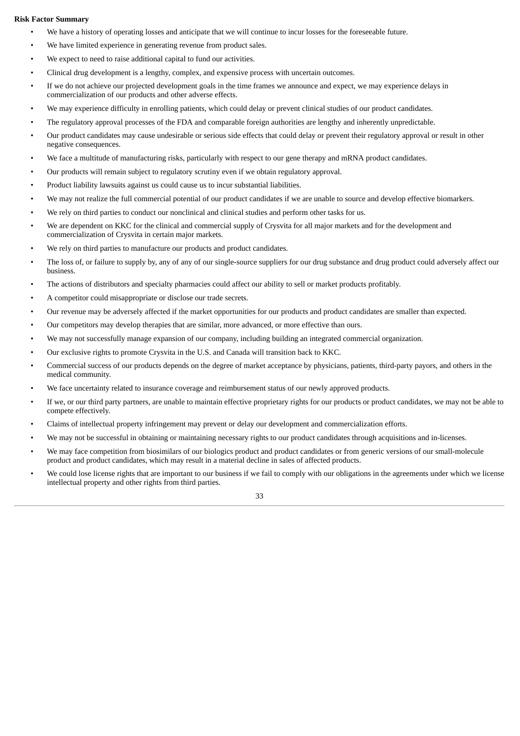## **Risk Factor Summary**

- We have a history of operating losses and anticipate that we will continue to incur losses for the foreseeable future.
- We have limited experience in generating revenue from product sales.
- We expect to need to raise additional capital to fund our activities.
- Clinical drug development is a lengthy, complex, and expensive process with uncertain outcomes.
- If we do not achieve our projected development goals in the time frames we announce and expect, we may experience delays in commercialization of our products and other adverse effects.
- We may experience difficulty in enrolling patients, which could delay or prevent clinical studies of our product candidates.
- The regulatory approval processes of the FDA and comparable foreign authorities are lengthy and inherently unpredictable.
- Our product candidates may cause undesirable or serious side effects that could delay or prevent their regulatory approval or result in other negative consequences.
- We face a multitude of manufacturing risks, particularly with respect to our gene therapy and mRNA product candidates.
- Our products will remain subject to regulatory scrutiny even if we obtain regulatory approval.
- Product liability lawsuits against us could cause us to incur substantial liabilities.
- We may not realize the full commercial potential of our product candidates if we are unable to source and develop effective biomarkers.
- We rely on third parties to conduct our nonclinical and clinical studies and perform other tasks for us.
- We are dependent on KKC for the clinical and commercial supply of Crysvita for all major markets and for the development and commercialization of Crysvita in certain major markets.
- We rely on third parties to manufacture our products and product candidates.
- The loss of, or failure to supply by, any of any of our single-source suppliers for our drug substance and drug product could adversely affect our business.
- The actions of distributors and specialty pharmacies could affect our ability to sell or market products profitably.
- A competitor could misappropriate or disclose our trade secrets.
- Our revenue may be adversely affected if the market opportunities for our products and product candidates are smaller than expected.
- Our competitors may develop therapies that are similar, more advanced, or more effective than ours.
- We may not successfully manage expansion of our company, including building an integrated commercial organization.
- Our exclusive rights to promote Crysvita in the U.S. and Canada will transition back to KKC.
- Commercial success of our products depends on the degree of market acceptance by physicians, patients, third-party payors, and others in the medical community.
- We face uncertainty related to insurance coverage and reimbursement status of our newly approved products.
- If we, or our third party partners, are unable to maintain effective proprietary rights for our products or product candidates, we may not be able to compete effectively.
- Claims of intellectual property infringement may prevent or delay our development and commercialization efforts.
- We may not be successful in obtaining or maintaining necessary rights to our product candidates through acquisitions and in-licenses.
- We may face competition from biosimilars of our biologics product and product candidates or from generic versions of our small-molecule product and product candidates, which may result in a material decline in sales of affected products.
- We could lose license rights that are important to our business if we fail to comply with our obligations in the agreements under which we license intellectual property and other rights from third parties.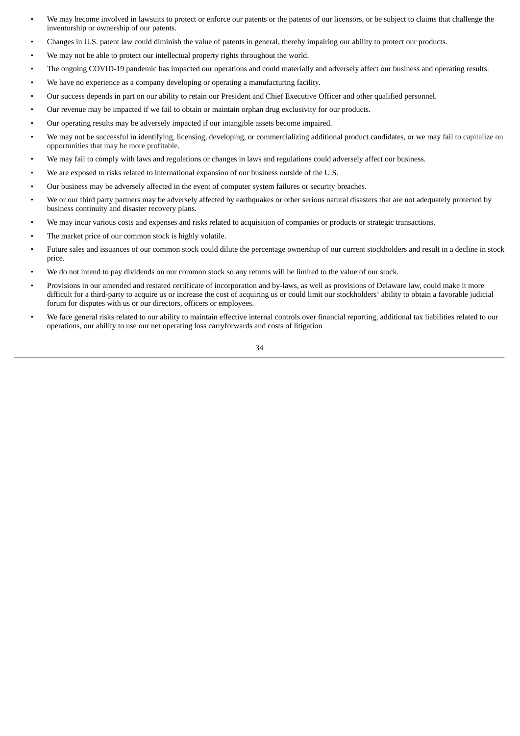- We may become involved in lawsuits to protect or enforce our patents or the patents of our licensors, or be subject to claims that challenge the inventorship or ownership of our patents.
- Changes in U.S. patent law could diminish the value of patents in general, thereby impairing our ability to protect our products.
- We may not be able to protect our intellectual property rights throughout the world.
- The ongoing COVID-19 pandemic has impacted our operations and could materially and adversely affect our business and operating results.
- We have no experience as a company developing or operating a manufacturing facility.
- Our success depends in part on our ability to retain our President and Chief Executive Officer and other qualified personnel.
- Our revenue may be impacted if we fail to obtain or maintain orphan drug exclusivity for our products.
- Our operating results may be adversely impacted if our intangible assets become impaired.
- We may not be successful in identifying, licensing, developing, or commercializing additional product candidates, or we may fail to capitalize on opportunities that may be more profitable.
- We may fail to comply with laws and regulations or changes in laws and regulations could adversely affect our business.
- We are exposed to risks related to international expansion of our business outside of the U.S.
- Our business may be adversely affected in the event of computer system failures or security breaches.
- We or our third party partners may be adversely affected by earthquakes or other serious natural disasters that are not adequately protected by business continuity and disaster recovery plans.
- We may incur various costs and expenses and risks related to acquisition of companies or products or strategic transactions.
- The market price of our common stock is highly volatile.
- Future sales and issuances of our common stock could dilute the percentage ownership of our current stockholders and result in a decline in stock price.
- We do not intend to pay dividends on our common stock so any returns will be limited to the value of our stock.
- Provisions in our amended and restated certificate of incorporation and by-laws, as well as provisions of Delaware law, could make it more difficult for a third-party to acquire us or increase the cost of acquiring us or could limit our stockholders' ability to obtain a favorable judicial forum for disputes with us or our directors, officers or employees.
- We face general risks related to our ability to maintain effective internal controls over financial reporting, additional tax liabilities related to our operations, our ability to use our net operating loss carryforwards and costs of litigation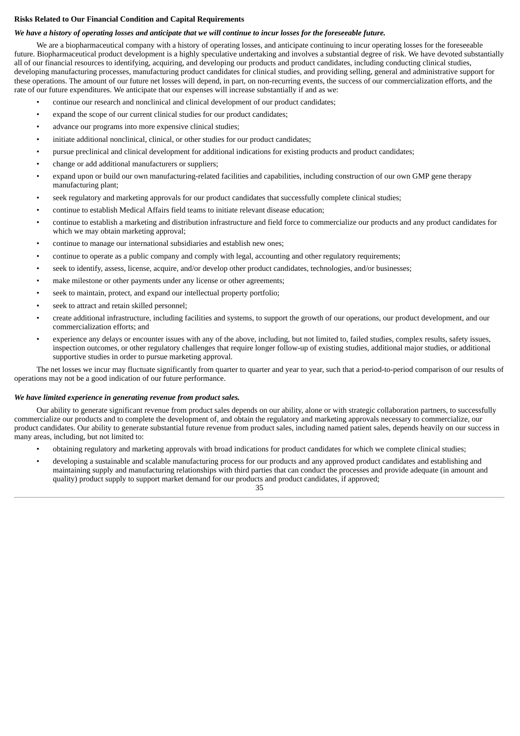# **Risks Related to Our Financial Condition and Capital Requirements**

## We have a history of operating losses and anticipate that we will continue to incur losses for the foreseeable future.

We are a biopharmaceutical company with a history of operating losses, and anticipate continuing to incur operating losses for the foreseeable future. Biopharmaceutical product development is a highly speculative undertaking and involves a substantial degree of risk. We have devoted substantially all of our financial resources to identifying, acquiring, and developing our products and product candidates, including conducting clinical studies, developing manufacturing processes, manufacturing product candidates for clinical studies, and providing selling, general and administrative support for these operations. The amount of our future net losses will depend, in part, on non-recurring events, the success of our commercialization efforts, and the rate of our future expenditures. We anticipate that our expenses will increase substantially if and as we:

- continue our research and nonclinical and clinical development of our product candidates;
- expand the scope of our current clinical studies for our product candidates;
- advance our programs into more expensive clinical studies;
- initiate additional nonclinical, clinical, or other studies for our product candidates;
- pursue preclinical and clinical development for additional indications for existing products and product candidates;
- change or add additional manufacturers or suppliers;
- expand upon or build our own manufacturing-related facilities and capabilities, including construction of our own GMP gene therapy manufacturing plant;
- seek regulatory and marketing approvals for our product candidates that successfully complete clinical studies;
- continue to establish Medical Affairs field teams to initiate relevant disease education;
- continue to establish a marketing and distribution infrastructure and field force to commercialize our products and any product candidates for which we may obtain marketing approval;
- continue to manage our international subsidiaries and establish new ones;
- continue to operate as a public company and comply with legal, accounting and other regulatory requirements;
- seek to identify, assess, license, acquire, and/or develop other product candidates, technologies, and/or businesses;
- make milestone or other payments under any license or other agreements;
- seek to maintain, protect, and expand our intellectual property portfolio;
- seek to attract and retain skilled personnel;
- create additional infrastructure, including facilities and systems, to support the growth of our operations, our product development, and our commercialization efforts; and
- experience any delays or encounter issues with any of the above, including, but not limited to, failed studies, complex results, safety issues, inspection outcomes, or other regulatory challenges that require longer follow-up of existing studies, additional major studies, or additional supportive studies in order to pursue marketing approval.

The net losses we incur may fluctuate significantly from quarter to quarter and year to year, such that a period-to-period comparison of our results of operations may not be a good indication of our future performance.

## *We have limited experience in generating revenue from product sales.*

Our ability to generate significant revenue from product sales depends on our ability, alone or with strategic collaboration partners, to successfully commercialize our products and to complete the development of, and obtain the regulatory and marketing approvals necessary to commercialize, our product candidates. Our ability to generate substantial future revenue from product sales, including named patient sales, depends heavily on our success in many areas, including, but not limited to:

- obtaining regulatory and marketing approvals with broad indications for product candidates for which we complete clinical studies;
- developing a sustainable and scalable manufacturing process for our products and any approved product candidates and establishing and maintaining supply and manufacturing relationships with third parties that can conduct the processes and provide adequate (in amount and quality) product supply to support market demand for our products and product candidates, if approved;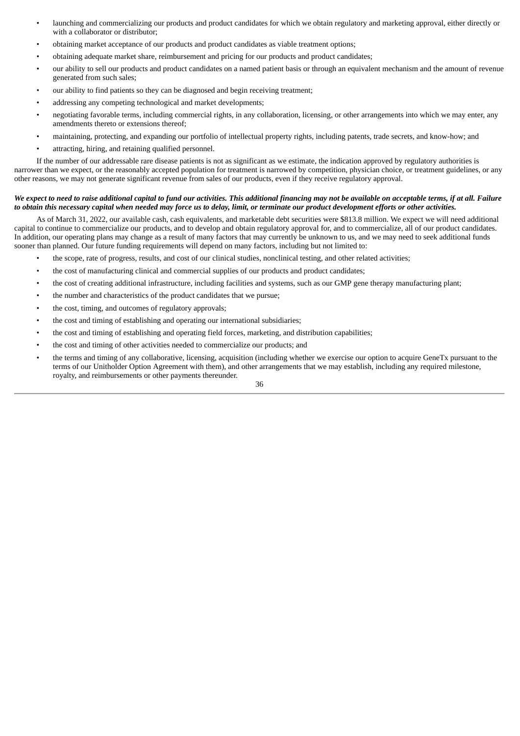- launching and commercializing our products and product candidates for which we obtain regulatory and marketing approval, either directly or with a collaborator or distributor;
- obtaining market acceptance of our products and product candidates as viable treatment options;
- obtaining adequate market share, reimbursement and pricing for our products and product candidates;
- our ability to sell our products and product candidates on a named patient basis or through an equivalent mechanism and the amount of revenue generated from such sales;
- our ability to find patients so they can be diagnosed and begin receiving treatment;
- addressing any competing technological and market developments;
- negotiating favorable terms, including commercial rights, in any collaboration, licensing, or other arrangements into which we may enter, any amendments thereto or extensions thereof;
- maintaining, protecting, and expanding our portfolio of intellectual property rights, including patents, trade secrets, and know-how; and
- attracting, hiring, and retaining qualified personnel.

If the number of our addressable rare disease patients is not as significant as we estimate, the indication approved by regulatory authorities is narrower than we expect, or the reasonably accepted population for treatment is narrowed by competition, physician choice, or treatment guidelines, or any other reasons, we may not generate significant revenue from sales of our products, even if they receive regulatory approval.

## We expect to need to raise additional capital to fund our activities. This additional financing may not be available on acceptable terms, if at all. Failure to obtain this necessary capital when needed may force us to delay, limit, or terminate our product development efforts or other activities.

As of March 31, 2022, our available cash, cash equivalents, and marketable debt securities were \$813.8 million. We expect we will need additional capital to continue to commercialize our products, and to develop and obtain regulatory approval for, and to commercialize, all of our product candidates. In addition, our operating plans may change as a result of many factors that may currently be unknown to us, and we may need to seek additional funds sooner than planned. Our future funding requirements will depend on many factors, including but not limited to:

- the scope, rate of progress, results, and cost of our clinical studies, nonclinical testing, and other related activities;
- the cost of manufacturing clinical and commercial supplies of our products and product candidates;
- the cost of creating additional infrastructure, including facilities and systems, such as our GMP gene therapy manufacturing plant;
- the number and characteristics of the product candidates that we pursue;
- the cost, timing, and outcomes of regulatory approvals;
- the cost and timing of establishing and operating our international subsidiaries;
- the cost and timing of establishing and operating field forces, marketing, and distribution capabilities;
- the cost and timing of other activities needed to commercialize our products; and
- the terms and timing of any collaborative, licensing, acquisition (including whether we exercise our option to acquire GeneTx pursuant to the terms of our Unitholder Option Agreement with them), and other arrangements that we may establish, including any required milestone, royalty, and reimbursements or other payments thereunder.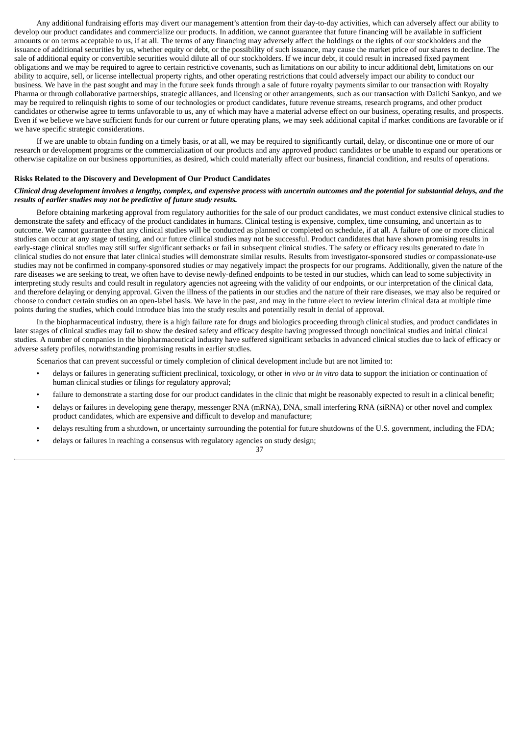Any additional fundraising efforts may divert our management's attention from their day-to-day activities, which can adversely affect our ability to develop our product candidates and commercialize our products. In addition, we cannot guarantee that future financing will be available in sufficient amounts or on terms acceptable to us, if at all. The terms of any financing may adversely affect the holdings or the rights of our stockholders and the issuance of additional securities by us, whether equity or debt, or the possibility of such issuance, may cause the market price of our shares to decline. The sale of additional equity or convertible securities would dilute all of our stockholders. If we incur debt, it could result in increased fixed payment obligations and we may be required to agree to certain restrictive covenants, such as limitations on our ability to incur additional debt, limitations on our ability to acquire, sell, or license intellectual property rights, and other operating restrictions that could adversely impact our ability to conduct our business. We have in the past sought and may in the future seek funds through a sale of future royalty payments similar to our transaction with Royalty Pharma or through collaborative partnerships, strategic alliances, and licensing or other arrangements, such as our transaction with Daiichi Sankyo, and we may be required to relinquish rights to some of our technologies or product candidates, future revenue streams, research programs, and other product candidates or otherwise agree to terms unfavorable to us, any of which may have a material adverse effect on our business, operating results, and prospects. Even if we believe we have sufficient funds for our current or future operating plans, we may seek additional capital if market conditions are favorable or if we have specific strategic considerations.

If we are unable to obtain funding on a timely basis, or at all, we may be required to significantly curtail, delay, or discontinue one or more of our research or development programs or the commercialization of our products and any approved product candidates or be unable to expand our operations or otherwise capitalize on our business opportunities, as desired, which could materially affect our business, financial condition, and results of operations.

#### **Risks Related to the Discovery and Development of Our Product Candidates**

### Clinical drug development involves a lengthy, complex, and expensive process with uncertain outcomes and the potential for substantial delays, and the *results of earlier studies may not be predictive of future study results.*

Before obtaining marketing approval from regulatory authorities for the sale of our product candidates, we must conduct extensive clinical studies to demonstrate the safety and efficacy of the product candidates in humans. Clinical testing is expensive, complex, time consuming, and uncertain as to outcome. We cannot guarantee that any clinical studies will be conducted as planned or completed on schedule, if at all. A failure of one or more clinical studies can occur at any stage of testing, and our future clinical studies may not be successful. Product candidates that have shown promising results in early-stage clinical studies may still suffer significant setbacks or fail in subsequent clinical studies. The safety or efficacy results generated to date in clinical studies do not ensure that later clinical studies will demonstrate similar results. Results from investigator-sponsored studies or compassionate-use studies may not be confirmed in company-sponsored studies or may negatively impact the prospects for our programs. Additionally, given the nature of the rare diseases we are seeking to treat, we often have to devise newly-defined endpoints to be tested in our studies, which can lead to some subjectivity in interpreting study results and could result in regulatory agencies not agreeing with the validity of our endpoints, or our interpretation of the clinical data, and therefore delaying or denying approval. Given the illness of the patients in our studies and the nature of their rare diseases, we may also be required or choose to conduct certain studies on an open-label basis. We have in the past, and may in the future elect to review interim clinical data at multiple time points during the studies, which could introduce bias into the study results and potentially result in denial of approval.

In the biopharmaceutical industry, there is a high failure rate for drugs and biologics proceeding through clinical studies, and product candidates in later stages of clinical studies may fail to show the desired safety and efficacy despite having progressed through nonclinical studies and initial clinical studies. A number of companies in the biopharmaceutical industry have suffered significant setbacks in advanced clinical studies due to lack of efficacy or adverse safety profiles, notwithstanding promising results in earlier studies.

Scenarios that can prevent successful or timely completion of clinical development include but are not limited to:

- delays or failures in generating sufficient preclinical, toxicology, or other *in vivo* or *in vitro* data to support the initiation or continuation of human clinical studies or filings for regulatory approval;
- failure to demonstrate a starting dose for our product candidates in the clinic that might be reasonably expected to result in a clinical benefit;
- delays or failures in developing gene therapy, messenger RNA (mRNA), DNA, small interfering RNA (siRNA) or other novel and complex product candidates, which are expensive and difficult to develop and manufacture;
- delays resulting from a shutdown, or uncertainty surrounding the potential for future shutdowns of the U.S. government, including the FDA;

37

• delays or failures in reaching a consensus with regulatory agencies on study design;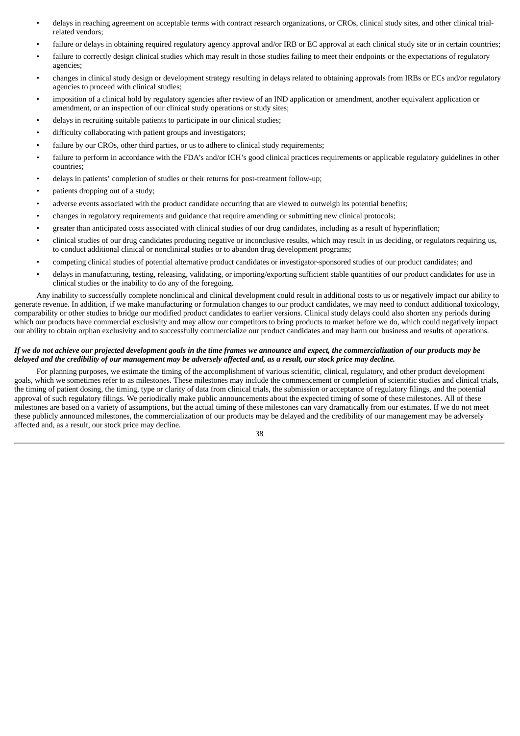- delays in reaching agreement on acceptable terms with contract research organizations, or CROs, clinical study sites, and other clinical trialrelated vendors;
- failure or delays in obtaining required regulatory agency approval and/or IRB or EC approval at each clinical study site or in certain countries;
- failure to correctly design clinical studies which may result in those studies failing to meet their endpoints or the expectations of regulatory agencies;
- changes in clinical study design or development strategy resulting in delays related to obtaining approvals from IRBs or ECs and/or regulatory agencies to proceed with clinical studies;
- imposition of a clinical hold by regulatory agencies after review of an IND application or amendment, another equivalent application or amendment, or an inspection of our clinical study operations or study sites;
- delays in recruiting suitable patients to participate in our clinical studies;
- difficulty collaborating with patient groups and investigators;
- failure by our CROs, other third parties, or us to adhere to clinical study requirements;
- failure to perform in accordance with the FDA's and/or ICH's good clinical practices requirements or applicable regulatory guidelines in other countries;
- delays in patients' completion of studies or their returns for post-treatment follow-up;
- patients dropping out of a study;
- adverse events associated with the product candidate occurring that are viewed to outweigh its potential benefits;
- changes in regulatory requirements and guidance that require amending or submitting new clinical protocols;
- greater than anticipated costs associated with clinical studies of our drug candidates, including as a result of hyperinflation;
- clinical studies of our drug candidates producing negative or inconclusive results, which may result in us deciding, or regulators requiring us, to conduct additional clinical or nonclinical studies or to abandon drug development programs;
- competing clinical studies of potential alternative product candidates or investigator-sponsored studies of our product candidates; and
- delays in manufacturing, testing, releasing, validating, or importing/exporting sufficient stable quantities of our product candidates for use in clinical studies or the inability to do any of the foregoing.

Any inability to successfully complete nonclinical and clinical development could result in additional costs to us or negatively impact our ability to generate revenue. In addition, if we make manufacturing or formulation changes to our product candidates, we may need to conduct additional toxicology, comparability or other studies to bridge our modified product candidates to earlier versions. Clinical study delays could also shorten any periods during which our products have commercial exclusivity and may allow our competitors to bring products to market before we do, which could negatively impact our ability to obtain orphan exclusivity and to successfully commercialize our product candidates and may harm our business and results of operations.

## If we do not achieve our projected development goals in the time frames we announce and expect, the commercialization of our products may be delayed and the credibility of our management may be adversely affected and, as a result, our stock price may decline.

For planning purposes, we estimate the timing of the accomplishment of various scientific, clinical, regulatory, and other product development goals, which we sometimes refer to as milestones. These milestones may include the commencement or completion of scientific studies and clinical trials, the timing of patient dosing, the timing, type or clarity of data from clinical trials, the submission or acceptance of regulatory filings, and the potential approval of such regulatory filings. We periodically make public announcements about the expected timing of some of these milestones. All of these milestones are based on a variety of assumptions, but the actual timing of these milestones can vary dramatically from our estimates. If we do not meet these publicly announced milestones, the commercialization of our products may be delayed and the credibility of our management may be adversely affected and, as a result, our stock price may decline.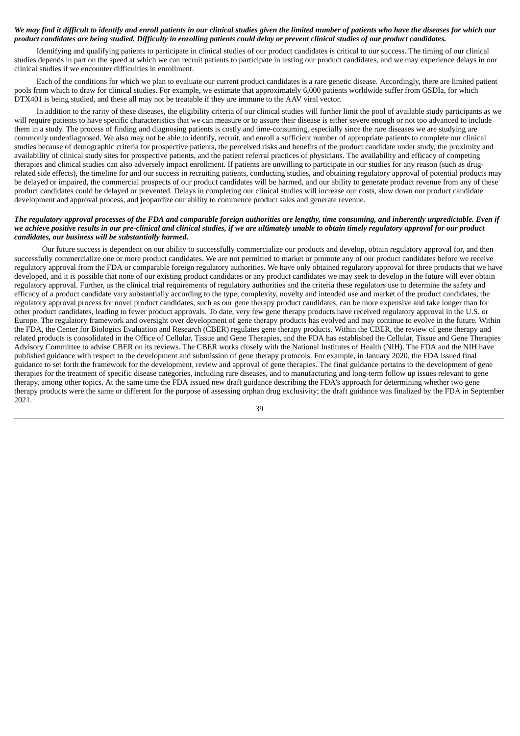### We may find it difficult to identify and enroll patients in our clinical studies given the limited number of patients who have the diseases for which our product candidates are being studied. Difficulty in enrolling patients could delay or prevent clinical studies of our product candidates.

Identifying and qualifying patients to participate in clinical studies of our product candidates is critical to our success. The timing of our clinical studies depends in part on the speed at which we can recruit patients to participate in testing our product candidates, and we may experience delays in our clinical studies if we encounter difficulties in enrollment.

Each of the conditions for which we plan to evaluate our current product candidates is a rare genetic disease. Accordingly, there are limited patient pools from which to draw for clinical studies. For example, we estimate that approximately 6,000 patients worldwide suffer from GSDIa, for which DTX401 is being studied, and these all may not be treatable if they are immune to the AAV viral vector.

In addition to the rarity of these diseases, the eligibility criteria of our clinical studies will further limit the pool of available study participants as we will require patients to have specific characteristics that we can measure or to assure their disease is either severe enough or not too advanced to include them in a study. The process of finding and diagnosing patients is costly and time-consuming, especially since the rare diseases we are studying are commonly underdiagnosed. We also may not be able to identify, recruit, and enroll a sufficient number of appropriate patients to complete our clinical studies because of demographic criteria for prospective patients, the perceived risks and benefits of the product candidate under study, the proximity and availability of clinical study sites for prospective patients, and the patient referral practices of physicians. The availability and efficacy of competing therapies and clinical studies can also adversely impact enrollment. If patients are unwilling to participate in our studies for any reason (such as drugrelated side effects), the timeline for and our success in recruiting patients, conducting studies, and obtaining regulatory approval of potential products may be delayed or impaired, the commercial prospects of our product candidates will be harmed, and our ability to generate product revenue from any of these product candidates could be delayed or prevented. Delays in completing our clinical studies will increase our costs, slow down our product candidate development and approval process, and jeopardize our ability to commence product sales and generate revenue.

#### The regulatory approval processes of the FDA and comparable foreign authorities are lengthy, time consuming, and inherently unpredictable. Even if we achieve positive results in our pre-clinical and clinical studies, if we are ultimately unable to obtain timely reaulatory approval for our product *candidates, our business will be substantially harmed.*

Our future success is dependent on our ability to successfully commercialize our products and develop, obtain regulatory approval for, and then successfully commercialize one or more product candidates. We are not permitted to market or promote any of our product candidates before we receive regulatory approval from the FDA or comparable foreign regulatory authorities. We have only obtained regulatory approval for three products that we have developed, and it is possible that none of our existing product candidates or any product candidates we may seek to develop in the future will ever obtain regulatory approval. Further, as the clinical trial requirements of regulatory authorities and the criteria these regulators use to determine the safety and efficacy of a product candidate vary substantially according to the type, complexity, novelty and intended use and market of the product candidates, the regulatory approval process for novel product candidates, such as our gene therapy product candidates, can be more expensive and take longer than for other product candidates, leading to fewer product approvals. To date, very few gene therapy products have received regulatory approval in the U.S. or Europe. The regulatory framework and oversight over development of gene therapy products has evolved and may continue to evolve in the future. Within the FDA, the Center for Biologics Evaluation and Research (CBER) regulates gene therapy products. Within the CBER, the review of gene therapy and related products is consolidated in the Office of Cellular, Tissue and Gene Therapies, and the FDA has established the Cellular, Tissue and Gene Therapies Advisory Committee to advise CBER on its reviews. The CBER works closely with the National Institutes of Health (NIH). The FDA and the NIH have published guidance with respect to the development and submission of gene therapy protocols. For example, in January 2020, the FDA issued final guidance to set forth the framework for the development, review and approval of gene therapies. The final guidance pertains to the development of gene therapies for the treatment of specific disease categories, including rare diseases, and to manufacturing and long-term follow up issues relevant to gene therapy, among other topics. At the same time the FDA issued new draft guidance describing the FDA's approach for determining whether two gene therapy products were the same or different for the purpose of assessing orphan drug exclusivity; the draft guidance was finalized by the FDA in September 2021.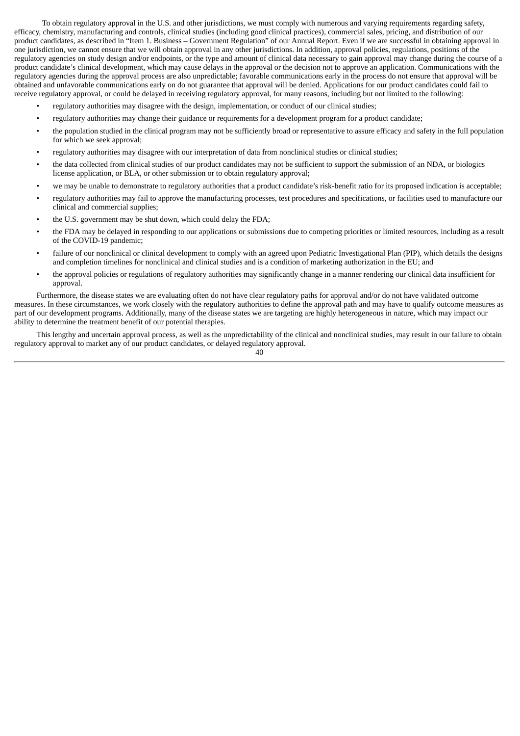To obtain regulatory approval in the U.S. and other jurisdictions, we must comply with numerous and varying requirements regarding safety, efficacy, chemistry, manufacturing and controls, clinical studies (including good clinical practices), commercial sales, pricing, and distribution of our product candidates, as described in "Item 1. Business – Government Regulation" of our Annual Report. Even if we are successful in obtaining approval in one jurisdiction, we cannot ensure that we will obtain approval in any other jurisdictions. In addition, approval policies, regulations, positions of the regulatory agencies on study design and/or endpoints, or the type and amount of clinical data necessary to gain approval may change during the course of a product candidate's clinical development, which may cause delays in the approval or the decision not to approve an application. Communications with the regulatory agencies during the approval process are also unpredictable; favorable communications early in the process do not ensure that approval will be obtained and unfavorable communications early on do not guarantee that approval will be denied. Applications for our product candidates could fail to receive regulatory approval, or could be delayed in receiving regulatory approval, for many reasons, including but not limited to the following:

- regulatory authorities may disagree with the design, implementation, or conduct of our clinical studies;
- regulatory authorities may change their guidance or requirements for a development program for a product candidate;
- the population studied in the clinical program may not be sufficiently broad or representative to assure efficacy and safety in the full population for which we seek approval;
- regulatory authorities may disagree with our interpretation of data from nonclinical studies or clinical studies;
- the data collected from clinical studies of our product candidates may not be sufficient to support the submission of an NDA, or biologics license application, or BLA, or other submission or to obtain regulatory approval;
- we may be unable to demonstrate to regulatory authorities that a product candidate's risk-benefit ratio for its proposed indication is acceptable;
- regulatory authorities may fail to approve the manufacturing processes, test procedures and specifications, or facilities used to manufacture our clinical and commercial supplies;
- the U.S. government may be shut down, which could delay the FDA;
- the FDA may be delayed in responding to our applications or submissions due to competing priorities or limited resources, including as a result of the COVID-19 pandemic;
- failure of our nonclinical or clinical development to comply with an agreed upon Pediatric Investigational Plan (PIP), which details the designs and completion timelines for nonclinical and clinical studies and is a condition of marketing authorization in the EU; and
- the approval policies or regulations of regulatory authorities may significantly change in a manner rendering our clinical data insufficient for approval.

Furthermore, the disease states we are evaluating often do not have clear regulatory paths for approval and/or do not have validated outcome measures. In these circumstances, we work closely with the regulatory authorities to define the approval path and may have to qualify outcome measures as part of our development programs. Additionally, many of the disease states we are targeting are highly heterogeneous in nature, which may impact our ability to determine the treatment benefit of our potential therapies.

This lengthy and uncertain approval process, as well as the unpredictability of the clinical and nonclinical studies, may result in our failure to obtain regulatory approval to market any of our product candidates, or delayed regulatory approval.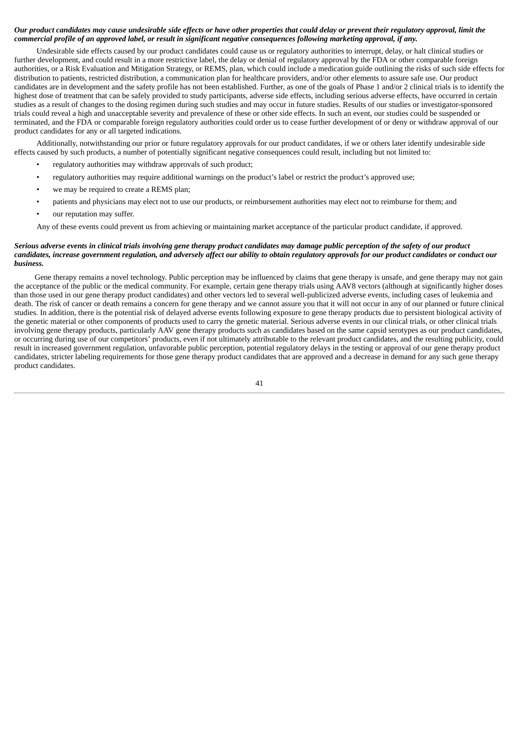## Our product candidates may cause undesirable side effects or have other properties that could delay or prevent their regulatory approval, limit the commercial profile of an approved label, or result in significant negative consequences following marketing approval, if any.

Undesirable side effects caused by our product candidates could cause us or regulatory authorities to interrupt, delay, or halt clinical studies or further development, and could result in a more restrictive label, the delay or denial of regulatory approval by the FDA or other comparable foreign authorities, or a Risk Evaluation and Mitigation Strategy, or REMS, plan, which could include a medication guide outlining the risks of such side effects for distribution to patients, restricted distribution, a communication plan for healthcare providers, and/or other elements to assure safe use. Our product candidates are in development and the safety profile has not been established. Further, as one of the goals of Phase 1 and/or 2 clinical trials is to identify the highest dose of treatment that can be safely provided to study participants, adverse side effects, including serious adverse effects, have occurred in certain studies as a result of changes to the dosing regimen during such studies and may occur in future studies. Results of our studies or investigator-sponsored trials could reveal a high and unacceptable severity and prevalence of these or other side effects. In such an event, our studies could be suspended or terminated, and the FDA or comparable foreign regulatory authorities could order us to cease further development of or deny or withdraw approval of our product candidates for any or all targeted indications.

Additionally, notwithstanding our prior or future regulatory approvals for our product candidates, if we or others later identify undesirable side effects caused by such products, a number of potentially significant negative consequences could result, including but not limited to:

- regulatory authorities may withdraw approvals of such product;
- regulatory authorities may require additional warnings on the product's label or restrict the product's approved use;
- we may be required to create a REMS plan;
- patients and physicians may elect not to use our products, or reimbursement authorities may elect not to reimburse for them; and
- our reputation may suffer.

Any of these events could prevent us from achieving or maintaining market acceptance of the particular product candidate, if approved.

## Serious adverse events in clinical trials involvina aene therapy product candidates may damage public perception of the safety of our product candidates, increase government regulation, and adversely affect our ability to obtain regulatory approvals for our product candidates or conduct our *business.*

Gene therapy remains a novel technology. Public perception may be influenced by claims that gene therapy is unsafe, and gene therapy may not gain the acceptance of the public or the medical community. For example, certain gene therapy trials using AAV8 vectors (although at significantly higher doses than those used in our gene therapy product candidates) and other vectors led to several well-publicized adverse events, including cases of leukemia and death. The risk of cancer or death remains a concern for gene therapy and we cannot assure you that it will not occur in any of our planned or future clinical studies. In addition, there is the potential risk of delayed adverse events following exposure to gene therapy products due to persistent biological activity of the genetic material or other components of products used to carry the genetic material. Serious adverse events in our clinical trials, or other clinical trials involving gene therapy products, particularly AAV gene therapy products such as candidates based on the same capsid serotypes as our product candidates, or occurring during use of our competitors' products, even if not ultimately attributable to the relevant product candidates, and the resulting publicity, could result in increased government regulation, unfavorable public perception, potential regulatory delays in the testing or approval of our gene therapy product candidates, stricter labeling requirements for those gene therapy product candidates that are approved and a decrease in demand for any such gene therapy product candidates.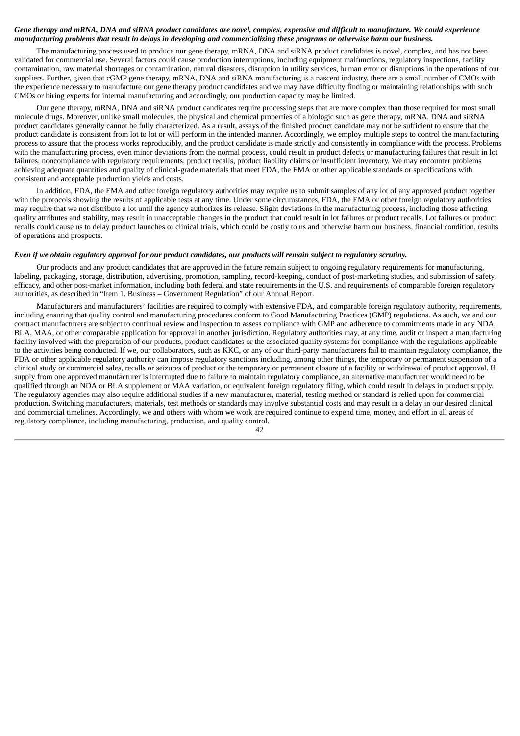## Gene therapy and mRNA, DNA and siRNA product candidates are novel, complex, expensive and difficult to manufacture. We could experience manufacturing problems that result in delays in developing and commercializing these programs or otherwise harm our business.

The manufacturing process used to produce our gene therapy, mRNA, DNA and siRNA product candidates is novel, complex, and has not been validated for commercial use. Several factors could cause production interruptions, including equipment malfunctions, regulatory inspections, facility contamination, raw material shortages or contamination, natural disasters, disruption in utility services, human error or disruptions in the operations of our suppliers. Further, given that cGMP gene therapy, mRNA, DNA and siRNA manufacturing is a nascent industry, there are a small number of CMOs with the experience necessary to manufacture our gene therapy product candidates and we may have difficulty finding or maintaining relationships with such CMOs or hiring experts for internal manufacturing and accordingly, our production capacity may be limited.

Our gene therapy, mRNA, DNA and siRNA product candidates require processing steps that are more complex than those required for most small molecule drugs. Moreover, unlike small molecules, the physical and chemical properties of a biologic such as gene therapy, mRNA, DNA and siRNA product candidates generally cannot be fully characterized. As a result, assays of the finished product candidate may not be sufficient to ensure that the product candidate is consistent from lot to lot or will perform in the intended manner. Accordingly, we employ multiple steps to control the manufacturing process to assure that the process works reproducibly, and the product candidate is made strictly and consistently in compliance with the process. Problems with the manufacturing process, even minor deviations from the normal process, could result in product defects or manufacturing failures that result in lot failures, noncompliance with regulatory requirements, product recalls, product liability claims or insufficient inventory. We may encounter problems achieving adequate quantities and quality of clinical-grade materials that meet FDA, the EMA or other applicable standards or specifications with consistent and acceptable production yields and costs.

In addition, FDA, the EMA and other foreign regulatory authorities may require us to submit samples of any lot of any approved product together with the protocols showing the results of applicable tests at any time. Under some circumstances, FDA, the EMA or other foreign regulatory authorities may require that we not distribute a lot until the agency authorizes its release. Slight deviations in the manufacturing process, including those affecting quality attributes and stability, may result in unacceptable changes in the product that could result in lot failures or product recalls. Lot failures or product recalls could cause us to delay product launches or clinical trials, which could be costly to us and otherwise harm our business, financial condition, results of operations and prospects.

## Even if we obtain requlatory approval for our product candidates, our products will remain subject to requlatory scrutiny.

Our products and any product candidates that are approved in the future remain subject to ongoing regulatory requirements for manufacturing, labeling, packaging, storage, distribution, advertising, promotion, sampling, record-keeping, conduct of post-marketing studies, and submission of safety, efficacy, and other post-market information, including both federal and state requirements in the U.S. and requirements of comparable foreign regulatory authorities, as described in "Item 1. Business – Government Regulation" of our Annual Report.

Manufacturers and manufacturers' facilities are required to comply with extensive FDA, and comparable foreign regulatory authority, requirements, including ensuring that quality control and manufacturing procedures conform to Good Manufacturing Practices (GMP) regulations. As such, we and our contract manufacturers are subject to continual review and inspection to assess compliance with GMP and adherence to commitments made in any NDA, BLA, MAA, or other comparable application for approval in another jurisdiction. Regulatory authorities may, at any time, audit or inspect a manufacturing facility involved with the preparation of our products, product candidates or the associated quality systems for compliance with the regulations applicable to the activities being conducted. If we, our collaborators, such as KKC, or any of our third-party manufacturers fail to maintain regulatory compliance, the FDA or other applicable regulatory authority can impose regulatory sanctions including, among other things, the temporary or permanent suspension of a clinical study or commercial sales, recalls or seizures of product or the temporary or permanent closure of a facility or withdrawal of product approval. If supply from one approved manufacturer is interrupted due to failure to maintain regulatory compliance, an alternative manufacturer would need to be qualified through an NDA or BLA supplement or MAA variation, or equivalent foreign regulatory filing, which could result in delays in product supply. The regulatory agencies may also require additional studies if a new manufacturer, material, testing method or standard is relied upon for commercial production. Switching manufacturers, materials, test methods or standards may involve substantial costs and may result in a delay in our desired clinical and commercial timelines. Accordingly, we and others with whom we work are required continue to expend time, money, and effort in all areas of regulatory compliance, including manufacturing, production, and quality control.

 $\Delta$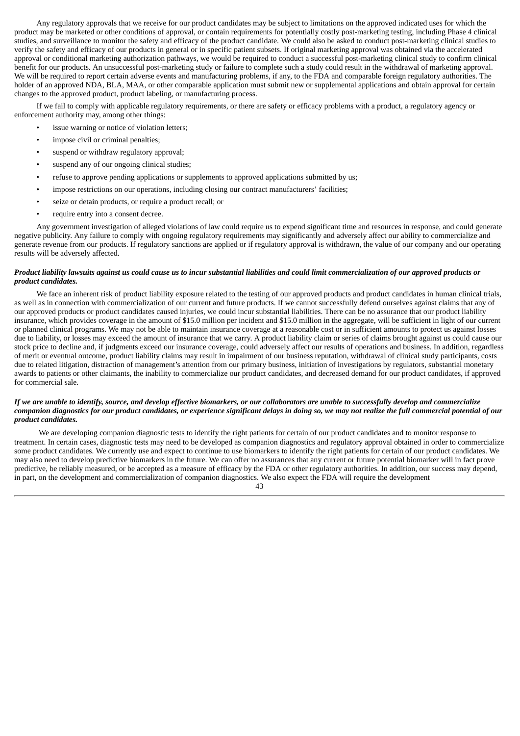Any regulatory approvals that we receive for our product candidates may be subject to limitations on the approved indicated uses for which the product may be marketed or other conditions of approval, or contain requirements for potentially costly post-marketing testing, including Phase 4 clinical studies, and surveillance to monitor the safety and efficacy of the product candidate. We could also be asked to conduct post-marketing clinical studies to verify the safety and efficacy of our products in general or in specific patient subsets. If original marketing approval was obtained via the accelerated approval or conditional marketing authorization pathways, we would be required to conduct a successful post-marketing clinical study to confirm clinical benefit for our products. An unsuccessful post-marketing study or failure to complete such a study could result in the withdrawal of marketing approval. We will be required to report certain adverse events and manufacturing problems, if any, to the FDA and comparable foreign regulatory authorities. The holder of an approved NDA, BLA, MAA, or other comparable application must submit new or supplemental applications and obtain approval for certain changes to the approved product, product labeling, or manufacturing process.

If we fail to comply with applicable regulatory requirements, or there are safety or efficacy problems with a product, a regulatory agency or enforcement authority may, among other things:

- issue warning or notice of violation letters;
- impose civil or criminal penalties;
- suspend or withdraw regulatory approval;
- suspend any of our ongoing clinical studies;
- refuse to approve pending applications or supplements to approved applications submitted by us;
- impose restrictions on our operations, including closing our contract manufacturers' facilities;
- seize or detain products, or require a product recall; or
- require entry into a consent decree.

Any government investigation of alleged violations of law could require us to expend significant time and resources in response, and could generate negative publicity. Any failure to comply with ongoing regulatory requirements may significantly and adversely affect our ability to commercialize and generate revenue from our products. If regulatory sanctions are applied or if regulatory approval is withdrawn, the value of our company and our operating results will be adversely affected.

#### Product liability lawsuits against us could cause us to incur substantial liabilities and could limit commercialization of our approved products or *product candidates.*

We face an inherent risk of product liability exposure related to the testing of our approved products and product candidates in human clinical trials, as well as in connection with commercialization of our current and future products. If we cannot successfully defend ourselves against claims that any of our approved products or product candidates caused injuries, we could incur substantial liabilities. There can be no assurance that our product liability insurance, which provides coverage in the amount of \$15.0 million per incident and \$15.0 million in the aggregate, will be sufficient in light of our current or planned clinical programs. We may not be able to maintain insurance coverage at a reasonable cost or in sufficient amounts to protect us against losses due to liability, or losses may exceed the amount of insurance that we carry. A product liability claim or series of claims brought against us could cause our stock price to decline and, if judgments exceed our insurance coverage, could adversely affect our results of operations and business. In addition, regardless of merit or eventual outcome, product liability claims may result in impairment of our business reputation, withdrawal of clinical study participants, costs due to related litigation, distraction of management's attention from our primary business, initiation of investigations by regulators, substantial monetary awards to patients or other claimants, the inability to commercialize our product candidates, and decreased demand for our product candidates, if approved for commercial sale.

## If we are unable to identify, source, and develop effective biomarkers, or our collaborators are unable to successfully develop and commercialize companion diagnostics for our product candidates, or experience significant delays in doing so, we may not realize the full commercial potential of our *product candidates.*

We are developing companion diagnostic tests to identify the right patients for certain of our product candidates and to monitor response to treatment. In certain cases, diagnostic tests may need to be developed as companion diagnostics and regulatory approval obtained in order to commercialize some product candidates. We currently use and expect to continue to use biomarkers to identify the right patients for certain of our product candidates. We may also need to develop predictive biomarkers in the future. We can offer no assurances that any current or future potential biomarker will in fact prove predictive, be reliably measured, or be accepted as a measure of efficacy by the FDA or other regulatory authorities. In addition, our success may depend, in part, on the development and commercialization of companion diagnostics. We also expect the FDA will require the development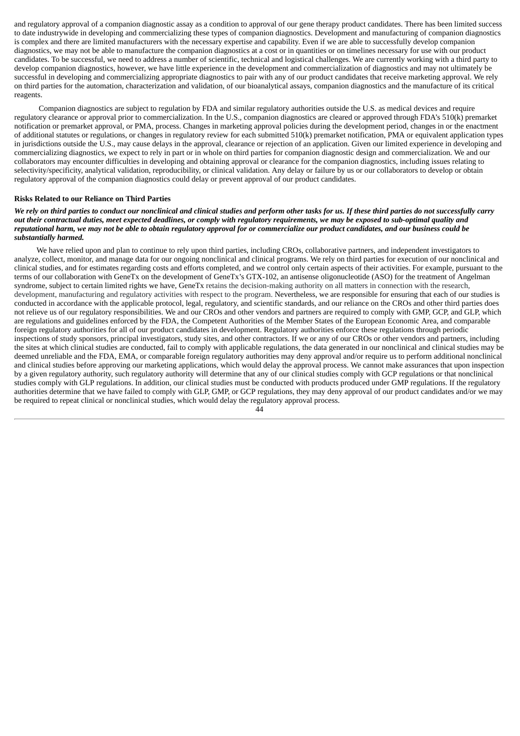and regulatory approval of a companion diagnostic assay as a condition to approval of our gene therapy product candidates. There has been limited success to date industrywide in developing and commercializing these types of companion diagnostics. Development and manufacturing of companion diagnostics is complex and there are limited manufacturers with the necessary expertise and capability. Even if we are able to successfully develop companion diagnostics, we may not be able to manufacture the companion diagnostics at a cost or in quantities or on timelines necessary for use with our product candidates. To be successful, we need to address a number of scientific, technical and logistical challenges. We are currently working with a third party to develop companion diagnostics, however, we have little experience in the development and commercialization of diagnostics and may not ultimately be successful in developing and commercializing appropriate diagnostics to pair with any of our product candidates that receive marketing approval. We rely on third parties for the automation, characterization and validation, of our bioanalytical assays, companion diagnostics and the manufacture of its critical reagents.

Companion diagnostics are subject to regulation by FDA and similar regulatory authorities outside the U.S. as medical devices and require regulatory clearance or approval prior to commercialization. In the U.S., companion diagnostics are cleared or approved through FDA's 510(k) premarket notification or premarket approval, or PMA, process. Changes in marketing approval policies during the development period, changes in or the enactment of additional statutes or regulations, or changes in regulatory review for each submitted 510(k) premarket notification, PMA or equivalent application types in jurisdictions outside the U.S., may cause delays in the approval, clearance or rejection of an application. Given our limited experience in developing and commercializing diagnostics, we expect to rely in part or in whole on third parties for companion diagnostic design and commercialization. We and our collaborators may encounter difficulties in developing and obtaining approval or clearance for the companion diagnostics, including issues relating to selectivity/specificity, analytical validation, reproducibility, or clinical validation. Any delay or failure by us or our collaborators to develop or obtain regulatory approval of the companion diagnostics could delay or prevent approval of our product candidates.

#### **Risks Related to our Reliance on Third Parties**

We rely on third parties to conduct our nonclinical and clinical studies and perform other tasks for us. If these third parties do not successfully carry out their contractual duties, meet expected deadlines, or comply with regulatory requirements, we may be exposed to sub-optimal quality and reputational harm, we may not be able to obtain regulatory approval for or commercialize our product candidates, and our business could be *substantially harmed.*

We have relied upon and plan to continue to rely upon third parties, including CROs, collaborative partners, and independent investigators to analyze, collect, monitor, and manage data for our ongoing nonclinical and clinical programs. We rely on third parties for execution of our nonclinical and clinical studies, and for estimates regarding costs and efforts completed, and we control only certain aspects of their activities. For example, pursuant to the terms of our collaboration with GeneTx on the development of GeneTx's GTX-102, an antisense oligonucleotide (ASO) for the treatment of Angelman syndrome, subject to certain limited rights we have, GeneTx retains the decision-making authority on all matters in connection with the research, development, manufacturing and regulatory activities with respect to the program. Nevertheless, we are responsible for ensuring that each of our studies is conducted in accordance with the applicable protocol, legal, regulatory, and scientific standards, and our reliance on the CROs and other third parties does not relieve us of our regulatory responsibilities. We and our CROs and other vendors and partners are required to comply with GMP, GCP, and GLP, which are regulations and guidelines enforced by the FDA, the Competent Authorities of the Member States of the European Economic Area, and comparable foreign regulatory authorities for all of our product candidates in development. Regulatory authorities enforce these regulations through periodic inspections of study sponsors, principal investigators, study sites, and other contractors. If we or any of our CROs or other vendors and partners, including the sites at which clinical studies are conducted, fail to comply with applicable regulations, the data generated in our nonclinical and clinical studies may be deemed unreliable and the FDA, EMA, or comparable foreign regulatory authorities may deny approval and/or require us to perform additional nonclinical and clinical studies before approving our marketing applications, which would delay the approval process. We cannot make assurances that upon inspection by a given regulatory authority, such regulatory authority will determine that any of our clinical studies comply with GCP regulations or that nonclinical studies comply with GLP regulations. In addition, our clinical studies must be conducted with products produced under GMP regulations. If the regulatory authorities determine that we have failed to comply with GLP, GMP, or GCP regulations, they may deny approval of our product candidates and/or we may be required to repeat clinical or nonclinical studies, which would delay the regulatory approval process.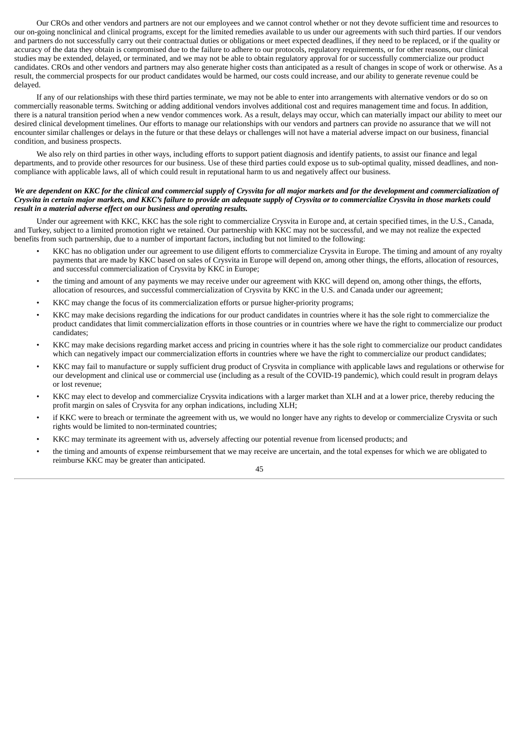Our CROs and other vendors and partners are not our employees and we cannot control whether or not they devote sufficient time and resources to our on-going nonclinical and clinical programs, except for the limited remedies available to us under our agreements with such third parties. If our vendors and partners do not successfully carry out their contractual duties or obligations or meet expected deadlines, if they need to be replaced, or if the quality or accuracy of the data they obtain is compromised due to the failure to adhere to our protocols, regulatory requirements, or for other reasons, our clinical studies may be extended, delayed, or terminated, and we may not be able to obtain regulatory approval for or successfully commercialize our product candidates. CROs and other vendors and partners may also generate higher costs than anticipated as a result of changes in scope of work or otherwise. As a result, the commercial prospects for our product candidates would be harmed, our costs could increase, and our ability to generate revenue could be delayed.

If any of our relationships with these third parties terminate, we may not be able to enter into arrangements with alternative vendors or do so on commercially reasonable terms. Switching or adding additional vendors involves additional cost and requires management time and focus. In addition, there is a natural transition period when a new vendor commences work. As a result, delays may occur, which can materially impact our ability to meet our desired clinical development timelines. Our efforts to manage our relationships with our vendors and partners can provide no assurance that we will not encounter similar challenges or delays in the future or that these delays or challenges will not have a material adverse impact on our business, financial condition, and business prospects.

We also rely on third parties in other ways, including efforts to support patient diagnosis and identify patients, to assist our finance and legal departments, and to provide other resources for our business. Use of these third parties could expose us to sub-optimal quality, missed deadlines, and noncompliance with applicable laws, all of which could result in reputational harm to us and negatively affect our business.

## We are dependent on KKC for the clinical and commercial supply of Crysvita for all major markets and for the development and commercialization of Crysvita in certain major markets, and KKC's failure to provide an adequate supply of Crysvita or to commercialize Crysvita in those markets could *result in a material adverse effect on our business and operating results.*

Under our agreement with KKC, KKC has the sole right to commercialize Crysvita in Europe and, at certain specified times, in the U.S., Canada, and Turkey, subject to a limited promotion right we retained. Our partnership with KKC may not be successful, and we may not realize the expected benefits from such partnership, due to a number of important factors, including but not limited to the following:

- KKC has no obligation under our agreement to use diligent efforts to commercialize Crysvita in Europe. The timing and amount of any royalty payments that are made by KKC based on sales of Crysvita in Europe will depend on, among other things, the efforts, allocation of resources, and successful commercialization of Crysvita by KKC in Europe;
- the timing and amount of any payments we may receive under our agreement with KKC will depend on, among other things, the efforts, allocation of resources, and successful commercialization of Crysvita by KKC in the U.S. and Canada under our agreement;
- KKC may change the focus of its commercialization efforts or pursue higher-priority programs;
- KKC may make decisions regarding the indications for our product candidates in countries where it has the sole right to commercialize the product candidates that limit commercialization efforts in those countries or in countries where we have the right to commercialize our product candidates;
- KKC may make decisions regarding market access and pricing in countries where it has the sole right to commercialize our product candidates which can negatively impact our commercialization efforts in countries where we have the right to commercialize our product candidates;
- KKC may fail to manufacture or supply sufficient drug product of Crysvita in compliance with applicable laws and regulations or otherwise for our development and clinical use or commercial use (including as a result of the COVID-19 pandemic), which could result in program delays or lost revenue;
- KKC may elect to develop and commercialize Crysvita indications with a larger market than XLH and at a lower price, thereby reducing the profit margin on sales of Crysvita for any orphan indications, including XLH;
- if KKC were to breach or terminate the agreement with us, we would no longer have any rights to develop or commercialize Crysvita or such rights would be limited to non-terminated countries;
- KKC may terminate its agreement with us, adversely affecting our potential revenue from licensed products; and
- the timing and amounts of expense reimbursement that we may receive are uncertain, and the total expenses for which we are obligated to reimburse KKC may be greater than anticipated.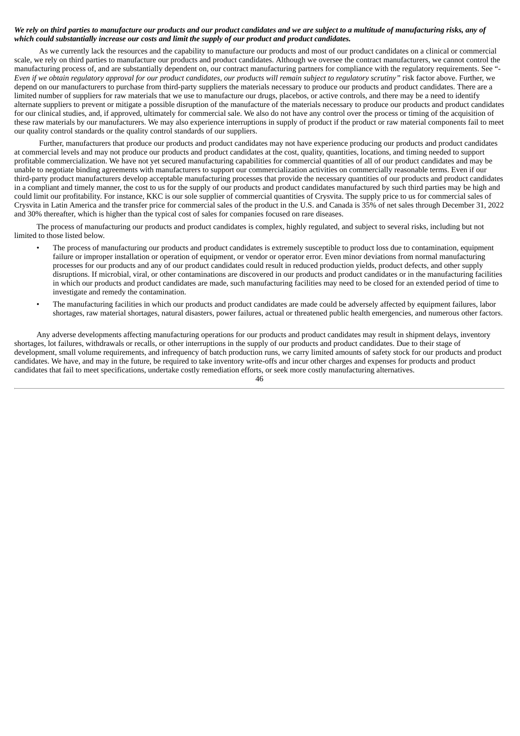## We rely on third parties to manufacture our products and our product candidates and we are subject to a multitude of manufacturing risks, any of *which could substantially increase our costs and limit the supply of our product and product candidates.*

As we currently lack the resources and the capability to manufacture our products and most of our product candidates on a clinical or commercial scale, we rely on third parties to manufacture our products and product candidates. Although we oversee the contract manufacturers, we cannot control the manufacturing process of, and are substantially dependent on, our contract manufacturing partners for compliance with the regulatory requirements. See "- Even if we obtain regulatory approval for our product candidates, our products will remain subject to regulatory scrutiny" risk factor above. Further, we depend on our manufacturers to purchase from third-party suppliers the materials necessary to produce our products and product candidates. There are a limited number of suppliers for raw materials that we use to manufacture our drugs, placebos, or active controls, and there may be a need to identify alternate suppliers to prevent or mitigate a possible disruption of the manufacture of the materials necessary to produce our products and product candidates for our clinical studies, and, if approved, ultimately for commercial sale. We also do not have any control over the process or timing of the acquisition of these raw materials by our manufacturers. We may also experience interruptions in supply of product if the product or raw material components fail to meet our quality control standards or the quality control standards of our suppliers.

Further, manufacturers that produce our products and product candidates may not have experience producing our products and product candidates at commercial levels and may not produce our products and product candidates at the cost, quality, quantities, locations, and timing needed to support profitable commercialization. We have not yet secured manufacturing capabilities for commercial quantities of all of our product candidates and may be unable to negotiate binding agreements with manufacturers to support our commercialization activities on commercially reasonable terms. Even if our third-party product manufacturers develop acceptable manufacturing processes that provide the necessary quantities of our products and product candidates in a compliant and timely manner, the cost to us for the supply of our products and product candidates manufactured by such third parties may be high and could limit our profitability. For instance, KKC is our sole supplier of commercial quantities of Crysvita. The supply price to us for commercial sales of Crysvita in Latin America and the transfer price for commercial sales of the product in the U.S. and Canada is 35% of net sales through December 31, 2022 and 30% thereafter, which is higher than the typical cost of sales for companies focused on rare diseases.

The process of manufacturing our products and product candidates is complex, highly regulated, and subject to several risks, including but not limited to those listed below.

- The process of manufacturing our products and product candidates is extremely susceptible to product loss due to contamination, equipment failure or improper installation or operation of equipment, or vendor or operator error. Even minor deviations from normal manufacturing processes for our products and any of our product candidates could result in reduced production yields, product defects, and other supply disruptions. If microbial, viral, or other contaminations are discovered in our products and product candidates or in the manufacturing facilities in which our products and product candidates are made, such manufacturing facilities may need to be closed for an extended period of time to investigate and remedy the contamination.
- The manufacturing facilities in which our products and product candidates are made could be adversely affected by equipment failures, labor shortages, raw material shortages, natural disasters, power failures, actual or threatened public health emergencies, and numerous other factors.

Any adverse developments affecting manufacturing operations for our products and product candidates may result in shipment delays, inventory shortages, lot failures, withdrawals or recalls, or other interruptions in the supply of our products and product candidates. Due to their stage of development, small volume requirements, and infrequency of batch production runs, we carry limited amounts of safety stock for our products and product candidates. We have, and may in the future, be required to take inventory write-offs and incur other charges and expenses for products and product candidates that fail to meet specifications, undertake costly remediation efforts, or seek more costly manufacturing alternatives.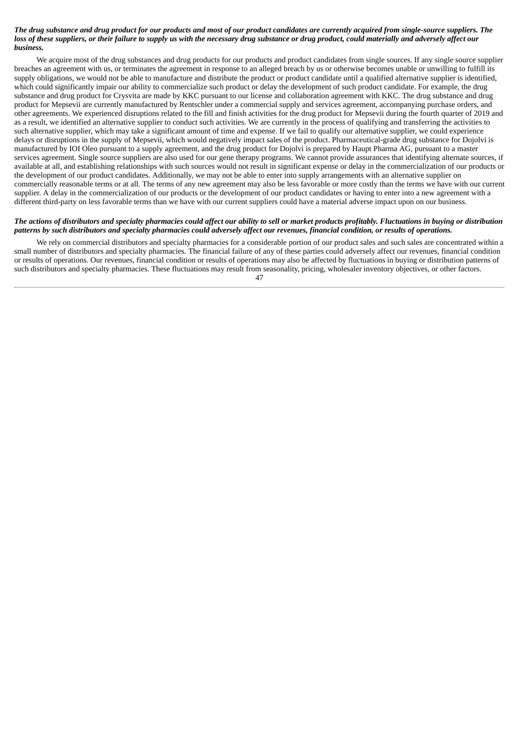#### The drug substance and drug product for our products and most of our product candidates are currently acquired from single-source suppliers. The loss of these suppliers, or their failure to supply us with the necessary drug substance or drug product, could materially and adversely affect our *business.*

We acquire most of the drug substances and drug products for our products and product candidates from single sources. If any single source supplier breaches an agreement with us, or terminates the agreement in response to an alleged breach by us or otherwise becomes unable or unwilling to fulfill its supply obligations, we would not be able to manufacture and distribute the product or product candidate until a qualified alternative supplier is identified, which could significantly impair our ability to commercialize such product or delay the development of such product candidate. For example, the drug substance and drug product for Crysvita are made by KKC pursuant to our license and collaboration agreement with KKC. The drug substance and drug product for Mepsevii are currently manufactured by Rentschler under a commercial supply and services agreement, accompanying purchase orders, and other agreements. We experienced disruptions related to the fill and finish activities for the drug product for Mepsevii during the fourth quarter of 2019 and as a result, we identified an alternative supplier to conduct such activities. We are currently in the process of qualifying and transferring the activities to such alternative supplier, which may take a significant amount of time and expense. If we fail to qualify our alternative supplier, we could experience delays or disruptions in the supply of Mepsevii, which would negatively impact sales of the product. Pharmaceutical-grade drug substance for Dojolvi is manufactured by IOI Oleo pursuant to a supply agreement, and the drug product for Dojolvi is prepared by Haupt Pharma AG, pursuant to a master services agreement. Single source suppliers are also used for our gene therapy programs. We cannot provide assurances that identifying alternate sources, if available at all, and establishing relationships with such sources would not result in significant expense or delay in the commercialization of our products or the development of our product candidates. Additionally, we may not be able to enter into supply arrangements with an alternative supplier on commercially reasonable terms or at all. The terms of any new agreement may also be less favorable or more costly than the terms we have with our current supplier. A delay in the commercialization of our products or the development of our product candidates or having to enter into a new agreement with a different third-party on less favorable terms than we have with our current suppliers could have a material adverse impact upon on our business.

## The actions of distributors and specialty pharmacies could affect our ability to sell or market products profitably. Fluctuations in buying or distribution patterns by such distributors and specialty pharmacies could adversely affect our revenues, financial condition, or results of operations.

We rely on commercial distributors and specialty pharmacies for a considerable portion of our product sales and such sales are concentrated within a small number of distributors and specialty pharmacies. The financial failure of any of these parties could adversely affect our revenues, financial condition or results of operations. Our revenues, financial condition or results of operations may also be affected by fluctuations in buying or distribution patterns of such distributors and specialty pharmacies. These fluctuations may result from seasonality, pricing, wholesaler inventory objectives, or other factors.

<sup>47</sup>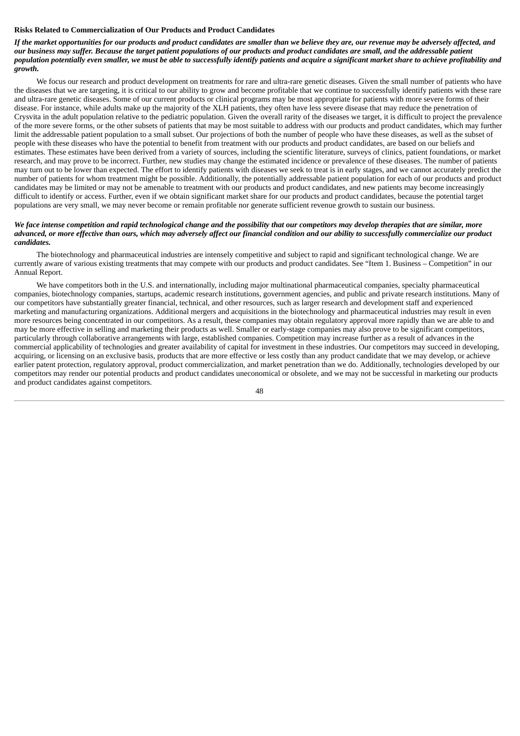### **Risks Related to Commercialization of Our Products and Product Candidates**

### If the market opportunities for our products and product candidates are smaller than we believe they are, our revenue may be adversely affected, and our business may suffer. Because the target patient populations of our products and product candidates are small, and the addressable patient population potentially even smaller, we must be able to successfully identify patients and acquire a significant market share to achieve profitability and *growth.*

We focus our research and product development on treatments for rare and ultra-rare genetic diseases. Given the small number of patients who have the diseases that we are targeting, it is critical to our ability to grow and become profitable that we continue to successfully identify patients with these rare and ultra-rare genetic diseases. Some of our current products or clinical programs may be most appropriate for patients with more severe forms of their disease. For instance, while adults make up the majority of the XLH patients, they often have less severe disease that may reduce the penetration of Crysvita in the adult population relative to the pediatric population. Given the overall rarity of the diseases we target, it is difficult to project the prevalence of the more severe forms, or the other subsets of patients that may be most suitable to address with our products and product candidates, which may further limit the addressable patient population to a small subset. Our projections of both the number of people who have these diseases, as well as the subset of people with these diseases who have the potential to benefit from treatment with our products and product candidates, are based on our beliefs and estimates. These estimates have been derived from a variety of sources, including the scientific literature, surveys of clinics, patient foundations, or market research, and may prove to be incorrect. Further, new studies may change the estimated incidence or prevalence of these diseases. The number of patients may turn out to be lower than expected. The effort to identify patients with diseases we seek to treat is in early stages, and we cannot accurately predict the number of patients for whom treatment might be possible. Additionally, the potentially addressable patient population for each of our products and product candidates may be limited or may not be amenable to treatment with our products and product candidates, and new patients may become increasingly difficult to identify or access. Further, even if we obtain significant market share for our products and product candidates, because the potential target populations are very small, we may never become or remain profitable nor generate sufficient revenue growth to sustain our business.

### We face intense competition and rapid technological change and the possibility that our competitors may develop therapies that are similar, more advanced, or more effective than ours, which may adversely affect our financial condition and our ability to successfully commercialize our product *candidates.*

The biotechnology and pharmaceutical industries are intensely competitive and subject to rapid and significant technological change. We are currently aware of various existing treatments that may compete with our products and product candidates. See "Item 1. Business – Competition" in our Annual Report.

We have competitors both in the U.S. and internationally, including major multinational pharmaceutical companies, specialty pharmaceutical companies, biotechnology companies, startups, academic research institutions, government agencies, and public and private research institutions. Many of our competitors have substantially greater financial, technical, and other resources, such as larger research and development staff and experienced marketing and manufacturing organizations. Additional mergers and acquisitions in the biotechnology and pharmaceutical industries may result in even more resources being concentrated in our competitors. As a result, these companies may obtain regulatory approval more rapidly than we are able to and may be more effective in selling and marketing their products as well. Smaller or early-stage companies may also prove to be significant competitors, particularly through collaborative arrangements with large, established companies. Competition may increase further as a result of advances in the commercial applicability of technologies and greater availability of capital for investment in these industries. Our competitors may succeed in developing, acquiring, or licensing on an exclusive basis, products that are more effective or less costly than any product candidate that we may develop, or achieve earlier patent protection, regulatory approval, product commercialization, and market penetration than we do. Additionally, technologies developed by our competitors may render our potential products and product candidates uneconomical or obsolete, and we may not be successful in marketing our products and product candidates against competitors.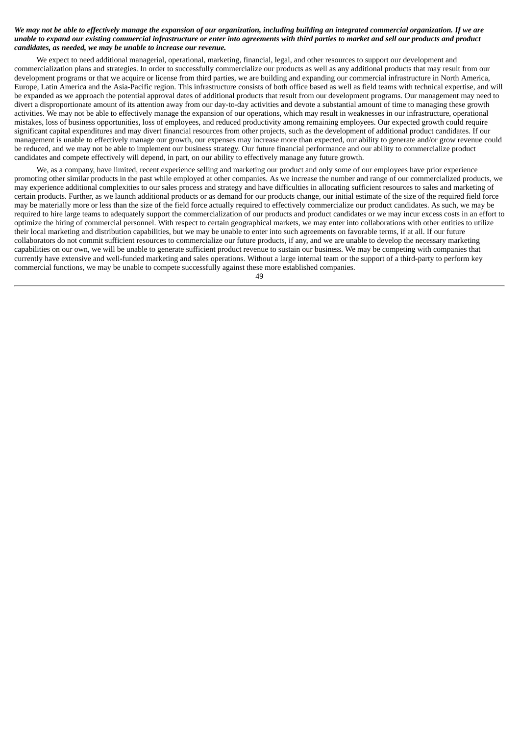## We may not be able to effectively manage the expansion of our organization, including building an integrated commercial organization. If we are unable to expand our existing commercial infrastructure or enter into agreements with third parties to market and sell our products and product *candidates, as needed, we may be unable to increase our revenue.*

We expect to need additional managerial, operational, marketing, financial, legal, and other resources to support our development and commercialization plans and strategies. In order to successfully commercialize our products as well as any additional products that may result from our development programs or that we acquire or license from third parties, we are building and expanding our commercial infrastructure in North America, Europe, Latin America and the Asia-Pacific region. This infrastructure consists of both office based as well as field teams with technical expertise, and will be expanded as we approach the potential approval dates of additional products that result from our development programs. Our management may need to divert a disproportionate amount of its attention away from our day-to-day activities and devote a substantial amount of time to managing these growth activities. We may not be able to effectively manage the expansion of our operations, which may result in weaknesses in our infrastructure, operational mistakes, loss of business opportunities, loss of employees, and reduced productivity among remaining employees. Our expected growth could require significant capital expenditures and may divert financial resources from other projects, such as the development of additional product candidates. If our management is unable to effectively manage our growth, our expenses may increase more than expected, our ability to generate and/or grow revenue could be reduced, and we may not be able to implement our business strategy. Our future financial performance and our ability to commercialize product candidates and compete effectively will depend, in part, on our ability to effectively manage any future growth.

We, as a company, have limited, recent experience selling and marketing our product and only some of our employees have prior experience promoting other similar products in the past while employed at other companies. As we increase the number and range of our commercialized products, we may experience additional complexities to our sales process and strategy and have difficulties in allocating sufficient resources to sales and marketing of certain products. Further, as we launch additional products or as demand for our products change, our initial estimate of the size of the required field force may be materially more or less than the size of the field force actually required to effectively commercialize our product candidates. As such, we may be required to hire large teams to adequately support the commercialization of our products and product candidates or we may incur excess costs in an effort to optimize the hiring of commercial personnel. With respect to certain geographical markets, we may enter into collaborations with other entities to utilize their local marketing and distribution capabilities, but we may be unable to enter into such agreements on favorable terms, if at all. If our future collaborators do not commit sufficient resources to commercialize our future products, if any, and we are unable to develop the necessary marketing capabilities on our own, we will be unable to generate sufficient product revenue to sustain our business. We may be competing with companies that currently have extensive and well-funded marketing and sales operations. Without a large internal team or the support of a third-party to perform key commercial functions, we may be unable to compete successfully against these more established companies.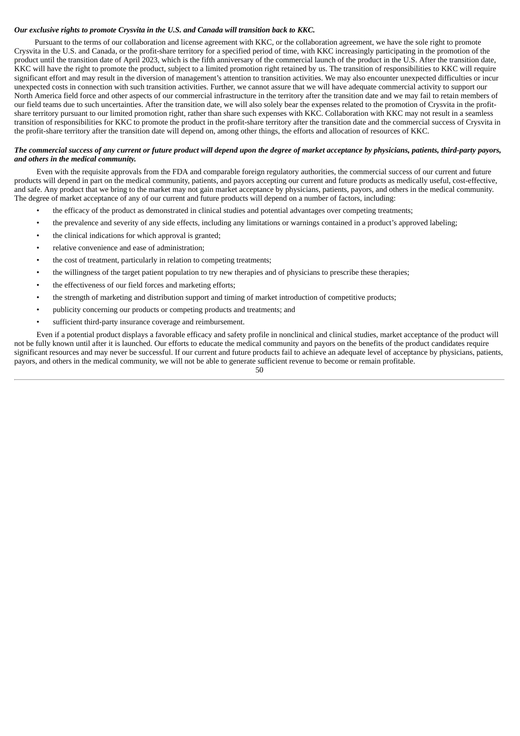## *Our exclusive rights to promote Crysvita in the U.S. and Canada will transition back to KKC.*

Pursuant to the terms of our collaboration and license agreement with KKC, or the collaboration agreement, we have the sole right to promote Crysvita in the U.S. and Canada, or the profit-share territory for a specified period of time, with KKC increasingly participating in the promotion of the product until the transition date of April 2023, which is the fifth anniversary of the commercial launch of the product in the U.S. After the transition date, KKC will have the right to promote the product, subject to a limited promotion right retained by us. The transition of responsibilities to KKC will require significant effort and may result in the diversion of management's attention to transition activities. We may also encounter unexpected difficulties or incur unexpected costs in connection with such transition activities. Further, we cannot assure that we will have adequate commercial activity to support our North America field force and other aspects of our commercial infrastructure in the territory after the transition date and we may fail to retain members of our field teams due to such uncertainties. After the transition date, we will also solely bear the expenses related to the promotion of Crysvita in the profitshare territory pursuant to our limited promotion right, rather than share such expenses with KKC. Collaboration with KKC may not result in a seamless transition of responsibilities for KKC to promote the product in the profit-share territory after the transition date and the commercial success of Crysvita in the profit-share territory after the transition date will depend on, among other things, the efforts and allocation of resources of KKC.

## The commercial success of any current or future product will depend upon the degree of market acceptance by physicians, patients, third-party payors, *and others in the medical community.*

Even with the requisite approvals from the FDA and comparable foreign regulatory authorities, the commercial success of our current and future products will depend in part on the medical community, patients, and payors accepting our current and future products as medically useful, cost-effective, and safe. Any product that we bring to the market may not gain market acceptance by physicians, patients, payors, and others in the medical community. The degree of market acceptance of any of our current and future products will depend on a number of factors, including:

- the efficacy of the product as demonstrated in clinical studies and potential advantages over competing treatments;
- the prevalence and severity of any side effects, including any limitations or warnings contained in a product's approved labeling;
- the clinical indications for which approval is granted;
- relative convenience and ease of administration;
- the cost of treatment, particularly in relation to competing treatments;
- the willingness of the target patient population to try new therapies and of physicians to prescribe these therapies;
- the effectiveness of our field forces and marketing efforts;
- the strength of marketing and distribution support and timing of market introduction of competitive products;
- publicity concerning our products or competing products and treatments; and
- sufficient third-party insurance coverage and reimbursement.

Even if a potential product displays a favorable efficacy and safety profile in nonclinical and clinical studies, market acceptance of the product will not be fully known until after it is launched. Our efforts to educate the medical community and payors on the benefits of the product candidates require significant resources and may never be successful. If our current and future products fail to achieve an adequate level of acceptance by physicians, patients, payors, and others in the medical community, we will not be able to generate sufficient revenue to become or remain profitable.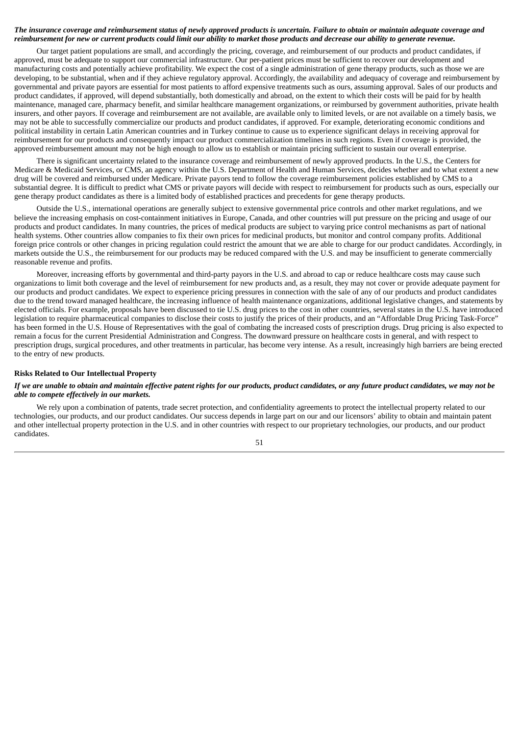### The insurance coverage and reimbursement status of newly approved products is uncertain. Failure to obtain or maintain adequate coverage and reimbursement for new or current products could limit our ability to market those products and decrease our ability to generate revenue.

Our target patient populations are small, and accordingly the pricing, coverage, and reimbursement of our products and product candidates, if approved, must be adequate to support our commercial infrastructure. Our per-patient prices must be sufficient to recover our development and manufacturing costs and potentially achieve profitability. We expect the cost of a single administration of gene therapy products, such as those we are developing, to be substantial, when and if they achieve regulatory approval. Accordingly, the availability and adequacy of coverage and reimbursement by governmental and private payors are essential for most patients to afford expensive treatments such as ours, assuming approval. Sales of our products and product candidates, if approved, will depend substantially, both domestically and abroad, on the extent to which their costs will be paid for by health maintenance, managed care, pharmacy benefit, and similar healthcare management organizations, or reimbursed by government authorities, private health insurers, and other payors. If coverage and reimbursement are not available, are available only to limited levels, or are not available on a timely basis, we may not be able to successfully commercialize our products and product candidates, if approved. For example, deteriorating economic conditions and political instability in certain Latin American countries and in Turkey continue to cause us to experience significant delays in receiving approval for reimbursement for our products and consequently impact our product commercialization timelines in such regions. Even if coverage is provided, the approved reimbursement amount may not be high enough to allow us to establish or maintain pricing sufficient to sustain our overall enterprise.

There is significant uncertainty related to the insurance coverage and reimbursement of newly approved products. In the U.S., the Centers for Medicare & Medicaid Services, or CMS, an agency within the U.S. Department of Health and Human Services, decides whether and to what extent a new drug will be covered and reimbursed under Medicare. Private payors tend to follow the coverage reimbursement policies established by CMS to a substantial degree. It is difficult to predict what CMS or private payors will decide with respect to reimbursement for products such as ours, especially our gene therapy product candidates as there is a limited body of established practices and precedents for gene therapy products.

Outside the U.S., international operations are generally subject to extensive governmental price controls and other market regulations, and we believe the increasing emphasis on cost-containment initiatives in Europe, Canada, and other countries will put pressure on the pricing and usage of our products and product candidates. In many countries, the prices of medical products are subject to varying price control mechanisms as part of national health systems. Other countries allow companies to fix their own prices for medicinal products, but monitor and control company profits. Additional foreign price controls or other changes in pricing regulation could restrict the amount that we are able to charge for our product candidates. Accordingly, in markets outside the U.S., the reimbursement for our products may be reduced compared with the U.S. and may be insufficient to generate commercially reasonable revenue and profits.

Moreover, increasing efforts by governmental and third-party payors in the U.S. and abroad to cap or reduce healthcare costs may cause such organizations to limit both coverage and the level of reimbursement for new products and, as a result, they may not cover or provide adequate payment for our products and product candidates. We expect to experience pricing pressures in connection with the sale of any of our products and product candidates due to the trend toward managed healthcare, the increasing influence of health maintenance organizations, additional legislative changes, and statements by elected officials. For example, proposals have been discussed to tie U.S. drug prices to the cost in other countries, several states in the U.S. have introduced legislation to require pharmaceutical companies to disclose their costs to justify the prices of their products, and an "Affordable Drug Pricing Task-Force" has been formed in the U.S. House of Representatives with the goal of combating the increased costs of prescription drugs. Drug pricing is also expected to remain a focus for the current Presidential Administration and Congress. The downward pressure on healthcare costs in general, and with respect to prescription drugs, surgical procedures, and other treatments in particular, has become very intense. As a result, increasingly high barriers are being erected to the entry of new products.

## **Risks Related to Our Intellectual Property**

## If we are unable to obtain and maintain effective patent rights for our products, product candidates, or any future product candidates, we may not be *able to compete effectively in our markets.*

We rely upon a combination of patents, trade secret protection, and confidentiality agreements to protect the intellectual property related to our technologies, our products, and our product candidates. Our success depends in large part on our and our licensors' ability to obtain and maintain patent and other intellectual property protection in the U.S. and in other countries with respect to our proprietary technologies, our products, and our product candidates.

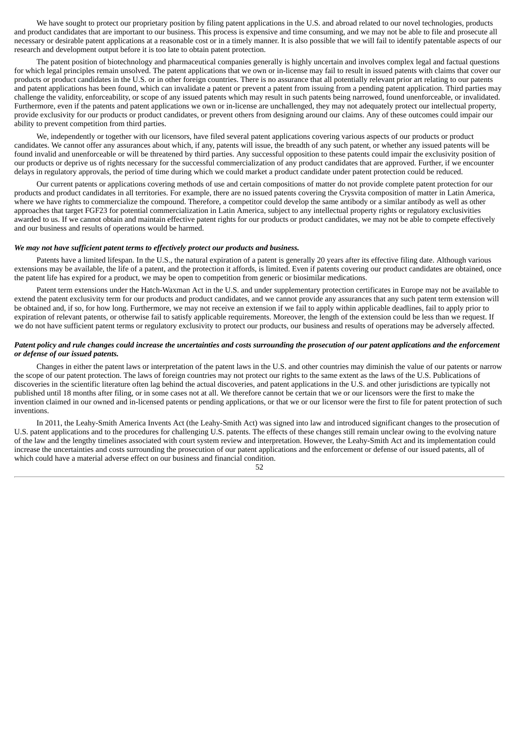We have sought to protect our proprietary position by filing patent applications in the U.S. and abroad related to our novel technologies, products and product candidates that are important to our business. This process is expensive and time consuming, and we may not be able to file and prosecute all necessary or desirable patent applications at a reasonable cost or in a timely manner. It is also possible that we will fail to identify patentable aspects of our research and development output before it is too late to obtain patent protection.

The patent position of biotechnology and pharmaceutical companies generally is highly uncertain and involves complex legal and factual questions for which legal principles remain unsolved. The patent applications that we own or in-license may fail to result in issued patents with claims that cover our products or product candidates in the U.S. or in other foreign countries. There is no assurance that all potentially relevant prior art relating to our patents and patent applications has been found, which can invalidate a patent or prevent a patent from issuing from a pending patent application. Third parties may challenge the validity, enforceability, or scope of any issued patents which may result in such patents being narrowed, found unenforceable, or invalidated. Furthermore, even if the patents and patent applications we own or in-license are unchallenged, they may not adequately protect our intellectual property, provide exclusivity for our products or product candidates, or prevent others from designing around our claims. Any of these outcomes could impair our ability to prevent competition from third parties.

We, independently or together with our licensors, have filed several patent applications covering various aspects of our products or product candidates. We cannot offer any assurances about which, if any, patents will issue, the breadth of any such patent, or whether any issued patents will be found invalid and unenforceable or will be threatened by third parties. Any successful opposition to these patents could impair the exclusivity position of our products or deprive us of rights necessary for the successful commercialization of any product candidates that are approved. Further, if we encounter delays in regulatory approvals, the period of time during which we could market a product candidate under patent protection could be reduced.

Our current patents or applications covering methods of use and certain compositions of matter do not provide complete patent protection for our products and product candidates in all territories. For example, there are no issued patents covering the Crysvita composition of matter in Latin America, where we have rights to commercialize the compound. Therefore, a competitor could develop the same antibody or a similar antibody as well as other approaches that target FGF23 for potential commercialization in Latin America, subject to any intellectual property rights or regulatory exclusivities awarded to us. If we cannot obtain and maintain effective patent rights for our products or product candidates, we may not be able to compete effectively and our business and results of operations would be harmed.

#### *We may not have sufficient patent terms to effectively protect our products and business.*

Patents have a limited lifespan. In the U.S., the natural expiration of a patent is generally 20 years after its effective filing date. Although various extensions may be available, the life of a patent, and the protection it affords, is limited. Even if patents covering our product candidates are obtained, once the patent life has expired for a product, we may be open to competition from generic or biosimilar medications.

Patent term extensions under the Hatch-Waxman Act in the U.S. and under supplementary protection certificates in Europe may not be available to extend the patent exclusivity term for our products and product candidates, and we cannot provide any assurances that any such patent term extension will be obtained and, if so, for how long. Furthermore, we may not receive an extension if we fail to apply within applicable deadlines, fail to apply prior to expiration of relevant patents, or otherwise fail to satisfy applicable requirements. Moreover, the length of the extension could be less than we request. If we do not have sufficient patent terms or regulatory exclusivity to protect our products, our business and results of operations may be adversely affected.

#### Patent policy and rule changes could increase the uncertainties and costs surrounding the prosecution of our patent applications and the enforcement *or defense of our issued patents.*

Changes in either the patent laws or interpretation of the patent laws in the U.S. and other countries may diminish the value of our patents or narrow the scope of our patent protection. The laws of foreign countries may not protect our rights to the same extent as the laws of the U.S. Publications of discoveries in the scientific literature often lag behind the actual discoveries, and patent applications in the U.S. and other jurisdictions are typically not published until 18 months after filing, or in some cases not at all. We therefore cannot be certain that we or our licensors were the first to make the invention claimed in our owned and in-licensed patents or pending applications, or that we or our licensor were the first to file for patent protection of such inventions.

In 2011, the Leahy-Smith America Invents Act (the Leahy-Smith Act) was signed into law and introduced significant changes to the prosecution of U.S. patent applications and to the procedures for challenging U.S. patents. The effects of these changes still remain unclear owing to the evolving nature of the law and the lengthy timelines associated with court system review and interpretation. However, the Leahy-Smith Act and its implementation could increase the uncertainties and costs surrounding the prosecution of our patent applications and the enforcement or defense of our issued patents, all of which could have a material adverse effect on our business and financial condition.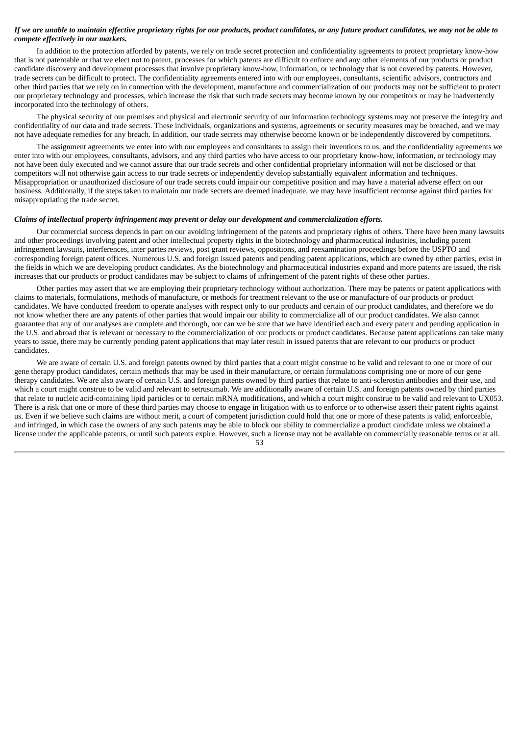#### If we are unable to maintain effective proprietary rights for our products, product candidates, or any future product candidates, we may not be able to *compete effectively in our markets.*

In addition to the protection afforded by patents, we rely on trade secret protection and confidentiality agreements to protect proprietary know-how that is not patentable or that we elect not to patent, processes for which patents are difficult to enforce and any other elements of our products or product candidate discovery and development processes that involve proprietary know-how, information, or technology that is not covered by patents. However, trade secrets can be difficult to protect. The confidentiality agreements entered into with our employees, consultants, scientific advisors, contractors and other third parties that we rely on in connection with the development, manufacture and commercialization of our products may not be sufficient to protect our proprietary technology and processes, which increase the risk that such trade secrets may become known by our competitors or may be inadvertently incorporated into the technology of others.

The physical security of our premises and physical and electronic security of our information technology systems may not preserve the integrity and confidentiality of our data and trade secrets. These individuals, organizations and systems, agreements or security measures may be breached, and we may not have adequate remedies for any breach. In addition, our trade secrets may otherwise become known or be independently discovered by competitors.

The assignment agreements we enter into with our employees and consultants to assign their inventions to us, and the confidentiality agreements we enter into with our employees, consultants, advisors, and any third parties who have access to our proprietary know-how, information, or technology may not have been duly executed and we cannot assure that our trade secrets and other confidential proprietary information will not be disclosed or that competitors will not otherwise gain access to our trade secrets or independently develop substantially equivalent information and techniques. Misappropriation or unauthorized disclosure of our trade secrets could impair our competitive position and may have a material adverse effect on our business. Additionally, if the steps taken to maintain our trade secrets are deemed inadequate, we may have insufficient recourse against third parties for misappropriating the trade secret.

#### *Claims of intellectual property infringement may prevent or delay our development and commercialization efforts.*

Our commercial success depends in part on our avoiding infringement of the patents and proprietary rights of others. There have been many lawsuits and other proceedings involving patent and other intellectual property rights in the biotechnology and pharmaceutical industries, including patent infringement lawsuits, interferences, inter partes reviews, post grant reviews, oppositions, and reexamination proceedings before the USPTO and corresponding foreign patent offices. Numerous U.S. and foreign issued patents and pending patent applications, which are owned by other parties, exist in the fields in which we are developing product candidates. As the biotechnology and pharmaceutical industries expand and more patents are issued, the risk increases that our products or product candidates may be subject to claims of infringement of the patent rights of these other parties.

Other parties may assert that we are employing their proprietary technology without authorization. There may be patents or patent applications with claims to materials, formulations, methods of manufacture, or methods for treatment relevant to the use or manufacture of our products or product candidates. We have conducted freedom to operate analyses with respect only to our products and certain of our product candidates, and therefore we do not know whether there are any patents of other parties that would impair our ability to commercialize all of our product candidates. We also cannot guarantee that any of our analyses are complete and thorough, nor can we be sure that we have identified each and every patent and pending application in the U.S. and abroad that is relevant or necessary to the commercialization of our products or product candidates. Because patent applications can take many years to issue, there may be currently pending patent applications that may later result in issued patents that are relevant to our products or product candidates.

We are aware of certain U.S. and foreign patents owned by third parties that a court might construe to be valid and relevant to one or more of our gene therapy product candidates, certain methods that may be used in their manufacture, or certain formulations comprising one or more of our gene therapy candidates. We are also aware of certain U.S. and foreign patents owned by third parties that relate to anti-sclerostin antibodies and their use, and which a court might construe to be valid and relevant to setrusumab. We are additionally aware of certain U.S. and foreign patents owned by third parties that relate to nucleic acid-containing lipid particles or to certain mRNA modifications, and which a court might construe to be valid and relevant to UX053. There is a risk that one or more of these third parties may choose to engage in litigation with us to enforce or to otherwise assert their patent rights against us. Even if we believe such claims are without merit, a court of competent jurisdiction could hold that one or more of these patents is valid, enforceable, and infringed, in which case the owners of any such patents may be able to block our ability to commercialize a product candidate unless we obtained a license under the applicable patents, or until such patents expire. However, such a license may not be available on commercially reasonable terms or at all.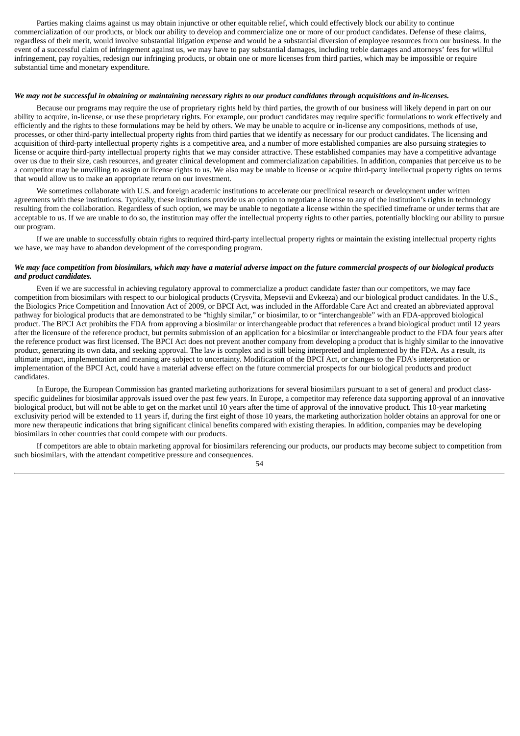Parties making claims against us may obtain injunctive or other equitable relief, which could effectively block our ability to continue commercialization of our products, or block our ability to develop and commercialize one or more of our product candidates. Defense of these claims, regardless of their merit, would involve substantial litigation expense and would be a substantial diversion of employee resources from our business. In the event of a successful claim of infringement against us, we may have to pay substantial damages, including treble damages and attorneys' fees for willful infringement, pay royalties, redesign our infringing products, or obtain one or more licenses from third parties, which may be impossible or require substantial time and monetary expenditure.

#### We may not be successful in obtaining or maintaining necessary rights to our product candidates through acquisitions and in-licenses.

Because our programs may require the use of proprietary rights held by third parties, the growth of our business will likely depend in part on our ability to acquire, in-license, or use these proprietary rights. For example, our product candidates may require specific formulations to work effectively and efficiently and the rights to these formulations may be held by others. We may be unable to acquire or in-license any compositions, methods of use, processes, or other third-party intellectual property rights from third parties that we identify as necessary for our product candidates. The licensing and acquisition of third-party intellectual property rights is a competitive area, and a number of more established companies are also pursuing strategies to license or acquire third-party intellectual property rights that we may consider attractive. These established companies may have a competitive advantage over us due to their size, cash resources, and greater clinical development and commercialization capabilities. In addition, companies that perceive us to be a competitor may be unwilling to assign or license rights to us. We also may be unable to license or acquire third-party intellectual property rights on terms that would allow us to make an appropriate return on our investment.

We sometimes collaborate with U.S. and foreign academic institutions to accelerate our preclinical research or development under written agreements with these institutions. Typically, these institutions provide us an option to negotiate a license to any of the institution's rights in technology resulting from the collaboration. Regardless of such option, we may be unable to negotiate a license within the specified timeframe or under terms that are acceptable to us. If we are unable to do so, the institution may offer the intellectual property rights to other parties, potentially blocking our ability to pursue our program.

If we are unable to successfully obtain rights to required third-party intellectual property rights or maintain the existing intellectual property rights we have, we may have to abandon development of the corresponding program.

## We may face competition from biosimilars, which may have a material adverse impact on the future commercial prospects of our biological products *and product candidates.*

Even if we are successful in achieving regulatory approval to commercialize a product candidate faster than our competitors, we may face competition from biosimilars with respect to our biological products (Crysvita, Mepsevii and Evkeeza) and our biological product candidates. In the U.S., the Biologics Price Competition and Innovation Act of 2009, or BPCI Act, was included in the Affordable Care Act and created an abbreviated approval pathway for biological products that are demonstrated to be "highly similar," or biosimilar, to or "interchangeable" with an FDA-approved biological product. The BPCI Act prohibits the FDA from approving a biosimilar or interchangeable product that references a brand biological product until 12 years after the licensure of the reference product, but permits submission of an application for a biosimilar or interchangeable product to the FDA four years after the reference product was first licensed. The BPCI Act does not prevent another company from developing a product that is highly similar to the innovative product, generating its own data, and seeking approval. The law is complex and is still being interpreted and implemented by the FDA. As a result, its ultimate impact, implementation and meaning are subject to uncertainty. Modification of the BPCI Act, or changes to the FDA's interpretation or implementation of the BPCI Act, could have a material adverse effect on the future commercial prospects for our biological products and product candidates.

In Europe, the European Commission has granted marketing authorizations for several biosimilars pursuant to a set of general and product classspecific guidelines for biosimilar approvals issued over the past few years. In Europe, a competitor may reference data supporting approval of an innovative biological product, but will not be able to get on the market until 10 years after the time of approval of the innovative product. This 10-year marketing exclusivity period will be extended to 11 years if, during the first eight of those 10 years, the marketing authorization holder obtains an approval for one or more new therapeutic indications that bring significant clinical benefits compared with existing therapies. In addition, companies may be developing biosimilars in other countries that could compete with our products.

If competitors are able to obtain marketing approval for biosimilars referencing our products, our products may become subject to competition from such biosimilars, with the attendant competitive pressure and consequences.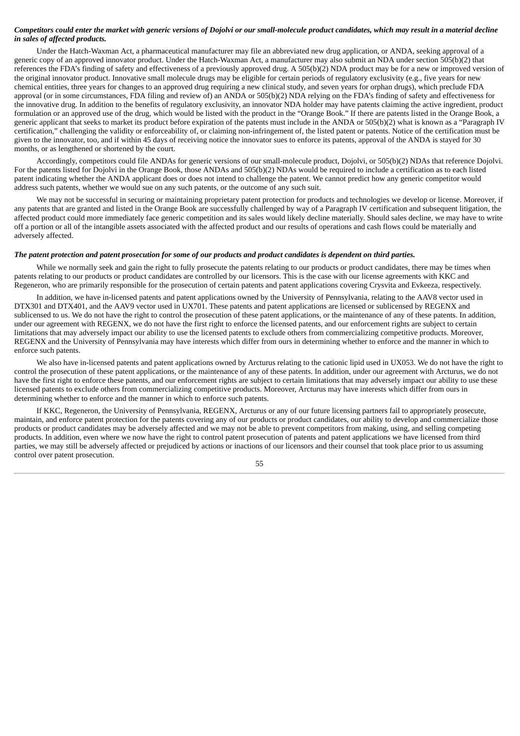### Competitors could enter the market with generic versions of Dojolvi or our small-molecule product candidates, which may result in a material decline *in sales of affected products.*

Under the Hatch-Waxman Act, a pharmaceutical manufacturer may file an abbreviated new drug application, or ANDA, seeking approval of a generic copy of an approved innovator product. Under the Hatch-Waxman Act, a manufacturer may also submit an NDA under section 505(b)(2) that references the FDA's finding of safety and effectiveness of a previously approved drug. A 505(b)(2) NDA product may be for a new or improved version of the original innovator product. Innovative small molecule drugs may be eligible for certain periods of regulatory exclusivity (e.g., five years for new chemical entities, three years for changes to an approved drug requiring a new clinical study, and seven years for orphan drugs), which preclude FDA approval (or in some circumstances, FDA filing and review of) an ANDA or 505(b)(2) NDA relying on the FDA's finding of safety and effectiveness for the innovative drug. In addition to the benefits of regulatory exclusivity, an innovator NDA holder may have patents claiming the active ingredient, product formulation or an approved use of the drug, which would be listed with the product in the "Orange Book." If there are patents listed in the Orange Book, a generic applicant that seeks to market its product before expiration of the patents must include in the ANDA or 505(b)(2) what is known as a "Paragraph IV certification," challenging the validity or enforceability of, or claiming non-infringement of, the listed patent or patents. Notice of the certification must be given to the innovator, too, and if within 45 days of receiving notice the innovator sues to enforce its patents, approval of the ANDA is stayed for 30 months, or as lengthened or shortened by the court.

Accordingly, competitors could file ANDAs for generic versions of our small-molecule product, Dojolvi, or 505(b)(2) NDAs that reference Dojolvi. For the patents listed for Dojolvi in the Orange Book, those ANDAs and 505(b)(2) NDAs would be required to include a certification as to each listed patent indicating whether the ANDA applicant does or does not intend to challenge the patent. We cannot predict how any generic competitor would address such patents, whether we would sue on any such patents, or the outcome of any such suit.

We may not be successful in securing or maintaining proprietary patent protection for products and technologies we develop or license. Moreover, if any patents that are granted and listed in the Orange Book are successfully challenged by way of a Paragraph IV certification and subsequent litigation, the affected product could more immediately face generic competition and its sales would likely decline materially. Should sales decline, we may have to write off a portion or all of the intangible assets associated with the affected product and our results of operations and cash flows could be materially and adversely affected.

## The patent protection and patent prosecution for some of our products and product candidates is dependent on third parties.

While we normally seek and gain the right to fully prosecute the patents relating to our products or product candidates, there may be times when patents relating to our products or product candidates are controlled by our licensors. This is the case with our license agreements with KKC and Regeneron, who are primarily responsible for the prosecution of certain patents and patent applications covering Crysvita and Evkeeza, respectively.

In addition, we have in-licensed patents and patent applications owned by the University of Pennsylvania, relating to the AAV8 vector used in DTX301 and DTX401, and the AAV9 vector used in UX701. These patents and patent applications are licensed or sublicensed by REGENX and sublicensed to us. We do not have the right to control the prosecution of these patent applications, or the maintenance of any of these patents. In addition, under our agreement with REGENX, we do not have the first right to enforce the licensed patents, and our enforcement rights are subject to certain limitations that may adversely impact our ability to use the licensed patents to exclude others from commercializing competitive products. Moreover, REGENX and the University of Pennsylvania may have interests which differ from ours in determining whether to enforce and the manner in which to enforce such patents.

We also have in-licensed patents and patent applications owned by Arcturus relating to the cationic lipid used in UX053. We do not have the right to control the prosecution of these patent applications, or the maintenance of any of these patents. In addition, under our agreement with Arcturus, we do not have the first right to enforce these patents, and our enforcement rights are subject to certain limitations that may adversely impact our ability to use these licensed patents to exclude others from commercializing competitive products. Moreover, Arcturus may have interests which differ from ours in determining whether to enforce and the manner in which to enforce such patents.

If KKC, Regeneron, the University of Pennsylvania, REGENX, Arcturus or any of our future licensing partners fail to appropriately prosecute, maintain, and enforce patent protection for the patents covering any of our products or product candidates, our ability to develop and commercialize those products or product candidates may be adversely affected and we may not be able to prevent competitors from making, using, and selling competing products. In addition, even where we now have the right to control patent prosecution of patents and patent applications we have licensed from third parties, we may still be adversely affected or prejudiced by actions or inactions of our licensors and their counsel that took place prior to us assuming control over patent prosecution.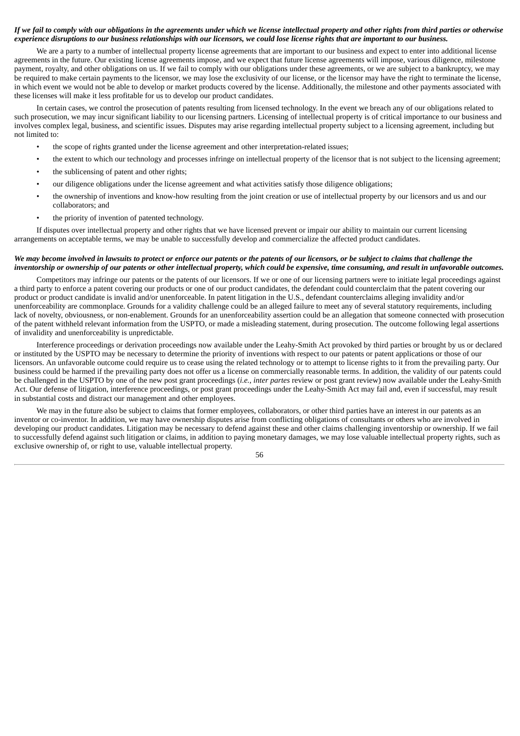## If we fail to comply with our obligations in the agreements under which we license intellectual property and other rights from third parties or otherwise experience disruptions to our business relationships with our licensors, we could lose license rights that are important to our business.

We are a party to a number of intellectual property license agreements that are important to our business and expect to enter into additional license agreements in the future. Our existing license agreements impose, and we expect that future license agreements will impose, various diligence, milestone payment, royalty, and other obligations on us. If we fail to comply with our obligations under these agreements, or we are subject to a bankruptcy, we may be required to make certain payments to the licensor, we may lose the exclusivity of our license, or the licensor may have the right to terminate the license, in which event we would not be able to develop or market products covered by the license. Additionally, the milestone and other payments associated with these licenses will make it less profitable for us to develop our product candidates.

In certain cases, we control the prosecution of patents resulting from licensed technology. In the event we breach any of our obligations related to such prosecution, we may incur significant liability to our licensing partners. Licensing of intellectual property is of critical importance to our business and involves complex legal, business, and scientific issues. Disputes may arise regarding intellectual property subject to a licensing agreement, including but not limited to:

- the scope of rights granted under the license agreement and other interpretation-related issues;
- the extent to which our technology and processes infringe on intellectual property of the licensor that is not subject to the licensing agreement;
- the sublicensing of patent and other rights;
- our diligence obligations under the license agreement and what activities satisfy those diligence obligations;
- the ownership of inventions and know-how resulting from the joint creation or use of intellectual property by our licensors and us and our collaborators; and
- the priority of invention of patented technology.

If disputes over intellectual property and other rights that we have licensed prevent or impair our ability to maintain our current licensing arrangements on acceptable terms, we may be unable to successfully develop and commercialize the affected product candidates.

## We may become involved in lawsuits to protect or enforce our patents or the patents of our licensors, or be subject to claims that challenge the inventorship or ownership of our patents or other intellectual property, which could be expensive, time consuming, and result in unfavorable outcomes.

Competitors may infringe our patents or the patents of our licensors. If we or one of our licensing partners were to initiate legal proceedings against a third party to enforce a patent covering our products or one of our product candidates, the defendant could counterclaim that the patent covering our product or product candidate is invalid and/or unenforceable. In patent litigation in the U.S., defendant counterclaims alleging invalidity and/or unenforceability are commonplace. Grounds for a validity challenge could be an alleged failure to meet any of several statutory requirements, including lack of novelty, obviousness, or non-enablement. Grounds for an unenforceability assertion could be an allegation that someone connected with prosecution of the patent withheld relevant information from the USPTO, or made a misleading statement, during prosecution. The outcome following legal assertions of invalidity and unenforceability is unpredictable.

Interference proceedings or derivation proceedings now available under the Leahy-Smith Act provoked by third parties or brought by us or declared or instituted by the USPTO may be necessary to determine the priority of inventions with respect to our patents or patent applications or those of our licensors. An unfavorable outcome could require us to cease using the related technology or to attempt to license rights to it from the prevailing party. Our business could be harmed if the prevailing party does not offer us a license on commercially reasonable terms. In addition, the validity of our patents could be challenged in the USPTO by one of the new post grant proceedings (*i.e., inter partes* review or post grant review) now available under the Leahy-Smith Act. Our defense of litigation, interference proceedings, or post grant proceedings under the Leahy-Smith Act may fail and, even if successful, may result in substantial costs and distract our management and other employees.

We may in the future also be subject to claims that former employees, collaborators, or other third parties have an interest in our patents as an inventor or co-inventor. In addition, we may have ownership disputes arise from conflicting obligations of consultants or others who are involved in developing our product candidates. Litigation may be necessary to defend against these and other claims challenging inventorship or ownership. If we fail to successfully defend against such litigation or claims, in addition to paying monetary damages, we may lose valuable intellectual property rights, such as exclusive ownership of, or right to use, valuable intellectual property.

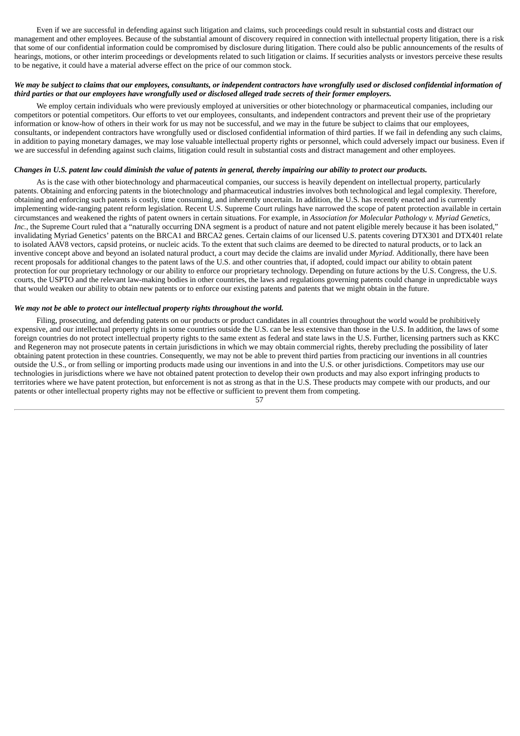Even if we are successful in defending against such litigation and claims, such proceedings could result in substantial costs and distract our management and other employees. Because of the substantial amount of discovery required in connection with intellectual property litigation, there is a risk that some of our confidential information could be compromised by disclosure during litigation. There could also be public announcements of the results of hearings, motions, or other interim proceedings or developments related to such litigation or claims. If securities analysts or investors perceive these results to be negative, it could have a material adverse effect on the price of our common stock.

## We may be subject to claims that our employees, consultants, or independent contractors have wrongfully used or disclosed confidential information of third parties or that our employees have wrongfully used or disclosed alleged trade secrets of their former employers.

We employ certain individuals who were previously employed at universities or other biotechnology or pharmaceutical companies, including our competitors or potential competitors. Our efforts to vet our employees, consultants, and independent contractors and prevent their use of the proprietary information or know-how of others in their work for us may not be successful, and we may in the future be subject to claims that our employees, consultants, or independent contractors have wrongfully used or disclosed confidential information of third parties. If we fail in defending any such claims, in addition to paying monetary damages, we may lose valuable intellectual property rights or personnel, which could adversely impact our business. Even if we are successful in defending against such claims, litigation could result in substantial costs and distract management and other employees.

## Changes in U.S. patent law could diminish the value of patents in general, thereby impairing our ability to protect our products.

As is the case with other biotechnology and pharmaceutical companies, our success is heavily dependent on intellectual property, particularly patents. Obtaining and enforcing patents in the biotechnology and pharmaceutical industries involves both technological and legal complexity. Therefore, obtaining and enforcing such patents is costly, time consuming, and inherently uncertain. In addition, the U.S. has recently enacted and is currently implementing wide-ranging patent reform legislation. Recent U.S. Supreme Court rulings have narrowed the scope of patent protection available in certain circumstances and weakened the rights of patent owners in certain situations. For example, in *Association for Molecular Pathology v. Myriad Genetics,* Inc., the Supreme Court ruled that a "naturally occurring DNA segment is a product of nature and not patent eligible merely because it has been isolated," invalidating Myriad Genetics' patents on the BRCA1 and BRCA2 genes. Certain claims of our licensed U.S. patents covering DTX301 and DTX401 relate to isolated AAV8 vectors, capsid proteins, or nucleic acids. To the extent that such claims are deemed to be directed to natural products, or to lack an inventive concept above and beyond an isolated natural product, a court may decide the claims are invalid under *Myriad*. Additionally, there have been recent proposals for additional changes to the patent laws of the U.S. and other countries that, if adopted, could impact our ability to obtain patent protection for our proprietary technology or our ability to enforce our proprietary technology. Depending on future actions by the U.S. Congress, the U.S. courts, the USPTO and the relevant law-making bodies in other countries, the laws and regulations governing patents could change in unpredictable ways that would weaken our ability to obtain new patents or to enforce our existing patents and patents that we might obtain in the future.

#### *We may not be able to protect our intellectual property rights throughout the world.*

Filing, prosecuting, and defending patents on our products or product candidates in all countries throughout the world would be prohibitively expensive, and our intellectual property rights in some countries outside the U.S. can be less extensive than those in the U.S. In addition, the laws of some foreign countries do not protect intellectual property rights to the same extent as federal and state laws in the U.S. Further, licensing partners such as KKC and Regeneron may not prosecute patents in certain jurisdictions in which we may obtain commercial rights, thereby precluding the possibility of later obtaining patent protection in these countries. Consequently, we may not be able to prevent third parties from practicing our inventions in all countries outside the U.S., or from selling or importing products made using our inventions in and into the U.S. or other jurisdictions. Competitors may use our technologies in jurisdictions where we have not obtained patent protection to develop their own products and may also export infringing products to territories where we have patent protection, but enforcement is not as strong as that in the U.S. These products may compete with our products, and our patents or other intellectual property rights may not be effective or sufficient to prevent them from competing.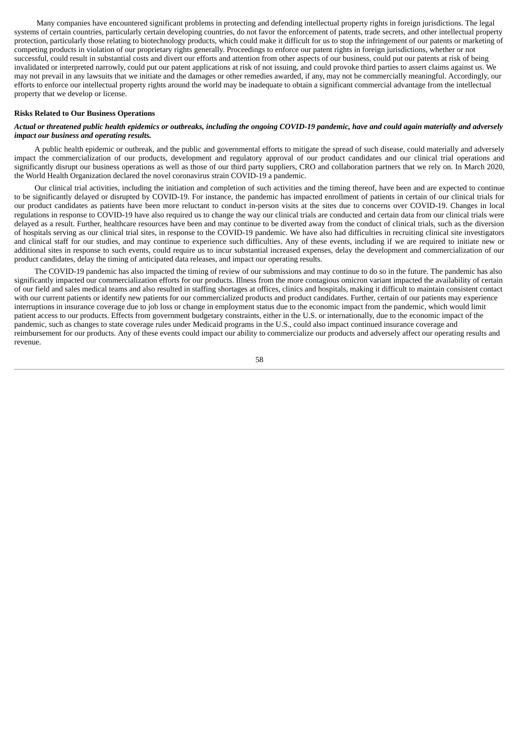Many companies have encountered significant problems in protecting and defending intellectual property rights in foreign jurisdictions. The legal systems of certain countries, particularly certain developing countries, do not favor the enforcement of patents, trade secrets, and other intellectual property protection, particularly those relating to biotechnology products, which could make it difficult for us to stop the infringement of our patents or marketing of competing products in violation of our proprietary rights generally. Proceedings to enforce our patent rights in foreign jurisdictions, whether or not successful, could result in substantial costs and divert our efforts and attention from other aspects of our business, could put our patents at risk of being invalidated or interpreted narrowly, could put our patent applications at risk of not issuing, and could provoke third parties to assert claims against us. We may not prevail in any lawsuits that we initiate and the damages or other remedies awarded, if any, may not be commercially meaningful. Accordingly, our efforts to enforce our intellectual property rights around the world may be inadequate to obtain a significant commercial advantage from the intellectual property that we develop or license.

## **Risks Related to Our Business Operations**

#### Actual or threatened public health epidemics or outbreaks, including the ongoing COVID-19 pandemic, have and could again materially and adversely *impact our business and operating results.*

A public health epidemic or outbreak, and the public and governmental efforts to mitigate the spread of such disease, could materially and adversely impact the commercialization of our products, development and regulatory approval of our product candidates and our clinical trial operations and significantly disrupt our business operations as well as those of our third party suppliers, CRO and collaboration partners that we rely on. In March 2020, the World Health Organization declared the novel coronavirus strain COVID-19 a pandemic.

Our clinical trial activities, including the initiation and completion of such activities and the timing thereof, have been and are expected to continue to be significantly delayed or disrupted by COVID-19. For instance, the pandemic has impacted enrollment of patients in certain of our clinical trials for our product candidates as patients have been more reluctant to conduct in-person visits at the sites due to concerns over COVID-19. Changes in local regulations in response to COVID-19 have also required us to change the way our clinical trials are conducted and certain data from our clinical trials were delayed as a result. Further, healthcare resources have been and may continue to be diverted away from the conduct of clinical trials, such as the diversion of hospitals serving as our clinical trial sites, in response to the COVID-19 pandemic. We have also had difficulties in recruiting clinical site investigators and clinical staff for our studies, and may continue to experience such difficulties. Any of these events, including if we are required to initiate new or additional sites in response to such events, could require us to incur substantial increased expenses, delay the development and commercialization of our product candidates, delay the timing of anticipated data releases, and impact our operating results.

The COVID-19 pandemic has also impacted the timing of review of our submissions and may continue to do so in the future. The pandemic has also significantly impacted our commercialization efforts for our products. Illness from the more contagious omicron variant impacted the availability of certain of our field and sales medical teams and also resulted in staffing shortages at offices, clinics and hospitals, making it difficult to maintain consistent contact with our current patients or identify new patients for our commercialized products and product candidates. Further, certain of our patients may experience interruptions in insurance coverage due to job loss or change in employment status due to the economic impact from the pandemic, which would limit patient access to our products. Effects from government budgetary constraints, either in the U.S. or internationally, due to the economic impact of the pandemic, such as changes to state coverage rules under Medicaid programs in the U.S., could also impact continued insurance coverage and reimbursement for our products. Any of these events could impact our ability to commercialize our products and adversely affect our operating results and revenue.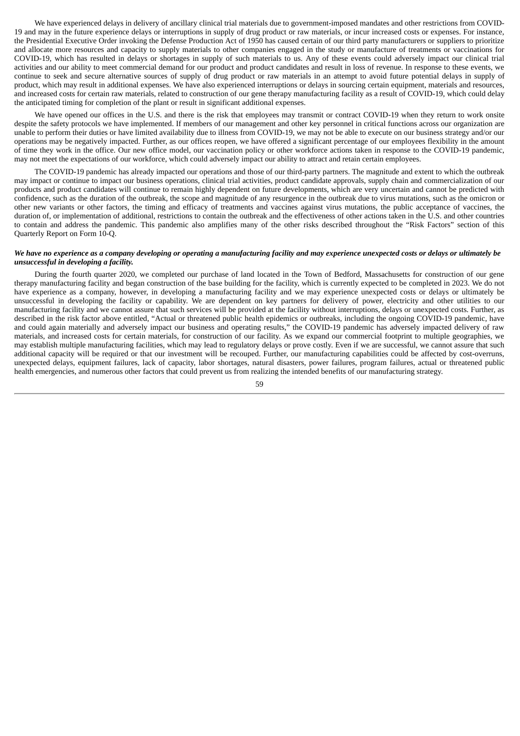We have experienced delays in delivery of ancillary clinical trial materials due to government-imposed mandates and other restrictions from COVID-19 and may in the future experience delays or interruptions in supply of drug product or raw materials, or incur increased costs or expenses. For instance, the Presidential Executive Order invoking the Defense Production Act of 1950 has caused certain of our third party manufacturers or suppliers to prioritize and allocate more resources and capacity to supply materials to other companies engaged in the study or manufacture of treatments or vaccinations for COVID-19, which has resulted in delays or shortages in supply of such materials to us. Any of these events could adversely impact our clinical trial activities and our ability to meet commercial demand for our product and product candidates and result in loss of revenue. In response to these events, we continue to seek and secure alternative sources of supply of drug product or raw materials in an attempt to avoid future potential delays in supply of product, which may result in additional expenses. We have also experienced interruptions or delays in sourcing certain equipment, materials and resources, and increased costs for certain raw materials, related to construction of our gene therapy manufacturing facility as a result of COVID-19, which could delay the anticipated timing for completion of the plant or result in significant additional expenses.

We have opened our offices in the U.S. and there is the risk that employees may transmit or contract COVID-19 when they return to work onsite despite the safety protocols we have implemented. If members of our management and other key personnel in critical functions across our organization are unable to perform their duties or have limited availability due to illness from COVID-19, we may not be able to execute on our business strategy and/or our operations may be negatively impacted. Further, as our offices reopen, we have offered a significant percentage of our employees flexibility in the amount of time they work in the office. Our new office model, our vaccination policy or other workforce actions taken in response to the COVID-19 pandemic, may not meet the expectations of our workforce, which could adversely impact our ability to attract and retain certain employees.

The COVID-19 pandemic has already impacted our operations and those of our third-party partners. The magnitude and extent to which the outbreak may impact or continue to impact our business operations, clinical trial activities, product candidate approvals, supply chain and commercialization of our products and product candidates will continue to remain highly dependent on future developments, which are very uncertain and cannot be predicted with confidence, such as the duration of the outbreak, the scope and magnitude of any resurgence in the outbreak due to virus mutations, such as the omicron or other new variants or other factors, the timing and efficacy of treatments and vaccines against virus mutations, the public acceptance of vaccines, the duration of, or implementation of additional, restrictions to contain the outbreak and the effectiveness of other actions taken in the U.S. and other countries to contain and address the pandemic. This pandemic also amplifies many of the other risks described throughout the "Risk Factors" section of this Quarterly Report on Form 10-Q.

## We have no experience as a company developing or operating a manufacturing facility and may experience unexpected costs or delays or ultimately be *unsuccessful in developing a facility.*

During the fourth quarter 2020, we completed our purchase of land located in the Town of Bedford, Massachusetts for construction of our gene therapy manufacturing facility and began construction of the base building for the facility, which is currently expected to be completed in 2023. We do not have experience as a company, however, in developing a manufacturing facility and we may experience unexpected costs or delays or ultimately be unsuccessful in developing the facility or capability. We are dependent on key partners for delivery of power, electricity and other utilities to our manufacturing facility and we cannot assure that such services will be provided at the facility without interruptions, delays or unexpected costs. Further, as described in the risk factor above entitled, "Actual or threatened public health epidemics or outbreaks, including the ongoing COVID-19 pandemic, have and could again materially and adversely impact our business and operating results," the COVID-19 pandemic has adversely impacted delivery of raw materials, and increased costs for certain materials, for construction of our facility. As we expand our commercial footprint to multiple geographies, we may establish multiple manufacturing facilities, which may lead to regulatory delays or prove costly. Even if we are successful, we cannot assure that such additional capacity will be required or that our investment will be recouped. Further, our manufacturing capabilities could be affected by cost-overruns, unexpected delays, equipment failures, lack of capacity, labor shortages, natural disasters, power failures, program failures, actual or threatened public health emergencies, and numerous other factors that could prevent us from realizing the intended benefits of our manufacturing strategy.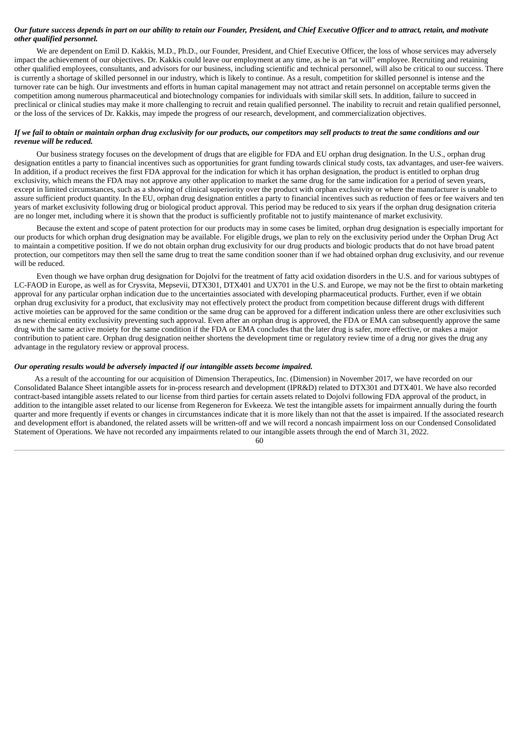### Our future success depends in part on our ability to retain our Founder, President, and Chief Executive Officer and to attract, retain, and motivate *other qualified personnel.*

We are dependent on Emil D. Kakkis, M.D., Ph.D., our Founder, President, and Chief Executive Officer, the loss of whose services may adversely impact the achievement of our objectives. Dr. Kakkis could leave our employment at any time, as he is an "at will" employee. Recruiting and retaining other qualified employees, consultants, and advisors for our business, including scientific and technical personnel, will also be critical to our success. There is currently a shortage of skilled personnel in our industry, which is likely to continue. As a result, competition for skilled personnel is intense and the turnover rate can be high. Our investments and efforts in human capital management may not attract and retain personnel on acceptable terms given the competition among numerous pharmaceutical and biotechnology companies for individuals with similar skill sets. In addition, failure to succeed in preclinical or clinical studies may make it more challenging to recruit and retain qualified personnel. The inability to recruit and retain qualified personnel, or the loss of the services of Dr. Kakkis, may impede the progress of our research, development, and commercialization objectives.

## If we fail to obtain or maintain orphan drug exclusivity for our products, our competitors may sell products to treat the same conditions and our *revenue will be reduced.*

Our business strategy focuses on the development of drugs that are eligible for FDA and EU orphan drug designation. In the U.S., orphan drug designation entitles a party to financial incentives such as opportunities for grant funding towards clinical study costs, tax advantages, and user-fee waivers. In addition, if a product receives the first FDA approval for the indication for which it has orphan designation, the product is entitled to orphan drug exclusivity, which means the FDA may not approve any other application to market the same drug for the same indication for a period of seven years, except in limited circumstances, such as a showing of clinical superiority over the product with orphan exclusivity or where the manufacturer is unable to assure sufficient product quantity. In the EU, orphan drug designation entitles a party to financial incentives such as reduction of fees or fee waivers and ten years of market exclusivity following drug or biological product approval. This period may be reduced to six years if the orphan drug designation criteria are no longer met, including where it is shown that the product is sufficiently profitable not to justify maintenance of market exclusivity.

Because the extent and scope of patent protection for our products may in some cases be limited, orphan drug designation is especially important for our products for which orphan drug designation may be available. For eligible drugs, we plan to rely on the exclusivity period under the Orphan Drug Act to maintain a competitive position. If we do not obtain orphan drug exclusivity for our drug products and biologic products that do not have broad patent protection, our competitors may then sell the same drug to treat the same condition sooner than if we had obtained orphan drug exclusivity, and our revenue will be reduced.

Even though we have orphan drug designation for Dojolvi for the treatment of fatty acid oxidation disorders in the U.S. and for various subtypes of LC-FAOD in Europe, as well as for Crysvita, Mepsevii, DTX301, DTX401 and UX701 in the U.S. and Europe, we may not be the first to obtain marketing approval for any particular orphan indication due to the uncertainties associated with developing pharmaceutical products. Further, even if we obtain orphan drug exclusivity for a product, that exclusivity may not effectively protect the product from competition because different drugs with different active moieties can be approved for the same condition or the same drug can be approved for a different indication unless there are other exclusivities such as new chemical entity exclusivity preventing such approval. Even after an orphan drug is approved, the FDA or EMA can subsequently approve the same drug with the same active moiety for the same condition if the FDA or EMA concludes that the later drug is safer, more effective, or makes a major contribution to patient care. Orphan drug designation neither shortens the development time or regulatory review time of a drug nor gives the drug any advantage in the regulatory review or approval process.

## *Our operating results would be adversely impacted if our intangible assets become impaired.*

As a result of the accounting for our acquisition of Dimension Therapeutics, Inc. (Dimension) in November 2017, we have recorded on our Consolidated Balance Sheet intangible assets for in-process research and development (IPR&D) related to DTX301 and DTX401. We have also recorded contract-based intangible assets related to our license from third parties for certain assets related to Dojolvi following FDA approval of the product, in addition to the intangible asset related to our license from Regeneron for Evkeeza. We test the intangible assets for impairment annually during the fourth quarter and more frequently if events or changes in circumstances indicate that it is more likely than not that the asset is impaired. If the associated research and development effort is abandoned, the related assets will be written-off and we will record a noncash impairment loss on our Condensed Consolidated Statement of Operations. We have not recorded any impairments related to our intangible assets through the end of March 31, 2022.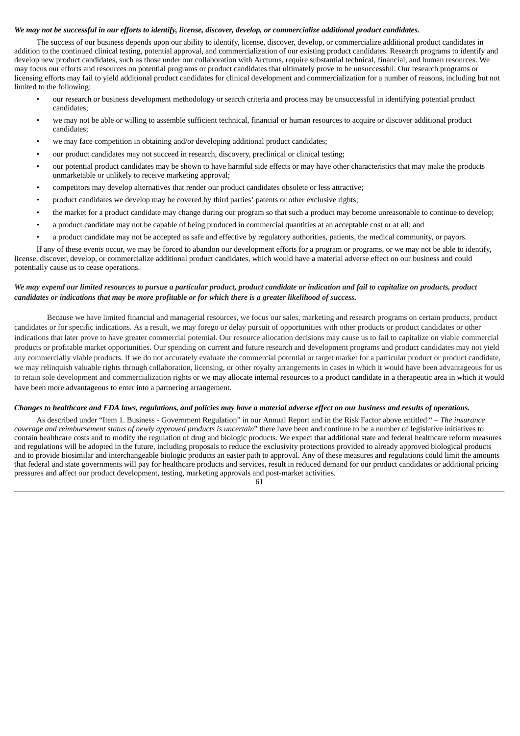#### We may not be successful in our efforts to identify, license, discover, develop, or commercialize additional product candidates.

The success of our business depends upon our ability to identify, license, discover, develop, or commercialize additional product candidates in addition to the continued clinical testing, potential approval, and commercialization of our existing product candidates. Research programs to identify and develop new product candidates, such as those under our collaboration with Arcturus, require substantial technical, financial, and human resources. We may focus our efforts and resources on potential programs or product candidates that ultimately prove to be unsuccessful. Our research programs or licensing efforts may fail to yield additional product candidates for clinical development and commercialization for a number of reasons, including but not limited to the following:

- our research or business development methodology or search criteria and process may be unsuccessful in identifying potential product candidates;
- we may not be able or willing to assemble sufficient technical, financial or human resources to acquire or discover additional product candidates;
- we may face competition in obtaining and/or developing additional product candidates;
- our product candidates may not succeed in research, discovery, preclinical or clinical testing;
- our potential product candidates may be shown to have harmful side effects or may have other characteristics that may make the products unmarketable or unlikely to receive marketing approval;
- competitors may develop alternatives that render our product candidates obsolete or less attractive;
- product candidates we develop may be covered by third parties' patents or other exclusive rights;
- the market for a product candidate may change during our program so that such a product may become unreasonable to continue to develop;
- a product candidate may not be capable of being produced in commercial quantities at an acceptable cost or at all; and
- a product candidate may not be accepted as safe and effective by regulatory authorities, patients, the medical community, or payors.

If any of these events occur, we may be forced to abandon our development efforts for a program or programs, or we may not be able to identify, license, discover, develop, or commercialize additional product candidates, which would have a material adverse effect on our business and could potentially cause us to cease operations.

# We may expend our limited resources to pursue a particular product, product candidate or indication and fail to capitalize on products, product candidates or indications that may be more profitable or for which there is a greater likelihood of success.

Because we have limited financial and managerial resources, we focus our sales, marketing and research programs on certain products, product candidates or for specific indications. As a result, we may forego or delay pursuit of opportunities with other products or product candidates or other indications that later prove to have greater commercial potential. Our resource allocation decisions may cause us to fail to capitalize on viable commercial products or profitable market opportunities. Our spending on current and future research and development programs and product candidates may not yield any commercially viable products. If we do not accurately evaluate the commercial potential or target market for a particular product or product candidate, we may relinquish valuable rights through collaboration, licensing, or other royalty arrangements in cases in which it would have been advantageous for us to retain sole development and commercialization rights or we may allocate internal resources to a product candidate in a therapeutic area in which it would have been more advantageous to enter into a partnering arrangement.

## Changes to healthcare and FDA laws, regulations, and policies may have a material adverse effect on our business and results of operations.

As described under "Item 1. Business - Government Regulation" in our Annual Report and in the Risk Factor above entitled " – *The insurance coverage and reimbursement status of newly approved products is uncertain*" there have been and continue to be a number of legislative initiatives to contain healthcare costs and to modify the regulation of drug and biologic products. We expect that additional state and federal healthcare reform measures and regulations will be adopted in the future, including proposals to reduce the exclusivity protections provided to already approved biological products and to provide biosimilar and interchangeable biologic products an easier path to approval. Any of these measures and regulations could limit the amounts that federal and state governments will pay for healthcare products and services, result in reduced demand for our product candidates or additional pricing pressures and affect our product development, testing, marketing approvals and post-market activities.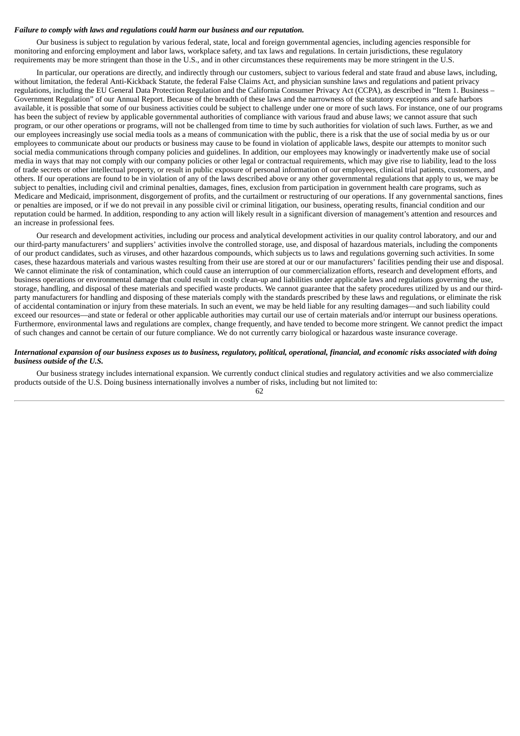#### *Failure to comply with laws and regulations could harm our business and our reputation.*

Our business is subject to regulation by various federal, state, local and foreign governmental agencies, including agencies responsible for monitoring and enforcing employment and labor laws, workplace safety, and tax laws and regulations. In certain jurisdictions, these regulatory requirements may be more stringent than those in the U.S., and in other circumstances these requirements may be more stringent in the U.S.

In particular, our operations are directly, and indirectly through our customers, subject to various federal and state fraud and abuse laws, including, without limitation, the federal Anti-Kickback Statute, the federal False Claims Act, and physician sunshine laws and regulations and patient privacy regulations, including the EU General Data Protection Regulation and the California Consumer Privacy Act (CCPA), as described in "Item 1. Business – Government Regulation" of our Annual Report. Because of the breadth of these laws and the narrowness of the statutory exceptions and safe harbors available, it is possible that some of our business activities could be subject to challenge under one or more of such laws. For instance, one of our programs has been the subject of review by applicable governmental authorities of compliance with various fraud and abuse laws; we cannot assure that such program, or our other operations or programs, will not be challenged from time to time by such authorities for violation of such laws. Further, as we and our employees increasingly use social media tools as a means of communication with the public, there is a risk that the use of social media by us or our employees to communicate about our products or business may cause to be found in violation of applicable laws, despite our attempts to monitor such social media communications through company policies and guidelines. In addition, our employees may knowingly or inadvertently make use of social media in ways that may not comply with our company policies or other legal or contractual requirements, which may give rise to liability, lead to the loss of trade secrets or other intellectual property, or result in public exposure of personal information of our employees, clinical trial patients, customers, and others. If our operations are found to be in violation of any of the laws described above or any other governmental regulations that apply to us, we may be subject to penalties, including civil and criminal penalties, damages, fines, exclusion from participation in government health care programs, such as Medicare and Medicaid, imprisonment, disgorgement of profits, and the curtailment or restructuring of our operations. If any governmental sanctions, fines or penalties are imposed, or if we do not prevail in any possible civil or criminal litigation, our business, operating results, financial condition and our reputation could be harmed. In addition, responding to any action will likely result in a significant diversion of management's attention and resources and an increase in professional fees.

Our research and development activities, including our process and analytical development activities in our quality control laboratory, and our and our third-party manufacturers' and suppliers' activities involve the controlled storage, use, and disposal of hazardous materials, including the components of our product candidates, such as viruses, and other hazardous compounds, which subjects us to laws and regulations governing such activities. In some cases, these hazardous materials and various wastes resulting from their use are stored at our or our manufacturers' facilities pending their use and disposal. We cannot eliminate the risk of contamination, which could cause an interruption of our commercialization efforts, research and development efforts, and business operations or environmental damage that could result in costly clean-up and liabilities under applicable laws and regulations governing the use, storage, handling, and disposal of these materials and specified waste products. We cannot guarantee that the safety procedures utilized by us and our thirdparty manufacturers for handling and disposing of these materials comply with the standards prescribed by these laws and regulations, or eliminate the risk of accidental contamination or injury from these materials. In such an event, we may be held liable for any resulting damages—and such liability could exceed our resources—and state or federal or other applicable authorities may curtail our use of certain materials and/or interrupt our business operations. Furthermore, environmental laws and regulations are complex, change frequently, and have tended to become more stringent. We cannot predict the impact of such changes and cannot be certain of our future compliance. We do not currently carry biological or hazardous waste insurance coverage.

## International expansion of our business exposes us to business, regulatory, political, operational, financial, and economic risks associated with doing *business outside of the U.S.*

Our business strategy includes international expansion. We currently conduct clinical studies and regulatory activities and we also commercialize products outside of the U.S. Doing business internationally involves a number of risks, including but not limited to: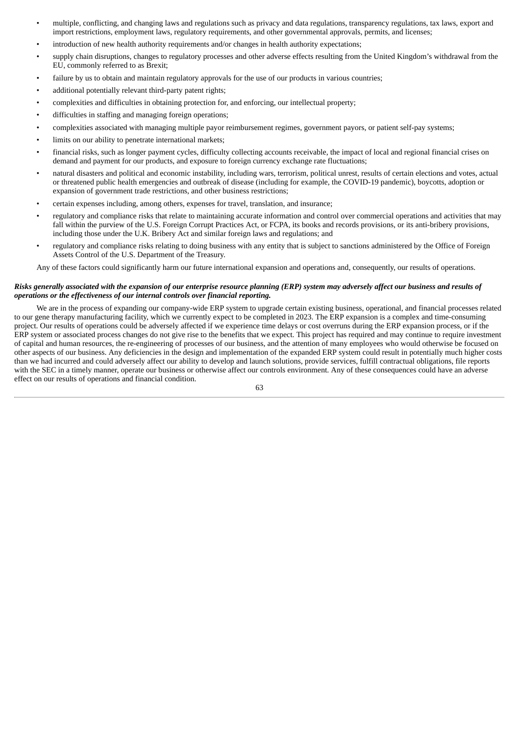- multiple, conflicting, and changing laws and regulations such as privacy and data regulations, transparency regulations, tax laws, export and import restrictions, employment laws, regulatory requirements, and other governmental approvals, permits, and licenses;
- introduction of new health authority requirements and/or changes in health authority expectations;
- supply chain disruptions, changes to regulatory processes and other adverse effects resulting from the United Kingdom's withdrawal from the EU, commonly referred to as Brexit;
- failure by us to obtain and maintain regulatory approvals for the use of our products in various countries;
- additional potentially relevant third-party patent rights;
- complexities and difficulties in obtaining protection for, and enforcing, our intellectual property;
- difficulties in staffing and managing foreign operations;
- complexities associated with managing multiple payor reimbursement regimes, government payors, or patient self-pay systems;
- limits on our ability to penetrate international markets;
- financial risks, such as longer payment cycles, difficulty collecting accounts receivable, the impact of local and regional financial crises on demand and payment for our products, and exposure to foreign currency exchange rate fluctuations;
- natural disasters and political and economic instability, including wars, terrorism, political unrest, results of certain elections and votes, actual or threatened public health emergencies and outbreak of disease (including for example, the COVID-19 pandemic), boycotts, adoption or expansion of government trade restrictions, and other business restrictions;
- certain expenses including, among others, expenses for travel, translation, and insurance;
- regulatory and compliance risks that relate to maintaining accurate information and control over commercial operations and activities that may fall within the purview of the U.S. Foreign Corrupt Practices Act, or FCPA, its books and records provisions, or its anti-bribery provisions, including those under the U.K. Bribery Act and similar foreign laws and regulations; and
- regulatory and compliance risks relating to doing business with any entity that is subject to sanctions administered by the Office of Foreign Assets Control of the U.S. Department of the Treasury.

Any of these factors could significantly harm our future international expansion and operations and, consequently, our results of operations.

## Risks generally associated with the expansion of our enterprise resource planning (ERP) system may adversely affect our business and results of *operations or the effectiveness of our internal controls over financial reporting.*

We are in the process of expanding our company-wide ERP system to upgrade certain existing business, operational, and financial processes related to our gene therapy manufacturing facility, which we currently expect to be completed in 2023. The ERP expansion is a complex and time-consuming project. Our results of operations could be adversely affected if we experience time delays or cost overruns during the ERP expansion process, or if the ERP system or associated process changes do not give rise to the benefits that we expect. This project has required and may continue to require investment of capital and human resources, the re-engineering of processes of our business, and the attention of many employees who would otherwise be focused on other aspects of our business. Any deficiencies in the design and implementation of the expanded ERP system could result in potentially much higher costs than we had incurred and could adversely affect our ability to develop and launch solutions, provide services, fulfill contractual obligations, file reports with the SEC in a timely manner, operate our business or otherwise affect our controls environment. Any of these consequences could have an adverse effect on our results of operations and financial condition.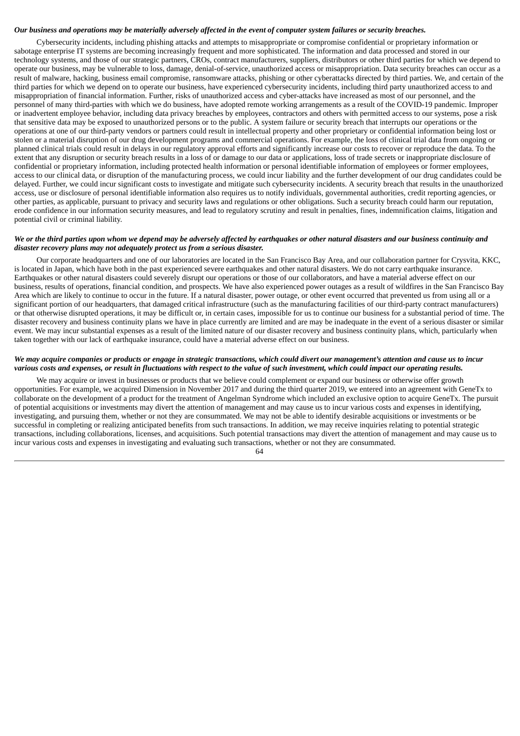#### Our business and operations may be materially adversely affected in the event of computer system failures or security breaches.

Cybersecurity incidents, including phishing attacks and attempts to misappropriate or compromise confidential or proprietary information or sabotage enterprise IT systems are becoming increasingly frequent and more sophisticated. The information and data processed and stored in our technology systems, and those of our strategic partners, CROs, contract manufacturers, suppliers, distributors or other third parties for which we depend to operate our business, may be vulnerable to loss, damage, denial-of-service, unauthorized access or misappropriation. Data security breaches can occur as a result of malware, hacking, business email compromise, ransomware attacks, phishing or other cyberattacks directed by third parties. We, and certain of the third parties for which we depend on to operate our business, have experienced cybersecurity incidents, including third party unauthorized access to and misappropriation of financial information. Further, risks of unauthorized access and cyber-attacks have increased as most of our personnel, and the personnel of many third-parties with which we do business, have adopted remote working arrangements as a result of the COVID-19 pandemic. Improper or inadvertent employee behavior, including data privacy breaches by employees, contractors and others with permitted access to our systems, pose a risk that sensitive data may be exposed to unauthorized persons or to the public. A system failure or security breach that interrupts our operations or the operations at one of our third-party vendors or partners could result in intellectual property and other proprietary or confidential information being lost or stolen or a material disruption of our drug development programs and commercial operations. For example, the loss of clinical trial data from ongoing or planned clinical trials could result in delays in our regulatory approval efforts and significantly increase our costs to recover or reproduce the data. To the extent that any disruption or security breach results in a loss of or damage to our data or applications, loss of trade secrets or inappropriate disclosure of confidential or proprietary information, including protected health information or personal identifiable information of employees or former employees, access to our clinical data, or disruption of the manufacturing process, we could incur liability and the further development of our drug candidates could be delayed. Further, we could incur significant costs to investigate and mitigate such cybersecurity incidents. A security breach that results in the unauthorized access, use or disclosure of personal identifiable information also requires us to notify individuals, governmental authorities, credit reporting agencies, or other parties, as applicable, pursuant to privacy and security laws and regulations or other obligations. Such a security breach could harm our reputation, erode confidence in our information security measures, and lead to regulatory scrutiny and result in penalties, fines, indemnification claims, litigation and potential civil or criminal liability.

## We or the third parties upon whom we depend may be adversely affected by earthquakes or other natural disasters and our business continuity and *disaster recovery plans may not adequately protect us from a serious disaster.*

Our corporate headquarters and one of our laboratories are located in the San Francisco Bay Area, and our collaboration partner for Crysvita, KKC, is located in Japan, which have both in the past experienced severe earthquakes and other natural disasters. We do not carry earthquake insurance. Earthquakes or other natural disasters could severely disrupt our operations or those of our collaborators, and have a material adverse effect on our business, results of operations, financial condition, and prospects. We have also experienced power outages as a result of wildfires in the San Francisco Bay Area which are likely to continue to occur in the future. If a natural disaster, power outage, or other event occurred that prevented us from using all or a significant portion of our headquarters, that damaged critical infrastructure (such as the manufacturing facilities of our third-party contract manufacturers) or that otherwise disrupted operations, it may be difficult or, in certain cases, impossible for us to continue our business for a substantial period of time. The disaster recovery and business continuity plans we have in place currently are limited and are may be inadequate in the event of a serious disaster or similar event. We may incur substantial expenses as a result of the limited nature of our disaster recovery and business continuity plans, which, particularly when taken together with our lack of earthquake insurance, could have a material adverse effect on our business.

## We may acquire companies or products or engage in strategic transactions, which could divert our management's attention and cause us to incur various costs and expenses, or result in fluctuations with respect to the value of such investment, which could impact our operating results.

We may acquire or invest in businesses or products that we believe could complement or expand our business or otherwise offer growth opportunities. For example, we acquired Dimension in November 2017 and during the third quarter 2019, we entered into an agreement with GeneTx to collaborate on the development of a product for the treatment of Angelman Syndrome which included an exclusive option to acquire GeneTx. The pursuit of potential acquisitions or investments may divert the attention of management and may cause us to incur various costs and expenses in identifying, investigating, and pursuing them, whether or not they are consummated. We may not be able to identify desirable acquisitions or investments or be successful in completing or realizing anticipated benefits from such transactions. In addition, we may receive inquiries relating to potential strategic transactions, including collaborations, licenses, and acquisitions. Such potential transactions may divert the attention of management and may cause us to incur various costs and expenses in investigating and evaluating such transactions, whether or not they are consummated.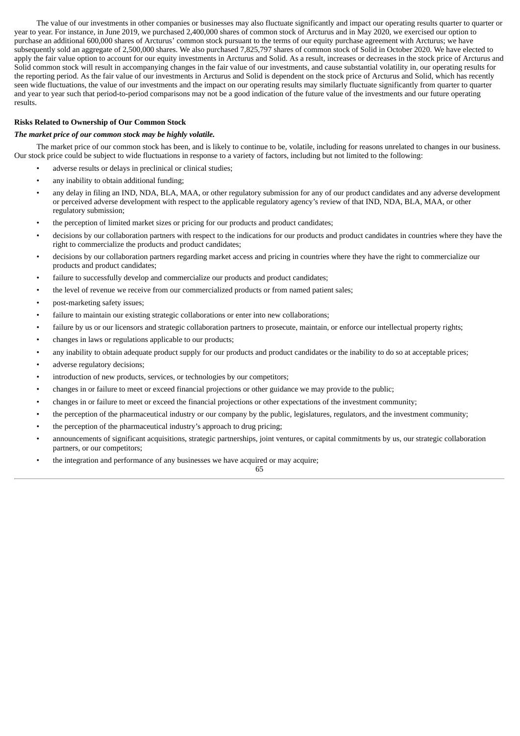The value of our investments in other companies or businesses may also fluctuate significantly and impact our operating results quarter to quarter or year to year. For instance, in June 2019, we purchased 2,400,000 shares of common stock of Arcturus and in May 2020, we exercised our option to purchase an additional 600,000 shares of Arcturus' common stock pursuant to the terms of our equity purchase agreement with Arcturus; we have subsequently sold an aggregate of 2,500,000 shares. We also purchased 7,825,797 shares of common stock of Solid in October 2020. We have elected to apply the fair value option to account for our equity investments in Arcturus and Solid. As a result, increases or decreases in the stock price of Arcturus and Solid common stock will result in accompanying changes in the fair value of our investments, and cause substantial volatility in, our operating results for the reporting period. As the fair value of our investments in Arcturus and Solid is dependent on the stock price of Arcturus and Solid, which has recently seen wide fluctuations, the value of our investments and the impact on our operating results may similarly fluctuate significantly from quarter to quarter and year to year such that period-to-period comparisons may not be a good indication of the future value of the investments and our future operating results.

## **Risks Related to Ownership of Our Common Stock**

#### *The market price of our common stock may be highly volatile.*

The market price of our common stock has been, and is likely to continue to be, volatile, including for reasons unrelated to changes in our business. Our stock price could be subject to wide fluctuations in response to a variety of factors, including but not limited to the following:

- adverse results or delays in preclinical or clinical studies;
- any inability to obtain additional funding;
- any delay in filing an IND, NDA, BLA, MAA, or other regulatory submission for any of our product candidates and any adverse development or perceived adverse development with respect to the applicable regulatory agency's review of that IND, NDA, BLA, MAA, or other regulatory submission;
- the perception of limited market sizes or pricing for our products and product candidates;
- decisions by our collaboration partners with respect to the indications for our products and product candidates in countries where they have the right to commercialize the products and product candidates;
- decisions by our collaboration partners regarding market access and pricing in countries where they have the right to commercialize our products and product candidates;
- failure to successfully develop and commercialize our products and product candidates;
- the level of revenue we receive from our commercialized products or from named patient sales;
- post-marketing safety issues;
- failure to maintain our existing strategic collaborations or enter into new collaborations;
- failure by us or our licensors and strategic collaboration partners to prosecute, maintain, or enforce our intellectual property rights;
- changes in laws or regulations applicable to our products;
- any inability to obtain adequate product supply for our products and product candidates or the inability to do so at acceptable prices;
- adverse regulatory decisions;
- introduction of new products, services, or technologies by our competitors;
- changes in or failure to meet or exceed financial projections or other guidance we may provide to the public;
- changes in or failure to meet or exceed the financial projections or other expectations of the investment community;
- the perception of the pharmaceutical industry or our company by the public, legislatures, regulators, and the investment community;
- the perception of the pharmaceutical industry's approach to drug pricing;
- announcements of significant acquisitions, strategic partnerships, joint ventures, or capital commitments by us, our strategic collaboration partners, or our competitors;

65

the integration and performance of any businesses we have acquired or may acquire;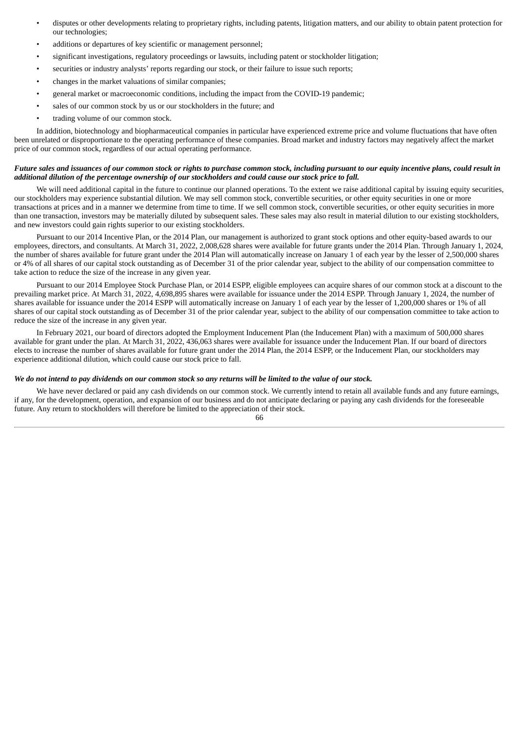- disputes or other developments relating to proprietary rights, including patents, litigation matters, and our ability to obtain patent protection for our technologies;
- additions or departures of key scientific or management personnel;
- significant investigations, regulatory proceedings or lawsuits, including patent or stockholder litigation;
- securities or industry analysts' reports regarding our stock, or their failure to issue such reports;
- changes in the market valuations of similar companies;
- general market or macroeconomic conditions, including the impact from the COVID-19 pandemic;
- sales of our common stock by us or our stockholders in the future; and
- trading volume of our common stock.

In addition, biotechnology and biopharmaceutical companies in particular have experienced extreme price and volume fluctuations that have often been unrelated or disproportionate to the operating performance of these companies. Broad market and industry factors may negatively affect the market price of our common stock, regardless of our actual operating performance.

#### Future sales and issuances of our common stock or rights to purchase common stock, including pursuant to our equity incentive plans, could result in additional dilution of the percentage ownership of our stockholders and could cause our stock price to fall.

We will need additional capital in the future to continue our planned operations. To the extent we raise additional capital by issuing equity securities, our stockholders may experience substantial dilution. We may sell common stock, convertible securities, or other equity securities in one or more transactions at prices and in a manner we determine from time to time. If we sell common stock, convertible securities, or other equity securities in more than one transaction, investors may be materially diluted by subsequent sales. These sales may also result in material dilution to our existing stockholders, and new investors could gain rights superior to our existing stockholders.

Pursuant to our 2014 Incentive Plan, or the 2014 Plan, our management is authorized to grant stock options and other equity-based awards to our employees, directors, and consultants. At March 31, 2022, 2,008,628 shares were available for future grants under the 2014 Plan. Through January 1, 2024, the number of shares available for future grant under the 2014 Plan will automatically increase on January 1 of each year by the lesser of 2,500,000 shares or 4% of all shares of our capital stock outstanding as of December 31 of the prior calendar year, subject to the ability of our compensation committee to take action to reduce the size of the increase in any given year.

Pursuant to our 2014 Employee Stock Purchase Plan, or 2014 ESPP, eligible employees can acquire shares of our common stock at a discount to the prevailing market price. At March 31, 2022, 4,698,895 shares were available for issuance under the 2014 ESPP. Through January 1, 2024, the number of shares available for issuance under the 2014 ESPP will automatically increase on January 1 of each year by the lesser of 1,200,000 shares or 1% of all shares of our capital stock outstanding as of December 31 of the prior calendar year, subject to the ability of our compensation committee to take action to reduce the size of the increase in any given year.

In February 2021, our board of directors adopted the Employment Inducement Plan (the Inducement Plan) with a maximum of 500,000 shares available for grant under the plan. At March 31, 2022, 436,063 shares were available for issuance under the Inducement Plan. If our board of directors elects to increase the number of shares available for future grant under the 2014 Plan, the 2014 ESPP, or the Inducement Plan, our stockholders may experience additional dilution, which could cause our stock price to fall.

## We do not intend to pay dividends on our common stock so any returns will be limited to the value of our stock.

We have never declared or paid any cash dividends on our common stock. We currently intend to retain all available funds and any future earnings, if any, for the development, operation, and expansion of our business and do not anticipate declaring or paying any cash dividends for the foreseeable future. Any return to stockholders will therefore be limited to the appreciation of their stock.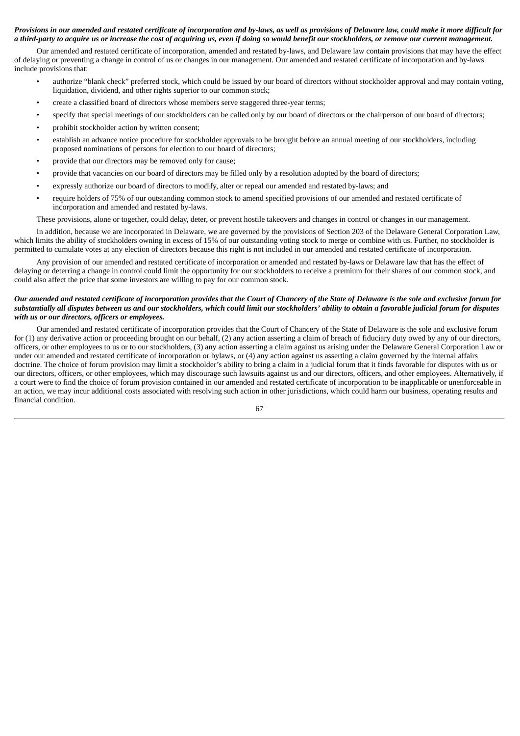## Provisions in our amended and restated certificate of incorporation and by-laws, as well as provisions of Delaware law, could make it more difficult for a third-party to acquire us or increase the cost of acquiring us, even if doing so would benefit our stockholders, or remove our current management.

Our amended and restated certificate of incorporation, amended and restated by-laws, and Delaware law contain provisions that may have the effect of delaying or preventing a change in control of us or changes in our management. Our amended and restated certificate of incorporation and by-laws include provisions that:

- authorize "blank check" preferred stock, which could be issued by our board of directors without stockholder approval and may contain voting, liquidation, dividend, and other rights superior to our common stock;
- create a classified board of directors whose members serve staggered three-year terms;
- specify that special meetings of our stockholders can be called only by our board of directors or the chairperson of our board of directors;
- prohibit stockholder action by written consent;
- establish an advance notice procedure for stockholder approvals to be brought before an annual meeting of our stockholders, including proposed nominations of persons for election to our board of directors;
- provide that our directors may be removed only for cause;
- provide that vacancies on our board of directors may be filled only by a resolution adopted by the board of directors;
- expressly authorize our board of directors to modify, alter or repeal our amended and restated by-laws; and
- require holders of 75% of our outstanding common stock to amend specified provisions of our amended and restated certificate of incorporation and amended and restated by-laws.

These provisions, alone or together, could delay, deter, or prevent hostile takeovers and changes in control or changes in our management.

In addition, because we are incorporated in Delaware, we are governed by the provisions of Section 203 of the Delaware General Corporation Law, which limits the ability of stockholders owning in excess of 15% of our outstanding voting stock to merge or combine with us. Further, no stockholder is permitted to cumulate votes at any election of directors because this right is not included in our amended and restated certificate of incorporation.

Any provision of our amended and restated certificate of incorporation or amended and restated by-laws or Delaware law that has the effect of delaying or deterring a change in control could limit the opportunity for our stockholders to receive a premium for their shares of our common stock, and could also affect the price that some investors are willing to pay for our common stock.

## Our amended and restated certificate of incorporation provides that the Court of Chancery of the State of Delaware is the sole and exclusive forum for substantially all disputes between us and our stockholders, which could limit our stockholders' ability to obtain a favorable judicial forum for disputes *with us or our directors, officers or employees.*

Our amended and restated certificate of incorporation provides that the Court of Chancery of the State of Delaware is the sole and exclusive forum for (1) any derivative action or proceeding brought on our behalf, (2) any action asserting a claim of breach of fiduciary duty owed by any of our directors, officers, or other employees to us or to our stockholders, (3) any action asserting a claim against us arising under the Delaware General Corporation Law or under our amended and restated certificate of incorporation or bylaws, or (4) any action against us asserting a claim governed by the internal affairs doctrine. The choice of forum provision may limit a stockholder's ability to bring a claim in a judicial forum that it finds favorable for disputes with us or our directors, officers, or other employees, which may discourage such lawsuits against us and our directors, officers, and other employees. Alternatively, if a court were to find the choice of forum provision contained in our amended and restated certificate of incorporation to be inapplicable or unenforceable in an action, we may incur additional costs associated with resolving such action in other jurisdictions, which could harm our business, operating results and financial condition.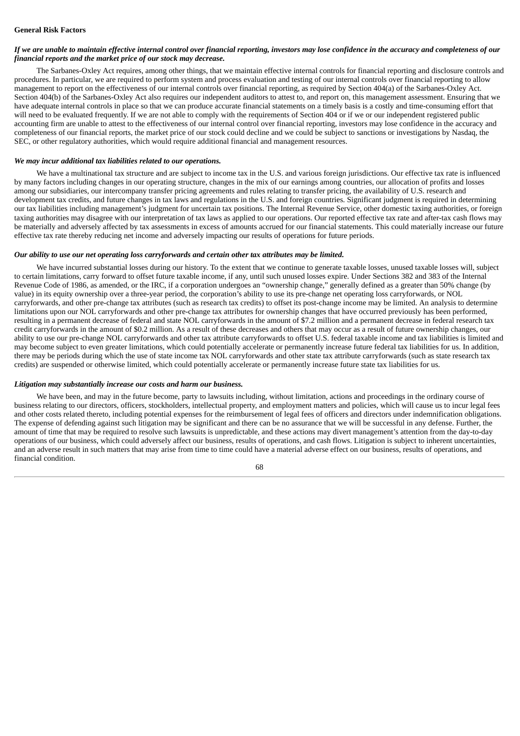## If we are unable to maintain effective internal control over financial reporting, investors may lose confidence in the accuracy and completeness of our *financial reports and the market price of our stock may decrease.*

The Sarbanes-Oxley Act requires, among other things, that we maintain effective internal controls for financial reporting and disclosure controls and procedures. In particular, we are required to perform system and process evaluation and testing of our internal controls over financial reporting to allow management to report on the effectiveness of our internal controls over financial reporting, as required by Section 404(a) of the Sarbanes-Oxley Act. Section 404(b) of the Sarbanes-Oxley Act also requires our independent auditors to attest to, and report on, this management assessment. Ensuring that we have adequate internal controls in place so that we can produce accurate financial statements on a timely basis is a costly and time-consuming effort that will need to be evaluated frequently. If we are not able to comply with the requirements of Section 404 or if we or our independent registered public accounting firm are unable to attest to the effectiveness of our internal control over financial reporting, investors may lose confidence in the accuracy and completeness of our financial reports, the market price of our stock could decline and we could be subject to sanctions or investigations by Nasdaq, the SEC, or other regulatory authorities, which would require additional financial and management resources.

#### *We may incur additional tax liabilities related to our operations.*

We have a multinational tax structure and are subject to income tax in the U.S. and various foreign jurisdictions. Our effective tax rate is influenced by many factors including changes in our operating structure, changes in the mix of our earnings among countries, our allocation of profits and losses among our subsidiaries, our intercompany transfer pricing agreements and rules relating to transfer pricing, the availability of U.S. research and development tax credits, and future changes in tax laws and regulations in the U.S. and foreign countries. Significant judgment is required in determining our tax liabilities including management's judgment for uncertain tax positions. The Internal Revenue Service, other domestic taxing authorities, or foreign taxing authorities may disagree with our interpretation of tax laws as applied to our operations. Our reported effective tax rate and after-tax cash flows may be materially and adversely affected by tax assessments in excess of amounts accrued for our financial statements. This could materially increase our future effective tax rate thereby reducing net income and adversely impacting our results of operations for future periods.

## *Our ability to use our net operating loss carryforwards and certain other tax attributes may be limited.*

We have incurred substantial losses during our history. To the extent that we continue to generate taxable losses, unused taxable losses will, subject to certain limitations, carry forward to offset future taxable income, if any, until such unused losses expire. Under Sections 382 and 383 of the Internal Revenue Code of 1986, as amended, or the IRC, if a corporation undergoes an "ownership change," generally defined as a greater than 50% change (by value) in its equity ownership over a three-year period, the corporation's ability to use its pre-change net operating loss carryforwards, or NOL carryforwards, and other pre-change tax attributes (such as research tax credits) to offset its post-change income may be limited. An analysis to determine limitations upon our NOL carryforwards and other pre-change tax attributes for ownership changes that have occurred previously has been performed, resulting in a permanent decrease of federal and state NOL carryforwards in the amount of \$7.2 million and a permanent decrease in federal research tax credit carryforwards in the amount of \$0.2 million. As a result of these decreases and others that may occur as a result of future ownership changes, our ability to use our pre-change NOL carryforwards and other tax attribute carryforwards to offset U.S. federal taxable income and tax liabilities is limited and may become subject to even greater limitations, which could potentially accelerate or permanently increase future federal tax liabilities for us. In addition, there may be periods during which the use of state income tax NOL carryforwards and other state tax attribute carryforwards (such as state research tax credits) are suspended or otherwise limited, which could potentially accelerate or permanently increase future state tax liabilities for us.

#### *Litigation may substantially increase our costs and harm our business.*

We have been, and may in the future become, party to lawsuits including, without limitation, actions and proceedings in the ordinary course of business relating to our directors, officers, stockholders, intellectual property, and employment matters and policies, which will cause us to incur legal fees and other costs related thereto, including potential expenses for the reimbursement of legal fees of officers and directors under indemnification obligations. The expense of defending against such litigation may be significant and there can be no assurance that we will be successful in any defense. Further, the amount of time that may be required to resolve such lawsuits is unpredictable, and these actions may divert management's attention from the day-to-day operations of our business, which could adversely affect our business, results of operations, and cash flows. Litigation is subject to inherent uncertainties, and an adverse result in such matters that may arise from time to time could have a material adverse effect on our business, results of operations, and financial condition.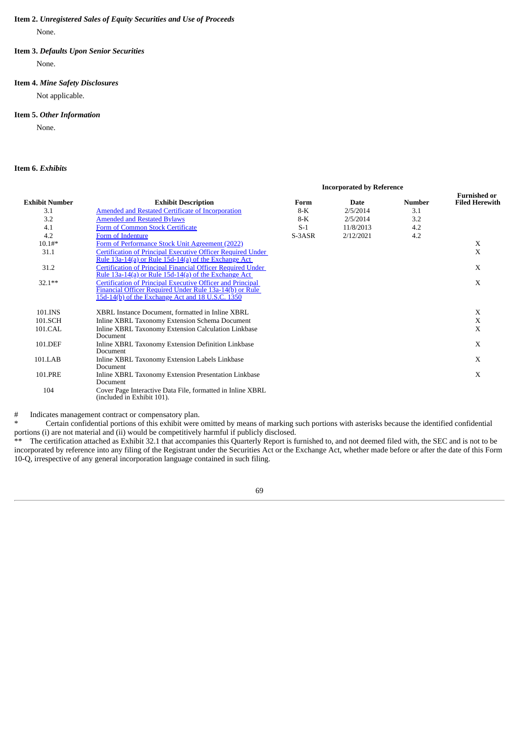### **Item 2.** *Unregistered Sales of Equity Securities and Use of Proceeds*

None.

## **Item 3.** *Defaults Upon Senior Securities*

None.

# **Item 4.** *Mine Safety Disclosures*

Not applicable.

## **Item 5.** *Other Information*

None.

# **Item 6.** *Exhibits*

| <b>Exhibit Number</b> |                                                                                                                                                                           | <b>Incorporated by Reference</b> |             |               |                                              |
|-----------------------|---------------------------------------------------------------------------------------------------------------------------------------------------------------------------|----------------------------------|-------------|---------------|----------------------------------------------|
|                       | <b>Exhibit Description</b>                                                                                                                                                | Form                             | <b>Date</b> | <b>Number</b> | <b>Furnished or</b><br><b>Filed Herewith</b> |
| 3.1                   | <b>Amended and Restated Certificate of Incorporation</b>                                                                                                                  | $8-K$                            | 2/5/2014    | 3.1           |                                              |
| 3.2                   | <b>Amended and Restated Bylaws</b>                                                                                                                                        | $8-K$                            | 2/5/2014    | 3.2           |                                              |
| 4.1                   | <b>Form of Common Stock Certificate</b>                                                                                                                                   | $S-1$                            | 11/8/2013   | 4.2           |                                              |
| 4.2                   | Form of Indenture                                                                                                                                                         | S-3ASR                           | 2/12/2021   | 4.2           |                                              |
| $10.1#*$              | Form of Performance Stock Unit Agreement (2022)                                                                                                                           |                                  |             |               | X                                            |
| 31.1                  | <b>Certification of Principal Executive Officer Required Under</b><br>Rule $13a-14(a)$ or Rule $15d-14(a)$ of the Exchange Act                                            |                                  |             |               | X                                            |
| 31.2                  | <b>Certification of Principal Financial Officer Required Under</b><br>Rule $13a-14(a)$ or Rule $15d-14(a)$ of the Exchange Act                                            |                                  |             |               | $\mathbf{X}$                                 |
| $32.1***$             | Certification of Principal Executive Officer and Principal<br>Financial Officer Required Under Rule 13a-14(b) or Rule<br>15d-14(b) of the Exchange Act and 18 U.S.C. 1350 |                                  |             |               | X                                            |
| 101.INS               | XBRL Instance Document, formatted in Inline XBRL                                                                                                                          |                                  |             |               | X                                            |
| 101.SCH               | Inline XBRL Taxonomy Extension Schema Document                                                                                                                            |                                  |             |               | X                                            |
| 101.CAL               | Inline XBRL Taxonomy Extension Calculation Linkbase<br>Document                                                                                                           |                                  |             |               | X                                            |
| 101.DEF               | Inline XBRL Taxonomy Extension Definition Linkbase<br>Document                                                                                                            |                                  |             |               | X                                            |
| 101.LAB               | Inline XBRL Taxonomy Extension Labels Linkbase<br>Document                                                                                                                |                                  |             |               | X                                            |
| 101.PRE               | Inline XBRL Taxonomy Extension Presentation Linkbase<br>Document                                                                                                          |                                  |             |               | X                                            |
| 104                   | Cover Page Interactive Data File, formatted in Inline XBRL<br>(included in Exhibit 101).                                                                                  |                                  |             |               |                                              |

# Indicates management contract or compensatory plan.

Certain confidential portions of this exhibit were omitted by means of marking such portions with asterisks because the identified confidential portions (i) are not material and (ii) would be competitively harmful if publicly disclosed.

The certification attached as Exhibit 32.1 that accompanies this Quarterly Report is furnished to, and not deemed filed with, the SEC and is not to be incorporated by reference into any filing of the Registrant under the Securities Act or the Exchange Act, whether made before or after the date of this Form 10-Q, irrespective of any general incorporation language contained in such filing.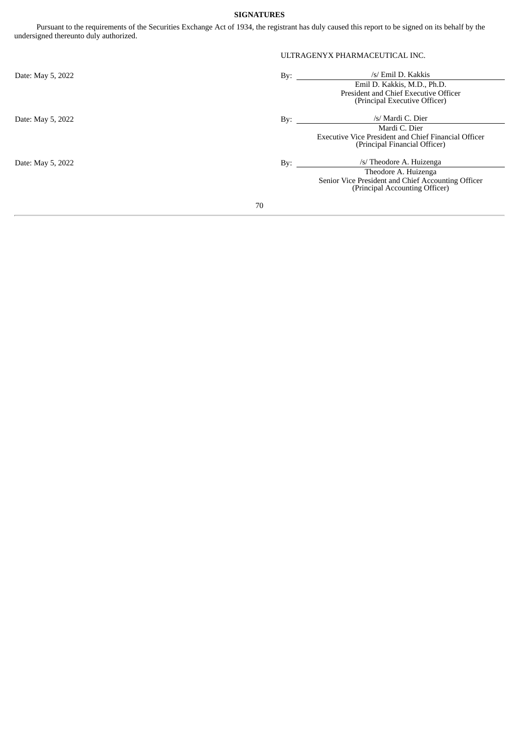# **SIGNATURES**

Pursuant to the requirements of the Securities Exchange Act of 1934, the registrant has duly caused this report to be signed on its behalf by the undersigned thereunto duly authorized.

|                   |                              | ULTRAGENYX PHARMACEUTICAL INC.                       |  |  |
|-------------------|------------------------------|------------------------------------------------------|--|--|
| Date: May 5, 2022 | By: $\overline{\phantom{0}}$ | /s/ Emil D. Kakkis                                   |  |  |
|                   |                              | Emil D. Kakkis, M.D., Ph.D.                          |  |  |
|                   |                              | President and Chief Executive Officer                |  |  |
|                   |                              | (Principal Executive Officer)                        |  |  |
| Date: May 5, 2022 | By:                          | /s/ Mardi C. Dier                                    |  |  |
|                   |                              | Mardi C. Dier                                        |  |  |
|                   |                              | Executive Vice President and Chief Financial Officer |  |  |
|                   |                              | (Principal Financial Officer)                        |  |  |
| Date: May 5, 2022 | By:                          | /s/ Theodore A. Huizenga                             |  |  |
|                   |                              | Theodore A. Huizenga                                 |  |  |
|                   |                              | Senior Vice President and Chief Accounting Officer   |  |  |
|                   |                              | (Principal Accounting Officer)                       |  |  |
|                   | 70                           |                                                      |  |  |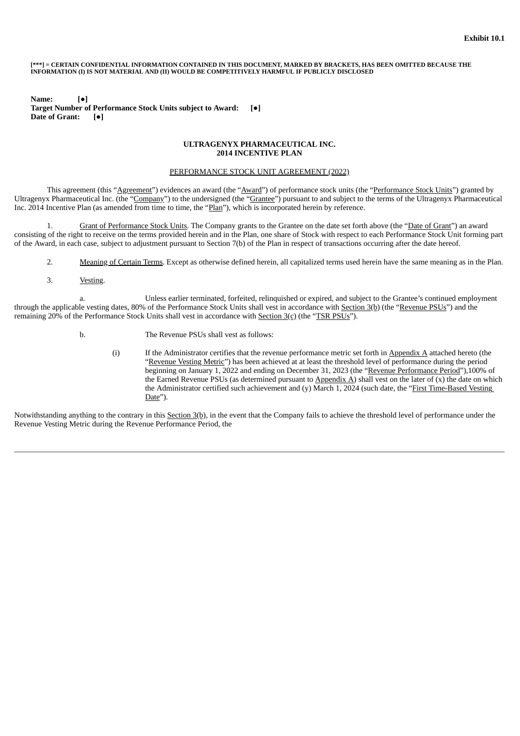#### [\*\*\*] = CERTAIN CONFIDENTIAL INFORMATION CONTAINED IN THIS DOCUMENT. MARKED BY BRACKETS. HAS BEEN OMITTED BECAUSE THE **INFORMATION (I) IS NOT MATERIAL AND (II) WOULD BE COMPETITIVELY HARMFUL IF PUBLICLY DISCLOSED**

**Name: [●] Target Number of Performance Stock Units subject to Award: [●] Date of Grant: [●]**

#### **ULTRAGENYX PHARMACEUTICAL INC. 2014 INCENTIVE PLAN**

#### PERFORMANCE STOCK UNIT AGREEMENT (2022)

This agreement (this "Agreement") evidences an award (the "Award") of performance stock units (the "Performance Stock Units") granted by Ultragenyx Pharmaceutical Inc. (the "Company") to the undersigned (the "Grantee") pursuant to and subject to the terms of the Ultragenyx Pharmaceutical Inc. 2014 Incentive Plan (as amended from time to time, the "Plan"), which is incorporated herein by reference.

1. Grant of Performance Stock Units. The Company grants to the Grantee on the date set forth above (the "Date of Grant") an award consisting of the right to receive on the terms provided herein and in the Plan, one share of Stock with respect to each Performance Stock Unit forming part of the Award, in each case, subject to adjustment pursuant to Section 7(b) of the Plan in respect of transactions occurring after the date hereof.

- 2. Meaning of Certain Terms. Except as otherwise defined herein, all capitalized terms used herein have the same meaning as in the Plan.
- 3. Vesting.

a. Unless earlier terminated, forfeited, relinquished or expired, and subject to the Grantee's continued employment through the applicable vesting dates, 80% of the Performance Stock Units shall vest in accordance with Section 3(b) (the "Revenue PSUs") and the remaining 20% of the Performance Stock Units shall vest in accordance with Section 3(c) (the "TSR PSUs").

- b. The Revenue PSUs shall vest as follows:
	- (i) If the Administrator certifies that the revenue performance metric set forth in Appendix  $A$  attached hereto (the "Revenue Vesting Metric") has been achieved at at least the threshold level of performance during the period beginning on January 1, 2022 and ending on December 31, 2023 (the "Revenue Performance Period"),100% of the Earned Revenue PSUs (as determined pursuant to  $\Delta$ *ppendix A*) shall vest on the later of (x) the date on which the Administrator certified such achievement and (y) March 1, 2024 (such date, the "First Time-Based Vesting Date").

Notwithstanding anything to the contrary in this Section 3(b), in the event that the Company fails to achieve the threshold level of performance under the Revenue Vesting Metric during the Revenue Performance Period, the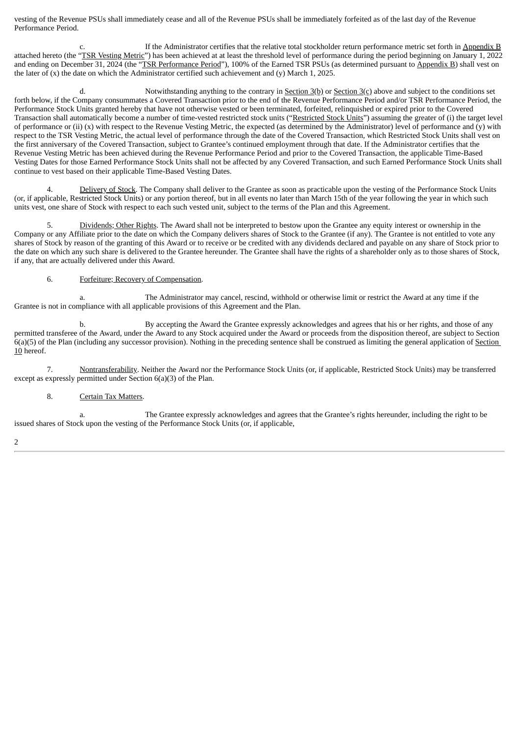vesting of the Revenue PSUs shall immediately cease and all of the Revenue PSUs shall be immediately forfeited as of the last day of the Revenue Performance Period.

c. If the Administrator certifies that the relative total stockholder return performance metric set forth in Appendix B attached hereto (the "TSR Vesting Metric") has been achieved at at least the threshold level of performance during the period beginning on January 1, 2022 and ending on December 31, 2024 (the "TSR Performance Period"), 100% of the Earned TSR PSUs (as determined pursuant to Appendix B) shall vest on the later of  $(x)$  the date on which the Administrator certified such achievement and  $(y)$  March 1, 2025.

d. Notwithstanding anything to the contrary in Section  $3(b)$  or Section  $3(c)$  above and subject to the conditions set forth below, if the Company consummates a Covered Transaction prior to the end of the Revenue Performance Period and/or TSR Performance Period, the Performance Stock Units granted hereby that have not otherwise vested or been terminated, forfeited, relinquished or expired prior to the Covered Transaction shall automatically become a number of time-vested restricted stock units ("Restricted Stock Units") assuming the greater of (i) the target level of performance or (ii)  $(x)$  with respect to the Revenue Vesting Metric, the expected (as determined by the Administrator) level of performance and  $(y)$  with respect to the TSR Vesting Metric, the actual level of performance through the date of the Covered Transaction, which Restricted Stock Units shall vest on the first anniversary of the Covered Transaction, subject to Grantee's continued employment through that date. If the Administrator certifies that the Revenue Vesting Metric has been achieved during the Revenue Performance Period and prior to the Covered Transaction, the applicable Time-Based Vesting Dates for those Earned Performance Stock Units shall not be affected by any Covered Transaction, and such Earned Performance Stock Units shall continue to vest based on their applicable Time-Based Vesting Dates.

4. Delivery of Stock. The Company shall deliver to the Grantee as soon as practicable upon the vesting of the Performance Stock Units (or, if applicable, Restricted Stock Units) or any portion thereof, but in all events no later than March 15th of the year following the year in which such units vest, one share of Stock with respect to each such vested unit, subject to the terms of the Plan and this Agreement.

5. Dividends; Other Rights. The Award shall not be interpreted to bestow upon the Grantee any equity interest or ownership in the Company or any Affiliate prior to the date on which the Company delivers shares of Stock to the Grantee (if any). The Grantee is not entitled to vote any shares of Stock by reason of the granting of this Award or to receive or be credited with any dividends declared and payable on any share of Stock prior to the date on which any such share is delivered to the Grantee hereunder. The Grantee shall have the rights of a shareholder only as to those shares of Stock, if any, that are actually delivered under this Award.

### 6. Forfeiture; Recovery of Compensation.

The Administrator may cancel, rescind, withhold or otherwise limit or restrict the Award at any time if the Grantee is not in compliance with all applicable provisions of this Agreement and the Plan.

b. By accepting the Award the Grantee expressly acknowledges and agrees that his or her rights, and those of any permitted transferee of the Award, under the Award to any Stock acquired under the Award or proceeds from the disposition thereof, are subject to Section 6(a)(5) of the Plan (including any successor provision). Nothing in the preceding sentence shall be construed as limiting the general application of Section 10 hereof.

7. Nontransferability. Neither the Award nor the Performance Stock Units (or, if applicable, Restricted Stock Units) may be transferred except as expressly permitted under Section 6(a)(3) of the Plan.

### 8. Certain Tax Matters.

a. The Grantee expressly acknowledges and agrees that the Grantee's rights hereunder, including the right to be issued shares of Stock upon the vesting of the Performance Stock Units (or, if applicable,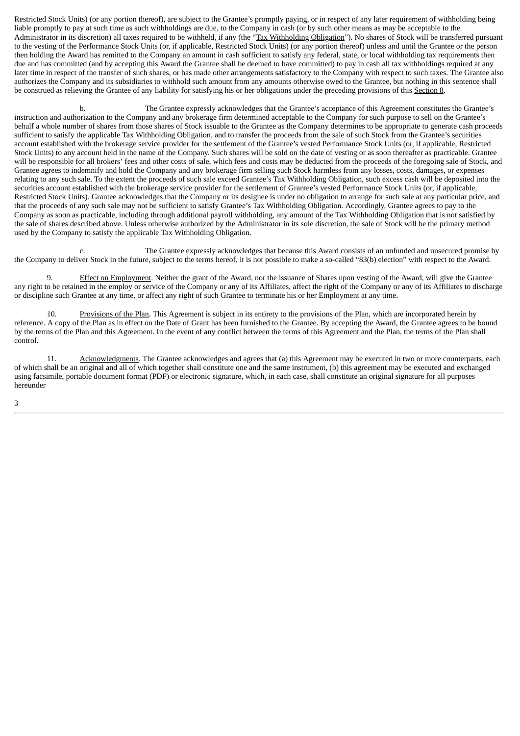Restricted Stock Units) (or any portion thereof), are subject to the Grantee's promptly paying, or in respect of any later requirement of withholding being liable promptly to pay at such time as such withholdings are due, to the Company in cash (or by such other means as may be acceptable to the Administrator in its discretion) all taxes required to be withheld, if any (the "Tax Withholding Obligation"). No shares of Stock will be transferred pursuant to the vesting of the Performance Stock Units (or, if applicable, Restricted Stock Units) (or any portion thereof) unless and until the Grantee or the person then holding the Award has remitted to the Company an amount in cash sufficient to satisfy any federal, state, or local withholding tax requirements then due and has committed (and by accepting this Award the Grantee shall be deemed to have committed) to pay in cash all tax withholdings required at any later time in respect of the transfer of such shares, or has made other arrangements satisfactory to the Company with respect to such taxes. The Grantee also authorizes the Company and its subsidiaries to withhold such amount from any amounts otherwise owed to the Grantee, but nothing in this sentence shall be construed as relieving the Grantee of any liability for satisfying his or her obligations under the preceding provisions of this Section 8.

b. The Grantee expressly acknowledges that the Grantee's acceptance of this Agreement constitutes the Grantee's instruction and authorization to the Company and any brokerage firm determined acceptable to the Company for such purpose to sell on the Grantee's behalf a whole number of shares from those shares of Stock issuable to the Grantee as the Company determines to be appropriate to generate cash proceeds sufficient to satisfy the applicable Tax Withholding Obligation, and to transfer the proceeds from the sale of such Stock from the Grantee's securities account established with the brokerage service provider for the settlement of the Grantee's vested Performance Stock Units (or, if applicable, Restricted Stock Units) to any account held in the name of the Company. Such shares will be sold on the date of vesting or as soon thereafter as practicable. Grantee will be responsible for all brokers' fees and other costs of sale, which fees and costs may be deducted from the proceeds of the foregoing sale of Stock, and Grantee agrees to indemnify and hold the Company and any brokerage firm selling such Stock harmless from any losses, costs, damages, or expenses relating to any such sale. To the extent the proceeds of such sale exceed Grantee's Tax Withholding Obligation, such excess cash will be deposited into the securities account established with the brokerage service provider for the settlement of Grantee's vested Performance Stock Units (or, if applicable, Restricted Stock Units). Grantee acknowledges that the Company or its designee is under no obligation to arrange for such sale at any particular price, and that the proceeds of any such sale may not be sufficient to satisfy Grantee's Tax Withholding Obligation. Accordingly, Grantee agrees to pay to the Company as soon as practicable, including through additional payroll withholding, any amount of the Tax Withholding Obligation that is not satisfied by the sale of shares described above. Unless otherwise authorized by the Administrator in its sole discretion, the sale of Stock will be the primary method used by the Company to satisfy the applicable Tax Withholding Obligation.

c. The Grantee expressly acknowledges that because this Award consists of an unfunded and unsecured promise by the Company to deliver Stock in the future, subject to the terms hereof, it is not possible to make a so-called "83(b) election" with respect to the Award.

9. Effect on Employment. Neither the grant of the Award, nor the issuance of Shares upon vesting of the Award, will give the Grantee any right to be retained in the employ or service of the Company or any of its Affiliates, affect the right of the Company or any of its Affiliates to discharge or discipline such Grantee at any time, or affect any right of such Grantee to terminate his or her Employment at any time.

10. Provisions of the Plan. This Agreement is subject in its entirety to the provisions of the Plan, which are incorporated herein by reference. A copy of the Plan as in effect on the Date of Grant has been furnished to the Grantee. By accepting the Award, the Grantee agrees to be bound by the terms of the Plan and this Agreement. In the event of any conflict between the terms of this Agreement and the Plan, the terms of the Plan shall control.

11. Acknowledgments. The Grantee acknowledges and agrees that (a) this Agreement may be executed in two or more counterparts, each of which shall be an original and all of which together shall constitute one and the same instrument, (b) this agreement may be executed and exchanged using facsimile, portable document format (PDF) or electronic signature, which, in each case, shall constitute an original signature for all purposes hereunder

3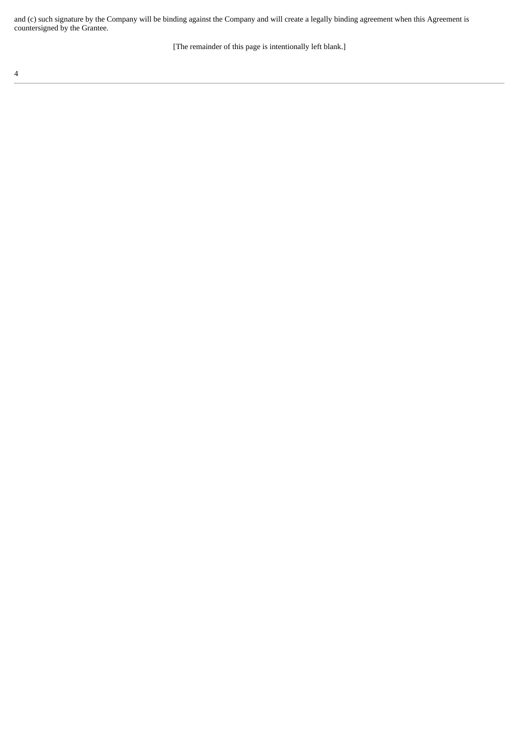and (c) such signature by the Company will be binding against the Company and will create a legally binding agreement when this Agreement is countersigned by the Grantee.

[The remainder of this page is intentionally left blank.]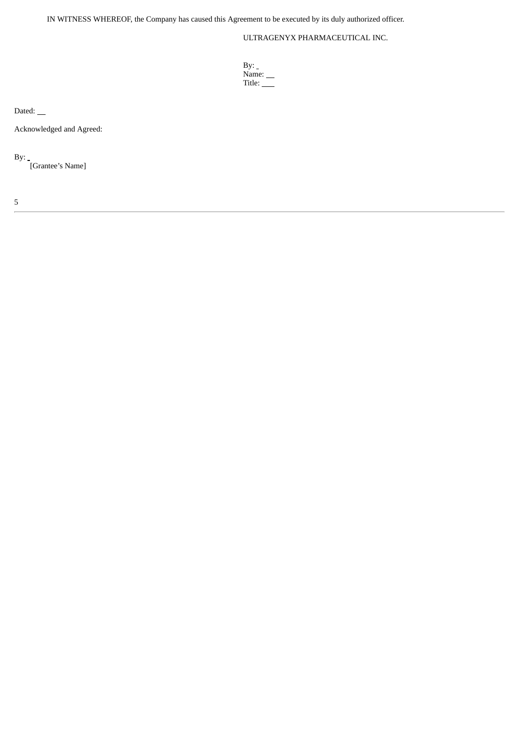IN WITNESS WHEREOF, the Company has caused this Agreement to be executed by its duly authorized officer.

# ULTRAGENYX PHARMACEUTICAL INC.

| By:           |  |
|---------------|--|
| Name: $\_\_$  |  |
| Title: $\_\_$ |  |

Dated:

Acknowledged and Agreed:

By:

[Grantee's Name]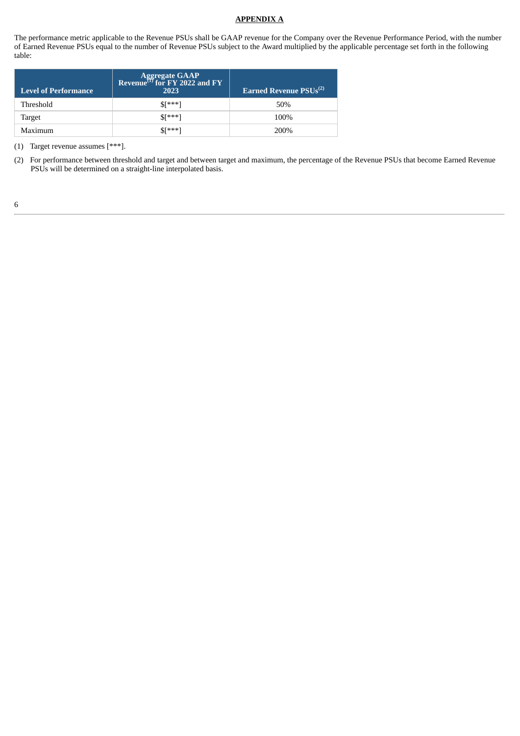### **APPENDIX A**

The performance metric applicable to the Revenue PSUs shall be GAAP revenue for the Company over the Revenue Performance Period, with the number of Earned Revenue PSUs equal to the number of Revenue PSUs subject to the Award multiplied by the applicable percentage set forth in the following table:

| <b>Level of Performance</b> | Aggregate GAAP<br>Revenue <sup>(1)</sup> for FY 2022 and FY<br>2023 | Earned Revenue PSUs <sup>(2)</sup> |
|-----------------------------|---------------------------------------------------------------------|------------------------------------|
| Threshold                   | $S[***]$                                                            | 50%                                |
| Target                      | $S[***]$                                                            | 100%                               |
| Maximum                     | $$F***]$                                                            | 200%                               |

(1) Target revenue assumes [\*\*\*].

<sup>(2)</sup> For performance between threshold and target and between target and maximum, the percentage of the Revenue PSUs that become Earned Revenue PSUs will be determined on a straight-line interpolated basis.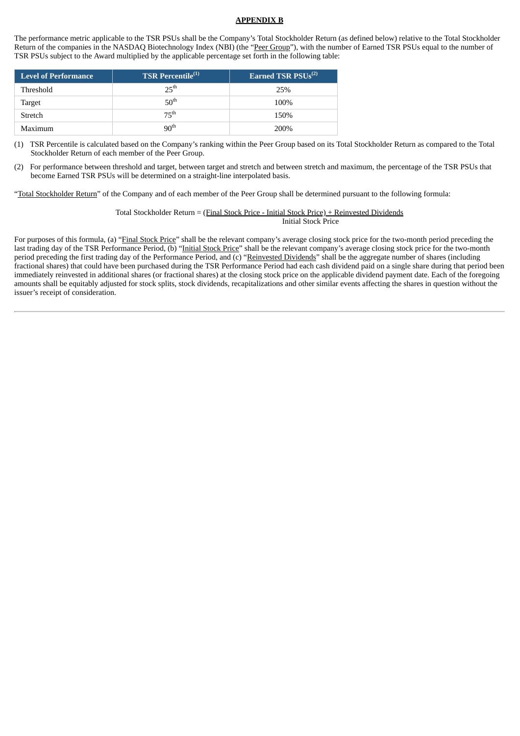#### **APPENDIX B**

The performance metric applicable to the TSR PSUs shall be the Company's Total Stockholder Return (as defined below) relative to the Total Stockholder Return of the companies in the NASDAQ Biotechnology Index (NBI) (the "Peer Group"), with the number of Earned TSR PSUs equal to the number of TSR PSUs subject to the Award multiplied by the applicable percentage set forth in the following table:

| Level of Performance | <b>TSR Percentile</b> <sup>(1)</sup> | Earned TSR $PSUs^{(2)}$ |
|----------------------|--------------------------------------|-------------------------|
| Threshold            | 25 <sup>th</sup>                     | 25%                     |
| Target               | 50 <sup>th</sup>                     | 100%                    |
| Stretch              | 75 <sup>th</sup>                     | 150%                    |
| Maximum              | 90 <sup>th</sup>                     | 200%                    |

(1) TSR Percentile is calculated based on the Company's ranking within the Peer Group based on its Total Stockholder Return as compared to the Total Stockholder Return of each member of the Peer Group.

(2) For performance between threshold and target, between target and stretch and between stretch and maximum, the percentage of the TSR PSUs that become Earned TSR PSUs will be determined on a straight-line interpolated basis.

"Total Stockholder Return" of the Company and of each member of the Peer Group shall be determined pursuant to the following formula:

Total Stockholder Return = (Final Stock Price - Initial Stock Price) + Reinvested Dividends Initial Stock Price

For purposes of this formula, (a) "Final Stock Price" shall be the relevant company's average closing stock price for the two-month period preceding the last trading day of the TSR Performance Period, (b) "Initial Stock Price" shall be the relevant company's average closing stock price for the two-month period preceding the first trading day of the Performance Period, and (c) "Reinvested Dividends" shall be the aggregate number of shares (including fractional shares) that could have been purchased during the TSR Performance Period had each cash dividend paid on a single share during that period been immediately reinvested in additional shares (or fractional shares) at the closing stock price on the applicable dividend payment date. Each of the foregoing amounts shall be equitably adjusted for stock splits, stock dividends, recapitalizations and other similar events affecting the shares in question without the issuer's receipt of consideration.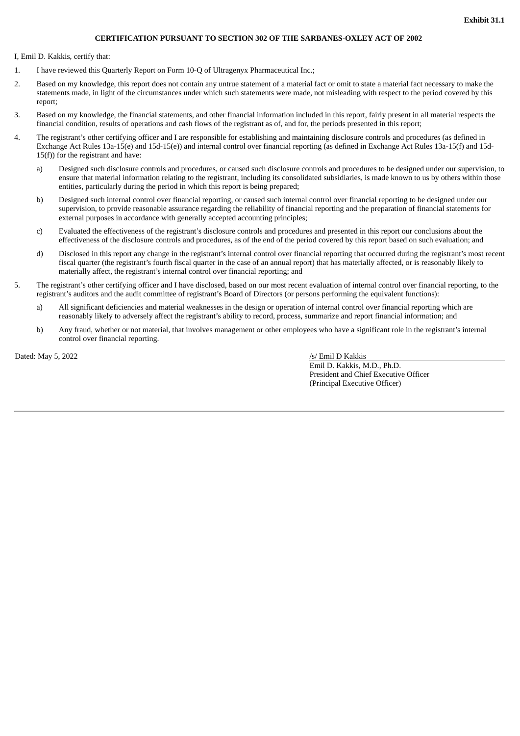## **CERTIFICATION PURSUANT TO SECTION 302 OF THE SARBANES-OXLEY ACT OF 2002**

I, Emil D. Kakkis, certify that:

- 1. I have reviewed this Quarterly Report on Form 10-Q of Ultragenyx Pharmaceutical Inc.;
- 2. Based on my knowledge, this report does not contain any untrue statement of a material fact or omit to state a material fact necessary to make the statements made, in light of the circumstances under which such statements were made, not misleading with respect to the period covered by this report;
- 3. Based on my knowledge, the financial statements, and other financial information included in this report, fairly present in all material respects the financial condition, results of operations and cash flows of the registrant as of, and for, the periods presented in this report;
- 4. The registrant's other certifying officer and I are responsible for establishing and maintaining disclosure controls and procedures (as defined in Exchange Act Rules 13a-15(e) and 15d-15(e)) and internal control over financial reporting (as defined in Exchange Act Rules 13a-15(f) and 15d- $15(f)$ ) for the registrant and have:
	- a) Designed such disclosure controls and procedures, or caused such disclosure controls and procedures to be designed under our supervision, to ensure that material information relating to the registrant, including its consolidated subsidiaries, is made known to us by others within those entities, particularly during the period in which this report is being prepared;
	- b) Designed such internal control over financial reporting, or caused such internal control over financial reporting to be designed under our supervision, to provide reasonable assurance regarding the reliability of financial reporting and the preparation of financial statements for external purposes in accordance with generally accepted accounting principles;
	- c) Evaluated the effectiveness of the registrant's disclosure controls and procedures and presented in this report our conclusions about the effectiveness of the disclosure controls and procedures, as of the end of the period covered by this report based on such evaluation; and
	- d) Disclosed in this report any change in the registrant's internal control over financial reporting that occurred during the registrant's most recent fiscal quarter (the registrant's fourth fiscal quarter in the case of an annual report) that has materially affected, or is reasonably likely to materially affect, the registrant's internal control over financial reporting; and
- 5. The registrant's other certifying officer and I have disclosed, based on our most recent evaluation of internal control over financial reporting, to the registrant's auditors and the audit committee of registrant's Board of Directors (or persons performing the equivalent functions):
	- a) All significant deficiencies and material weaknesses in the design or operation of internal control over financial reporting which are reasonably likely to adversely affect the registrant's ability to record, process, summarize and report financial information; and
	- b) Any fraud, whether or not material, that involves management or other employees who have a significant role in the registrant's internal control over financial reporting.

Dated: May 5, 2022 /s/ Emil D Kakkis

Emil D. Kakkis, M.D., Ph.D. President and Chief Executive Officer (Principal Executive Officer)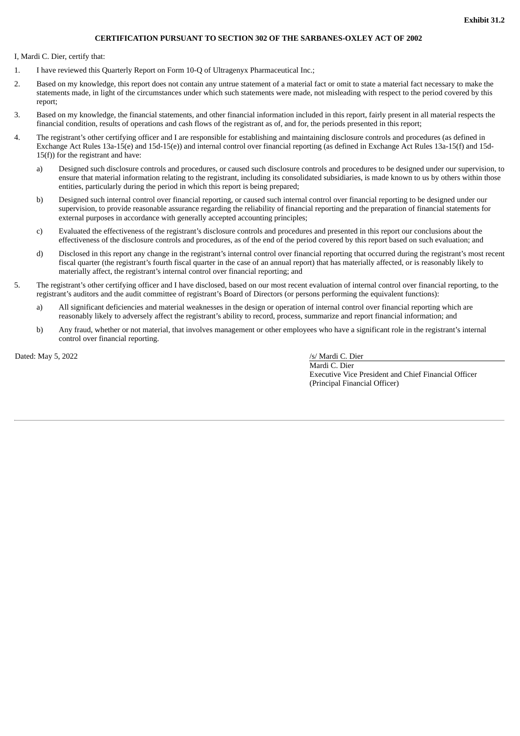## **CERTIFICATION PURSUANT TO SECTION 302 OF THE SARBANES-OXLEY ACT OF 2002**

I, Mardi C. Dier, certify that:

- 1. I have reviewed this Quarterly Report on Form 10-Q of Ultragenyx Pharmaceutical Inc.;
- 2. Based on my knowledge, this report does not contain any untrue statement of a material fact or omit to state a material fact necessary to make the statements made, in light of the circumstances under which such statements were made, not misleading with respect to the period covered by this report;
- 3. Based on my knowledge, the financial statements, and other financial information included in this report, fairly present in all material respects the financial condition, results of operations and cash flows of the registrant as of, and for, the periods presented in this report;
- 4. The registrant's other certifying officer and I are responsible for establishing and maintaining disclosure controls and procedures (as defined in Exchange Act Rules 13a-15(e) and 15d-15(e)) and internal control over financial reporting (as defined in Exchange Act Rules 13a-15(f) and 15d- $15(f)$ ) for the registrant and have:
	- a) Designed such disclosure controls and procedures, or caused such disclosure controls and procedures to be designed under our supervision, to ensure that material information relating to the registrant, including its consolidated subsidiaries, is made known to us by others within those entities, particularly during the period in which this report is being prepared;
	- b) Designed such internal control over financial reporting, or caused such internal control over financial reporting to be designed under our supervision, to provide reasonable assurance regarding the reliability of financial reporting and the preparation of financial statements for external purposes in accordance with generally accepted accounting principles;
	- c) Evaluated the effectiveness of the registrant's disclosure controls and procedures and presented in this report our conclusions about the effectiveness of the disclosure controls and procedures, as of the end of the period covered by this report based on such evaluation; and
	- d) Disclosed in this report any change in the registrant's internal control over financial reporting that occurred during the registrant's most recent fiscal quarter (the registrant's fourth fiscal quarter in the case of an annual report) that has materially affected, or is reasonably likely to materially affect, the registrant's internal control over financial reporting; and
- 5. The registrant's other certifying officer and I have disclosed, based on our most recent evaluation of internal control over financial reporting, to the registrant's auditors and the audit committee of registrant's Board of Directors (or persons performing the equivalent functions):
	- a) All significant deficiencies and material weaknesses in the design or operation of internal control over financial reporting which are reasonably likely to adversely affect the registrant's ability to record, process, summarize and report financial information; and
	- b) Any fraud, whether or not material, that involves management or other employees who have a significant role in the registrant's internal control over financial reporting.

Dated: May 5, 2022 /s/ Mardi C. Dier

Mardi C. Dier Executive Vice President and Chief Financial Officer (Principal Financial Officer)